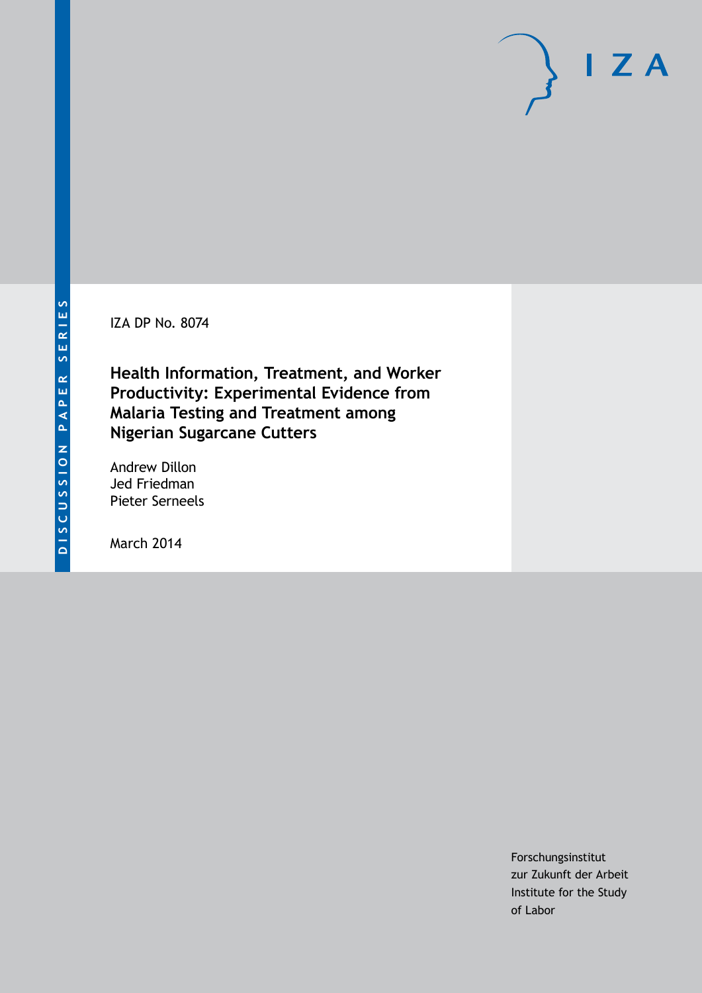IZA DP No. 8074

**Health Information, Treatment, and Worker Productivity: Experimental Evidence from Malaria Testing and Treatment among Nigerian Sugarcane Cutters**

Andrew Dillon Jed Friedman Pieter Serneels

March 2014

Forschungsinstitut zur Zukunft der Arbeit Institute for the Study of Labor

 $I Z A$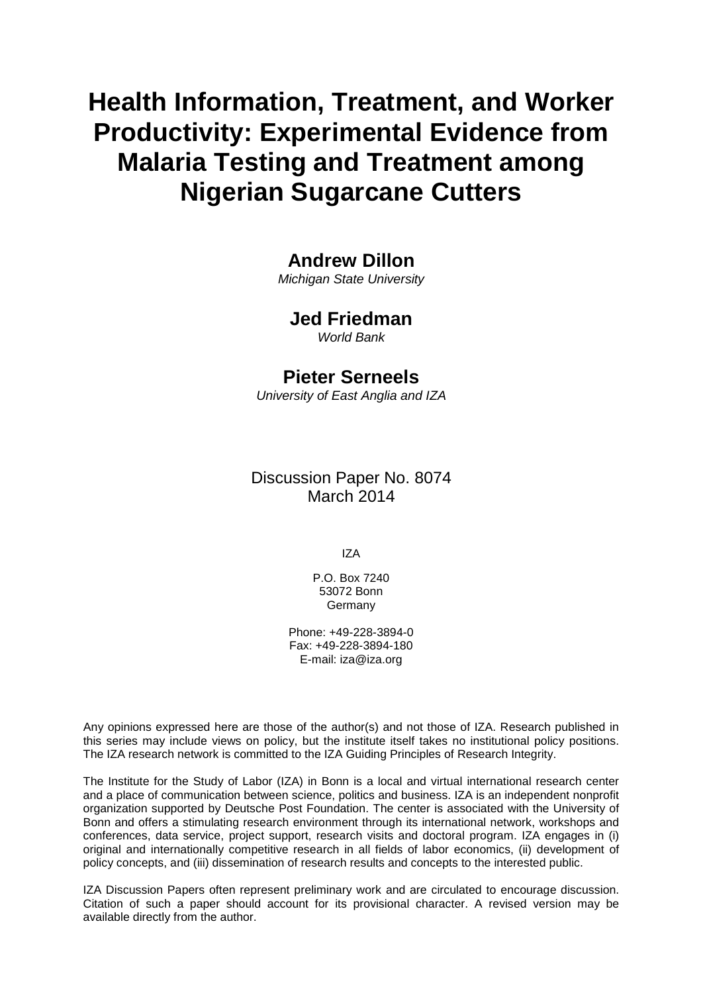# **Health Information, Treatment, and Worker Productivity: Experimental Evidence from Malaria Testing and Treatment among Nigerian Sugarcane Cutters**

# **Andrew Dillon**

*Michigan State University*

### **Jed Friedman**

*World Bank*

### **Pieter Serneels**

*University of East Anglia and IZA*

### Discussion Paper No. 8074 March 2014

IZA

P.O. Box 7240 53072 Bonn Germany

Phone: +49-228-3894-0 Fax: +49-228-3894-180 E-mail: [iza@iza.org](mailto:iza@iza.org)

Any opinions expressed here are those of the author(s) and not those of IZA. Research published in this series may include views on policy, but the institute itself takes no institutional policy positions. The IZA research network is committed to the IZA Guiding Principles of Research Integrity.

<span id="page-1-0"></span>The Institute for the Study of Labor (IZA) in Bonn is a local and virtual international research center and a place of communication between science, politics and business. IZA is an independent nonprofit organization supported by Deutsche Post Foundation. The center is associated with the University of Bonn and offers a stimulating research environment through its international network, workshops and conferences, data service, project support, research visits and doctoral program. IZA engages in (i) original and internationally competitive research in all fields of labor economics, (ii) development of policy concepts, and (iii) dissemination of research results and concepts to the interested public.

IZA Discussion Papers often represent preliminary work and are circulated to encourage discussion. Citation of such a paper should account for its provisional character. A revised version may be available directly from the author.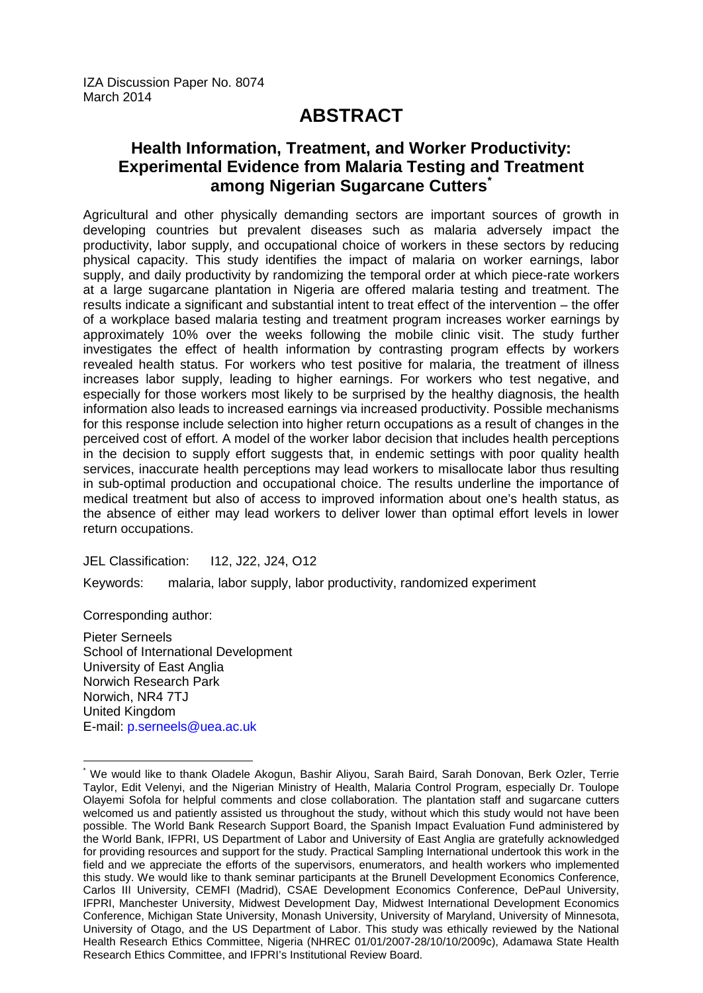IZA Discussion Paper No. 8074 March 2014

# **ABSTRACT**

## **Health Information, Treatment, and Worker Productivity: Experimental Evidence from Malaria Testing and Treatment among Nigerian Sugarcane Cutters[\\*](#page-1-0)**

Agricultural and other physically demanding sectors are important sources of growth in developing countries but prevalent diseases such as malaria adversely impact the productivity, labor supply, and occupational choice of workers in these sectors by reducing physical capacity. This study identifies the impact of malaria on worker earnings, labor supply, and daily productivity by randomizing the temporal order at which piece-rate workers at a large sugarcane plantation in Nigeria are offered malaria testing and treatment. The results indicate a significant and substantial intent to treat effect of the intervention – the offer of a workplace based malaria testing and treatment program increases worker earnings by approximately 10% over the weeks following the mobile clinic visit. The study further investigates the effect of health information by contrasting program effects by workers revealed health status. For workers who test positive for malaria, the treatment of illness increases labor supply, leading to higher earnings. For workers who test negative, and especially for those workers most likely to be surprised by the healthy diagnosis, the health information also leads to increased earnings via increased productivity. Possible mechanisms for this response include selection into higher return occupations as a result of changes in the perceived cost of effort. A model of the worker labor decision that includes health perceptions in the decision to supply effort suggests that, in endemic settings with poor quality health services, inaccurate health perceptions may lead workers to misallocate labor thus resulting in sub-optimal production and occupational choice. The results underline the importance of medical treatment but also of access to improved information about one's health status, as the absence of either may lead workers to deliver lower than optimal effort levels in lower return occupations.

JEL Classification: I12, J22, J24, O12

Keywords: malaria, labor supply, labor productivity, randomized experiment

Corresponding author:

Pieter Serneels School of International Development University of East Anglia Norwich Research Park Norwich, NR4 7TJ United Kingdom E-mail: [p.serneels@uea.ac.uk](mailto:p.serneels@uea.ac.uk)

\* We would like to thank Oladele Akogun, Bashir Aliyou, Sarah Baird, Sarah Donovan, Berk Ozler, Terrie Taylor, Edit Velenyi, and the Nigerian Ministry of Health, Malaria Control Program, especially Dr. Toulope Olayemi Sofola for helpful comments and close collaboration. The plantation staff and sugarcane cutters welcomed us and patiently assisted us throughout the study, without which this study would not have been possible. The World Bank Research Support Board, the Spanish Impact Evaluation Fund administered by the World Bank, IFPRI, US Department of Labor and University of East Anglia are gratefully acknowledged for providing resources and support for the study. Practical Sampling International undertook this work in the field and we appreciate the efforts of the supervisors, enumerators, and health workers who implemented this study. We would like to thank seminar participants at the Brunell Development Economics Conference, Carlos III University, CEMFI (Madrid), CSAE Development Economics Conference, DePaul University, IFPRI, Manchester University, Midwest Development Day, Midwest International Development Economics Conference, Michigan State University, Monash University, University of Maryland, University of Minnesota, University of Otago, and the US Department of Labor. This study was ethically reviewed by the National Health Research Ethics Committee, Nigeria (NHREC 01/01/2007-28/10/10/2009c), Adamawa State Health Research Ethics Committee, and IFPRI's Institutional Review Board.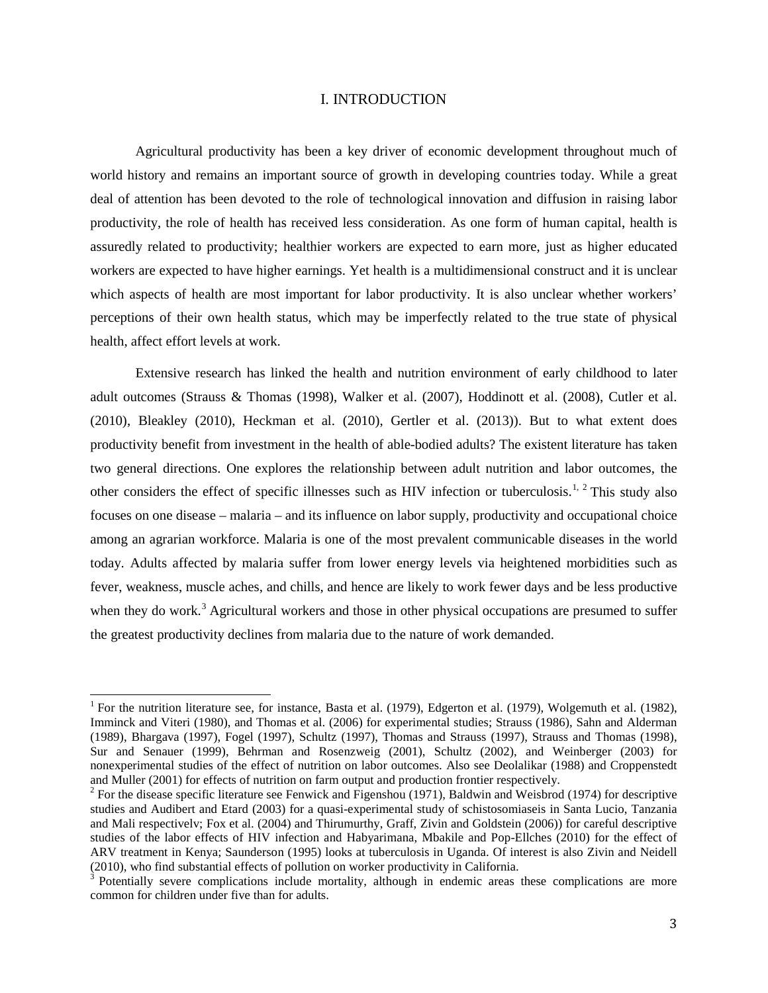#### I. INTRODUCTION

Agricultural productivity has been a key driver of economic development throughout much of world history and remains an important source of growth in developing countries today. While a great deal of attention has been devoted to the role of technological innovation and diffusion in raising labor productivity, the role of health has received less consideration. As one form of human capital, health is assuredly related to productivity; healthier workers are expected to earn more, just as higher educated workers are expected to have higher earnings. Yet health is a multidimensional construct and it is unclear which aspects of health are most important for labor productivity. It is also unclear whether workers' perceptions of their own health status, which may be imperfectly related to the true state of physical health, affect effort levels at work.

Extensive research has linked the health and nutrition environment of early childhood to later adult outcomes (Strauss & Thomas (1998), Walker et al. (2007), Hoddinott et al. (2008), Cutler et al. (2010), Bleakley (2010), Heckman et al. (2010), Gertler et al. (2013)). But to what extent does productivity benefit from investment in the health of able-bodied adults? The existent literature has taken two general directions. One explores the relationship between adult nutrition and labor outcomes, the other considers the effect of specific illnesses such as HIV infection or tuberculosis.<sup>[1,](#page-3-0) [2](#page-3-1)</sup> This study also focuses on one disease – malaria – and its influence on labor supply, productivity and occupational choice among an agrarian workforce. Malaria is one of the most prevalent communicable diseases in the world today. Adults affected by malaria suffer from lower energy levels via heightened morbidities such as fever, weakness, muscle aches, and chills, and hence are likely to work fewer days and be less productive when they do work.<sup>[3](#page-3-2)</sup> Agricultural workers and those in other physical occupations are presumed to suffer the greatest productivity declines from malaria due to the nature of work demanded.

<span id="page-3-0"></span><sup>&</sup>lt;sup>1</sup> For the nutrition literature see, for instance, Basta et al. (1979), Edgerton et al. (1979), Wolgemuth et al. (1982), Imminck and Viteri (1980), and Thomas et al. (2006) for experimental studies; Strauss (1986), Sahn and Alderman (1989), Bhargava (1997), Fogel (1997), Schultz (1997), Thomas and Strauss (1997), Strauss and Thomas (1998), Sur and Senauer (1999), Behrman and Rosenzweig (2001), Schultz (2002), and Weinberger (2003) for nonexperimental studies of the effect of nutrition on labor outcomes. Also see Deolalikar (1988) and Croppenstedt and Muller (2001) for effects of nutrition on farm output and production frontier respectively.

<span id="page-3-1"></span> $2$  For the disease specific literature see Fenwick and Figenshou (1971), Baldwin and Weisbrod (1974) for descriptive studies and Audibert and Etard (2003) for a quasi-experimental study of schistosomiaseis in Santa Lucio, Tanzania and Mali respectivelv; Fox et al. (2004) and Thirumurthy, Graff, Zivin and Goldstein (2006)) for careful descriptive studies of the labor effects of HIV infection and Habyarimana, Mbakile and Pop-Ellches (2010) for the effect of ARV treatment in Kenya; Saunderson (1995) looks at tuberculosis in Uganda. Of interest is also Zivin and Neidell (2010), who find substantial effects of pollution on worker productivity in California.<br> $3$  Potentially severe complications include mortality, although in endemic areas these complications are more

<span id="page-3-2"></span>common for children under five than for adults.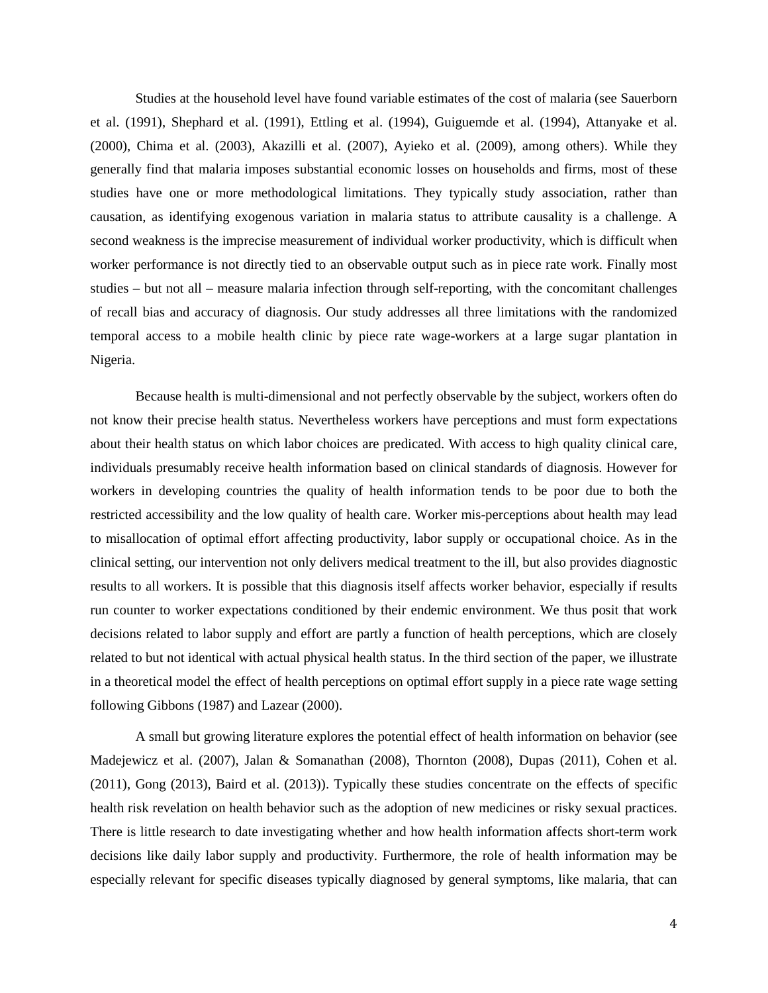Studies at the household level have found variable estimates of the cost of malaria (see Sauerborn et al. (1991), Shephard et al. (1991), Ettling et al. (1994), Guiguemde et al. (1994), Attanyake et al. (2000), Chima et al. (2003), Akazilli et al. (2007), Ayieko et al. (2009), among others). While they generally find that malaria imposes substantial economic losses on households and firms, most of these studies have one or more methodological limitations. They typically study association, rather than causation, as identifying exogenous variation in malaria status to attribute causality is a challenge. A second weakness is the imprecise measurement of individual worker productivity, which is difficult when worker performance is not directly tied to an observable output such as in piece rate work. Finally most studies – but not all – measure malaria infection through self-reporting, with the concomitant challenges of recall bias and accuracy of diagnosis. Our study addresses all three limitations with the randomized temporal access to a mobile health clinic by piece rate wage-workers at a large sugar plantation in Nigeria.

Because health is multi-dimensional and not perfectly observable by the subject, workers often do not know their precise health status. Nevertheless workers have perceptions and must form expectations about their health status on which labor choices are predicated. With access to high quality clinical care, individuals presumably receive health information based on clinical standards of diagnosis. However for workers in developing countries the quality of health information tends to be poor due to both the restricted accessibility and the low quality of health care. Worker mis-perceptions about health may lead to misallocation of optimal effort affecting productivity, labor supply or occupational choice. As in the clinical setting, our intervention not only delivers medical treatment to the ill, but also provides diagnostic results to all workers. It is possible that this diagnosis itself affects worker behavior, especially if results run counter to worker expectations conditioned by their endemic environment. We thus posit that work decisions related to labor supply and effort are partly a function of health perceptions, which are closely related to but not identical with actual physical health status. In the third section of the paper, we illustrate in a theoretical model the effect of health perceptions on optimal effort supply in a piece rate wage setting following Gibbons (1987) and Lazear (2000).

A small but growing literature explores the potential effect of health information on behavior (see Madejewicz et al. (2007), Jalan & Somanathan (2008), Thornton (2008), Dupas (2011), Cohen et al. (2011), Gong (2013), Baird et al. (2013)). Typically these studies concentrate on the effects of specific health risk revelation on health behavior such as the adoption of new medicines or risky sexual practices. There is little research to date investigating whether and how health information affects short-term work decisions like daily labor supply and productivity. Furthermore, the role of health information may be especially relevant for specific diseases typically diagnosed by general symptoms, like malaria, that can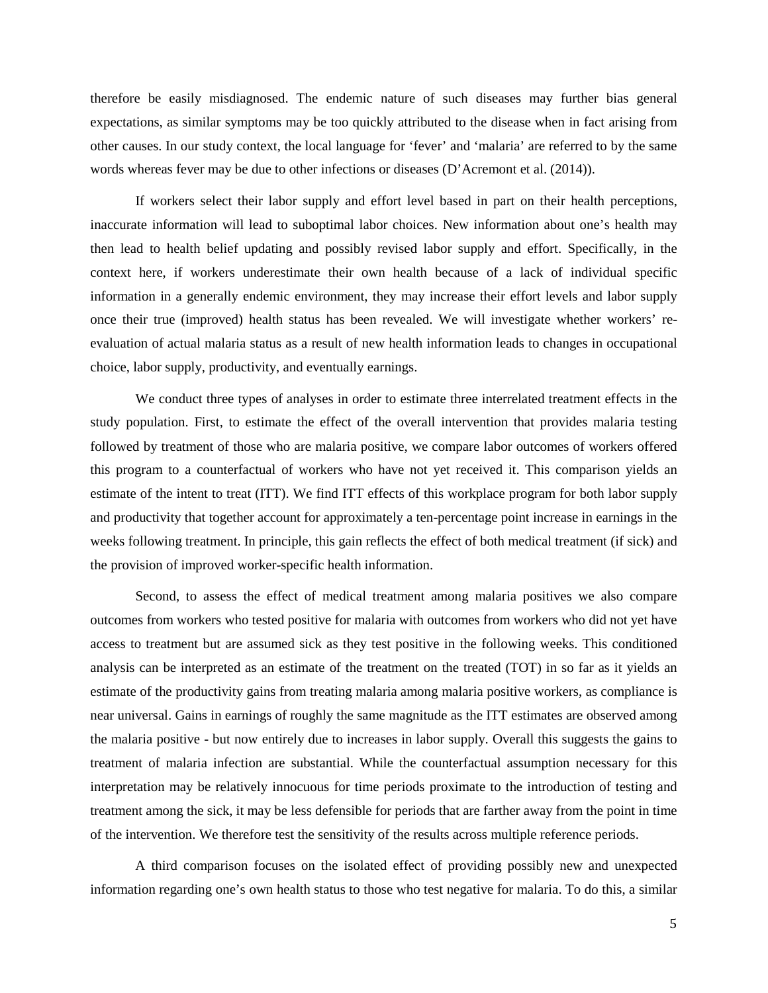therefore be easily misdiagnosed. The endemic nature of such diseases may further bias general expectations, as similar symptoms may be too quickly attributed to the disease when in fact arising from other causes. In our study context, the local language for 'fever' and 'malaria' are referred to by the same words whereas fever may be due to other infections or diseases (D'Acremont et al. (2014)).

If workers select their labor supply and effort level based in part on their health perceptions, inaccurate information will lead to suboptimal labor choices. New information about one's health may then lead to health belief updating and possibly revised labor supply and effort. Specifically, in the context here, if workers underestimate their own health because of a lack of individual specific information in a generally endemic environment, they may increase their effort levels and labor supply once their true (improved) health status has been revealed. We will investigate whether workers' reevaluation of actual malaria status as a result of new health information leads to changes in occupational choice, labor supply, productivity, and eventually earnings.

We conduct three types of analyses in order to estimate three interrelated treatment effects in the study population. First, to estimate the effect of the overall intervention that provides malaria testing followed by treatment of those who are malaria positive, we compare labor outcomes of workers offered this program to a counterfactual of workers who have not yet received it. This comparison yields an estimate of the intent to treat (ITT). We find ITT effects of this workplace program for both labor supply and productivity that together account for approximately a ten-percentage point increase in earnings in the weeks following treatment. In principle, this gain reflects the effect of both medical treatment (if sick) and the provision of improved worker-specific health information.

Second, to assess the effect of medical treatment among malaria positives we also compare outcomes from workers who tested positive for malaria with outcomes from workers who did not yet have access to treatment but are assumed sick as they test positive in the following weeks. This conditioned analysis can be interpreted as an estimate of the treatment on the treated (TOT) in so far as it yields an estimate of the productivity gains from treating malaria among malaria positive workers, as compliance is near universal. Gains in earnings of roughly the same magnitude as the ITT estimates are observed among the malaria positive - but now entirely due to increases in labor supply. Overall this suggests the gains to treatment of malaria infection are substantial. While the counterfactual assumption necessary for this interpretation may be relatively innocuous for time periods proximate to the introduction of testing and treatment among the sick, it may be less defensible for periods that are farther away from the point in time of the intervention. We therefore test the sensitivity of the results across multiple reference periods.

A third comparison focuses on the isolated effect of providing possibly new and unexpected information regarding one's own health status to those who test negative for malaria. To do this, a similar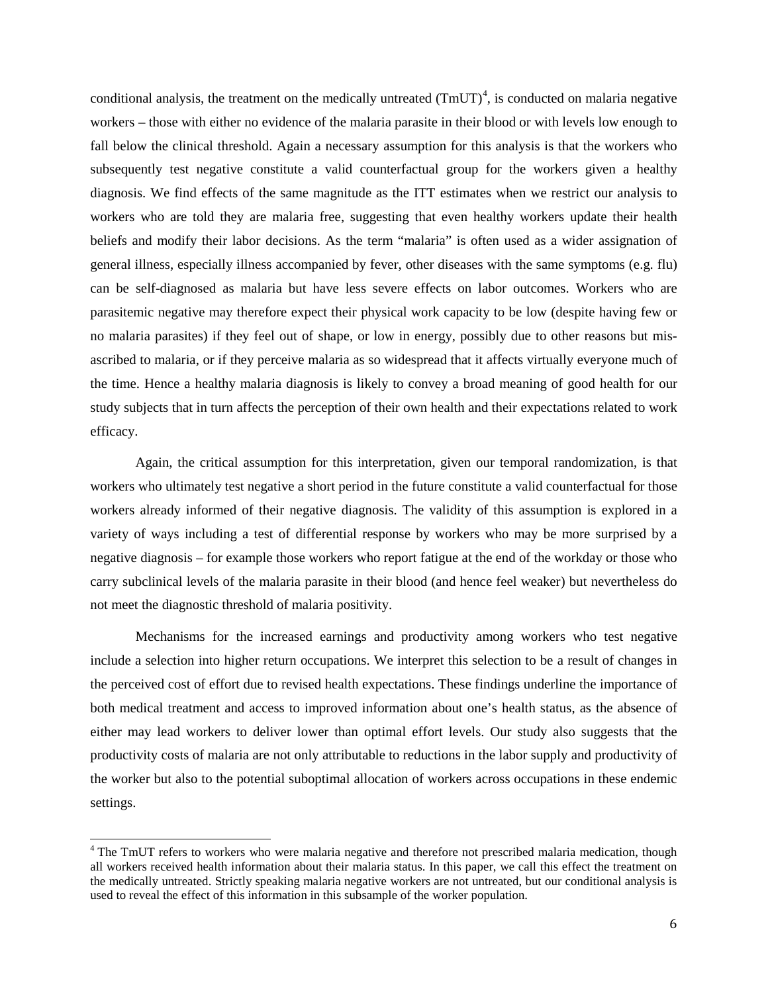conditional analysis, the treatment on the medically untreated  $(TmUT)^4$  $(TmUT)^4$ , is conducted on malaria negative workers – those with either no evidence of the malaria parasite in their blood or with levels low enough to fall below the clinical threshold. Again a necessary assumption for this analysis is that the workers who subsequently test negative constitute a valid counterfactual group for the workers given a healthy diagnosis. We find effects of the same magnitude as the ITT estimates when we restrict our analysis to workers who are told they are malaria free, suggesting that even healthy workers update their health beliefs and modify their labor decisions. As the term "malaria" is often used as a wider assignation of general illness, especially illness accompanied by fever, other diseases with the same symptoms (e.g. flu) can be self-diagnosed as malaria but have less severe effects on labor outcomes. Workers who are parasitemic negative may therefore expect their physical work capacity to be low (despite having few or no malaria parasites) if they feel out of shape, or low in energy, possibly due to other reasons but misascribed to malaria, or if they perceive malaria as so widespread that it affects virtually everyone much of the time. Hence a healthy malaria diagnosis is likely to convey a broad meaning of good health for our study subjects that in turn affects the perception of their own health and their expectations related to work efficacy.

Again, the critical assumption for this interpretation, given our temporal randomization, is that workers who ultimately test negative a short period in the future constitute a valid counterfactual for those workers already informed of their negative diagnosis. The validity of this assumption is explored in a variety of ways including a test of differential response by workers who may be more surprised by a negative diagnosis – for example those workers who report fatigue at the end of the workday or those who carry subclinical levels of the malaria parasite in their blood (and hence feel weaker) but nevertheless do not meet the diagnostic threshold of malaria positivity.

Mechanisms for the increased earnings and productivity among workers who test negative include a selection into higher return occupations. We interpret this selection to be a result of changes in the perceived cost of effort due to revised health expectations. These findings underline the importance of both medical treatment and access to improved information about one's health status, as the absence of either may lead workers to deliver lower than optimal effort levels. Our study also suggests that the productivity costs of malaria are not only attributable to reductions in the labor supply and productivity of the worker but also to the potential suboptimal allocation of workers across occupations in these endemic settings.

<span id="page-6-0"></span><sup>&</sup>lt;sup>4</sup> The TmUT refers to workers who were malaria negative and therefore not prescribed malaria medication, though all workers received health information about their malaria status. In this paper, we call this effect the treatment on the medically untreated. Strictly speaking malaria negative workers are not untreated, but our conditional analysis is used to reveal the effect of this information in this subsample of the worker population.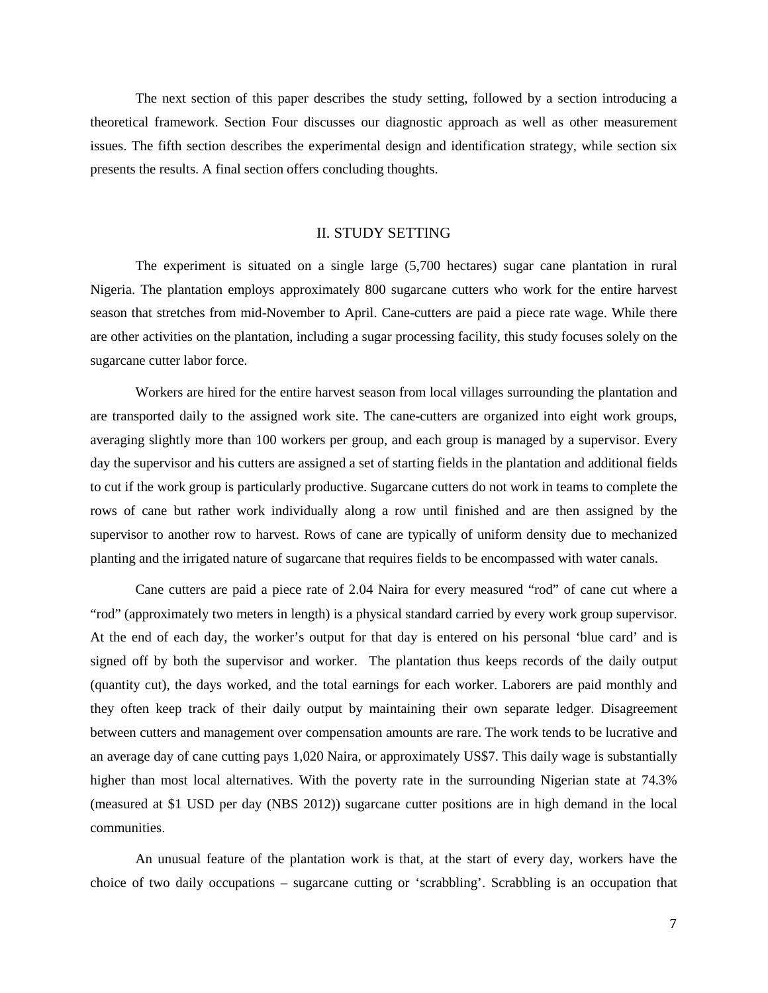The next section of this paper describes the study setting, followed by a section introducing a theoretical framework. Section Four discusses our diagnostic approach as well as other measurement issues. The fifth section describes the experimental design and identification strategy, while section six presents the results. A final section offers concluding thoughts.

#### II. STUDY SETTING

The experiment is situated on a single large (5,700 hectares) sugar cane plantation in rural Nigeria. The plantation employs approximately 800 sugarcane cutters who work for the entire harvest season that stretches from mid-November to April. Cane-cutters are paid a piece rate wage. While there are other activities on the plantation, including a sugar processing facility, this study focuses solely on the sugarcane cutter labor force.

Workers are hired for the entire harvest season from local villages surrounding the plantation and are transported daily to the assigned work site. The cane-cutters are organized into eight work groups, averaging slightly more than 100 workers per group, and each group is managed by a supervisor. Every day the supervisor and his cutters are assigned a set of starting fields in the plantation and additional fields to cut if the work group is particularly productive. Sugarcane cutters do not work in teams to complete the rows of cane but rather work individually along a row until finished and are then assigned by the supervisor to another row to harvest. Rows of cane are typically of uniform density due to mechanized planting and the irrigated nature of sugarcane that requires fields to be encompassed with water canals.

Cane cutters are paid a piece rate of 2.04 Naira for every measured "rod" of cane cut where a "rod" (approximately two meters in length) is a physical standard carried by every work group supervisor. At the end of each day, the worker's output for that day is entered on his personal 'blue card' and is signed off by both the supervisor and worker. The plantation thus keeps records of the daily output (quantity cut), the days worked, and the total earnings for each worker. Laborers are paid monthly and they often keep track of their daily output by maintaining their own separate ledger. Disagreement between cutters and management over compensation amounts are rare. The work tends to be lucrative and an average day of cane cutting pays 1,020 Naira, or approximately US\$7. This daily wage is substantially higher than most local alternatives. With the poverty rate in the surrounding Nigerian state at 74.3% (measured at \$1 USD per day (NBS 2012)) sugarcane cutter positions are in high demand in the local communities.

An unusual feature of the plantation work is that, at the start of every day, workers have the choice of two daily occupations – sugarcane cutting or 'scrabbling'. Scrabbling is an occupation that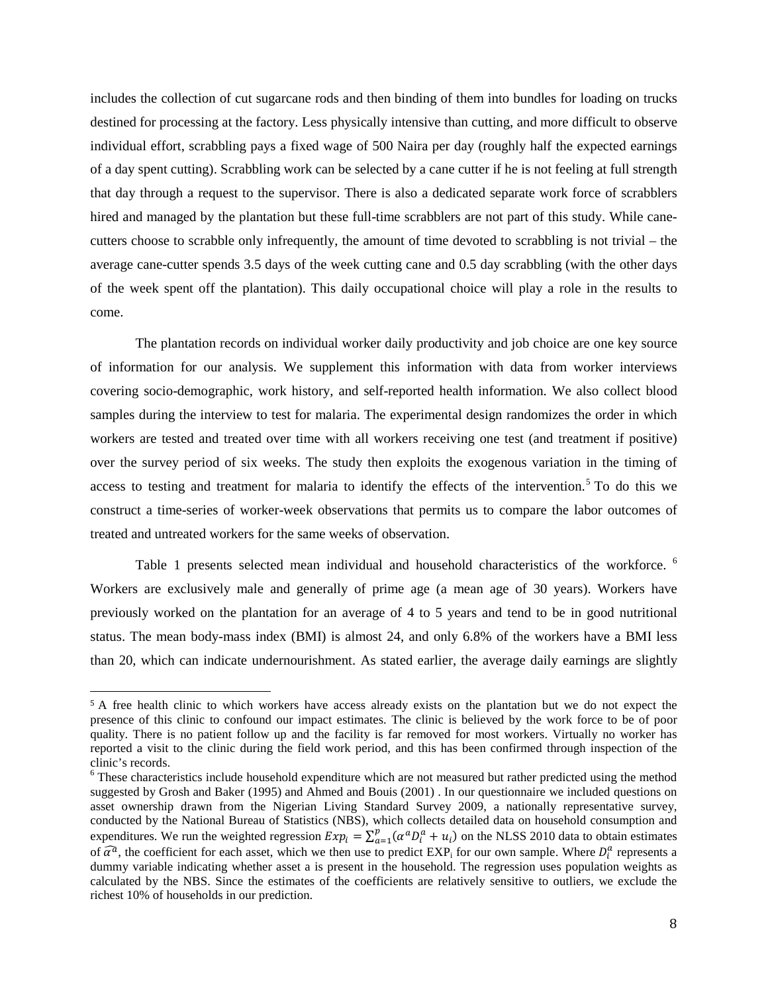includes the collection of cut sugarcane rods and then binding of them into bundles for loading on trucks destined for processing at the factory. Less physically intensive than cutting, and more difficult to observe individual effort, scrabbling pays a fixed wage of 500 Naira per day (roughly half the expected earnings of a day spent cutting). Scrabbling work can be selected by a cane cutter if he is not feeling at full strength that day through a request to the supervisor. There is also a dedicated separate work force of scrabblers hired and managed by the plantation but these full-time scrabblers are not part of this study. While canecutters choose to scrabble only infrequently, the amount of time devoted to scrabbling is not trivial – the average cane-cutter spends 3.5 days of the week cutting cane and 0.5 day scrabbling (with the other days of the week spent off the plantation). This daily occupational choice will play a role in the results to come.

The plantation records on individual worker daily productivity and job choice are one key source of information for our analysis. We supplement this information with data from worker interviews covering socio-demographic, work history, and self-reported health information. We also collect blood samples during the interview to test for malaria. The experimental design randomizes the order in which workers are tested and treated over time with all workers receiving one test (and treatment if positive) over the survey period of six weeks. The study then exploits the exogenous variation in the timing of access to testing and treatment for malaria to identify the effects of the intervention. [5](#page-8-0) To do this we construct a time-series of worker-week observations that permits us to compare the labor outcomes of treated and untreated workers for the same weeks of observation.

Table 1 presents selected mean individual and household characteristics of the workforce. <sup>[6](#page-8-1)</sup> Workers are exclusively male and generally of prime age (a mean age of 30 years). Workers have previously worked on the plantation for an average of 4 to 5 years and tend to be in good nutritional status. The mean body-mass index (BMI) is almost 24, and only 6.8% of the workers have a BMI less than 20, which can indicate undernourishment. As stated earlier, the average daily earnings are slightly

<span id="page-8-0"></span> <sup>5</sup> A free health clinic to which workers have access already exists on the plantation but we do not expect the presence of this clinic to confound our impact estimates. The clinic is believed by the work force to be of poor quality. There is no patient follow up and the facility is far removed for most workers. Virtually no worker has reported a visit to the clinic during the field work period, and this has been confirmed through inspection of the clinic's records.

<span id="page-8-1"></span><sup>&</sup>lt;sup>6</sup> These characteristics include household expenditure which are not measured but rather predicted using the method suggested by Grosh and Baker (1995) and Ahmed and Bouis (2001) . In our questionnaire we included questions on asset ownership drawn from the Nigerian Living Standard Survey 2009, a nationally representative survey, conducted by the National Bureau of Statistics (NBS), which collects detailed data on household consumption and expenditures. We run the weighted regression  $Exp_i = \sum_{\alpha=1}^{p} (\alpha^{\alpha} D_i^{\alpha} + u_i)$  on the NLSS 2010 data to obtain estimates of  $\widehat{\alpha}^a$ , the coefficient for each asset, which we then use to predict  $EXP_i$  for our own sample. Where  $D_i^a$  represents a dummy variable indicating whether asset a is present in the household. The regression uses population weights as calculated by the NBS. Since the estimates of the coefficients are relatively sensitive to outliers, we exclude the richest 10% of households in our prediction.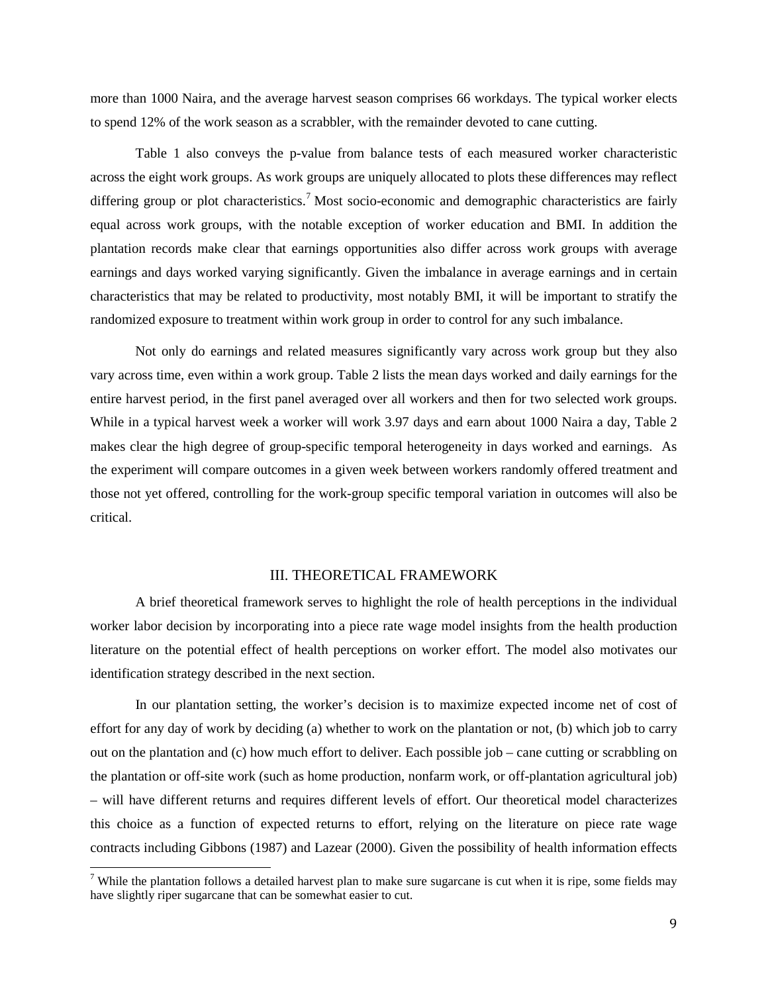more than 1000 Naira, and the average harvest season comprises 66 workdays. The typical worker elects to spend 12% of the work season as a scrabbler, with the remainder devoted to cane cutting.

Table 1 also conveys the p-value from balance tests of each measured worker characteristic across the eight work groups. As work groups are uniquely allocated to plots these differences may reflect differing group or plot characteristics.<sup>[7](#page-9-0)</sup> Most socio-economic and demographic characteristics are fairly equal across work groups, with the notable exception of worker education and BMI. In addition the plantation records make clear that earnings opportunities also differ across work groups with average earnings and days worked varying significantly. Given the imbalance in average earnings and in certain characteristics that may be related to productivity, most notably BMI, it will be important to stratify the randomized exposure to treatment within work group in order to control for any such imbalance.

Not only do earnings and related measures significantly vary across work group but they also vary across time, even within a work group. Table 2 lists the mean days worked and daily earnings for the entire harvest period, in the first panel averaged over all workers and then for two selected work groups. While in a typical harvest week a worker will work 3.97 days and earn about 1000 Naira a day, Table 2 makes clear the high degree of group-specific temporal heterogeneity in days worked and earnings. As the experiment will compare outcomes in a given week between workers randomly offered treatment and those not yet offered, controlling for the work-group specific temporal variation in outcomes will also be critical.

#### III. THEORETICAL FRAMEWORK

A brief theoretical framework serves to highlight the role of health perceptions in the individual worker labor decision by incorporating into a piece rate wage model insights from the health production literature on the potential effect of health perceptions on worker effort. The model also motivates our identification strategy described in the next section.

In our plantation setting, the worker's decision is to maximize expected income net of cost of effort for any day of work by deciding (a) whether to work on the plantation or not, (b) which job to carry out on the plantation and (c) how much effort to deliver. Each possible job – cane cutting or scrabbling on the plantation or off-site work (such as home production, nonfarm work, or off-plantation agricultural job) – will have different returns and requires different levels of effort. Our theoretical model characterizes this choice as a function of expected returns to effort, relying on the literature on piece rate wage contracts including Gibbons (1987) and Lazear (2000). Given the possibility of health information effects

<span id="page-9-0"></span><sup>&</sup>lt;sup>7</sup> While the plantation follows a detailed harvest plan to make sure sugarcane is cut when it is ripe, some fields may have slightly riper sugarcane that can be somewhat easier to cut.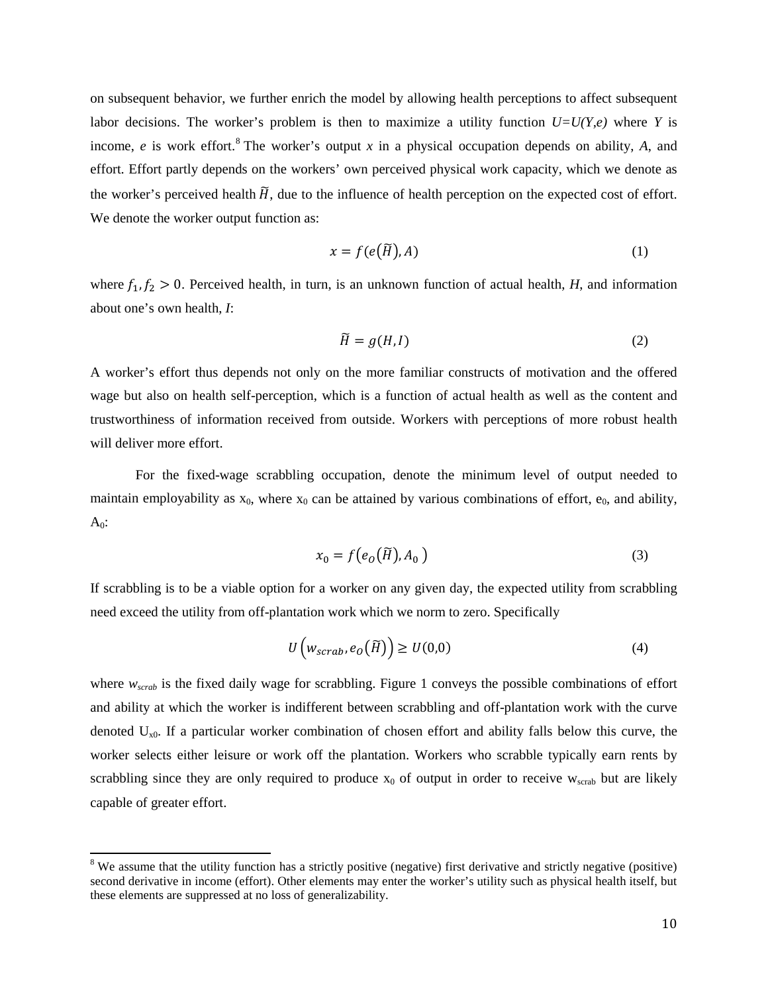on subsequent behavior, we further enrich the model by allowing health perceptions to affect subsequent labor decisions. The worker's problem is then to maximize a utility function  $U=U(Y,e)$  where *Y* is income, *e* is work effort. [8](#page-10-0) The worker's output *x* in a physical occupation depends on ability, *A*, and effort. Effort partly depends on the workers' own perceived physical work capacity, which we denote as the worker's perceived health  $\widetilde{H}$ , due to the influence of health perception on the expected cost of effort. We denote the worker output function as:

$$
x = f(e(\widetilde{H}), A) \tag{1}
$$

where  $f_1, f_2 > 0$ . Perceived health, in turn, is an unknown function of actual health, *H*, and information about one's own health, *I*:

$$
\widetilde{H} = g(H, I) \tag{2}
$$

A worker's effort thus depends not only on the more familiar constructs of motivation and the offered wage but also on health self-perception, which is a function of actual health as well as the content and trustworthiness of information received from outside. Workers with perceptions of more robust health will deliver more effort.

For the fixed-wage scrabbling occupation, denote the minimum level of output needed to maintain employability as  $x_0$ , where  $x_0$  can be attained by various combinations of effort,  $e_0$ , and ability,  $A_0$ :

$$
x_0 = f\big(e_0\big(\widetilde{H}\big), A_0\big) \tag{3}
$$

If scrabbling is to be a viable option for a worker on any given day, the expected utility from scrabbling need exceed the utility from off-plantation work which we norm to zero. Specifically

$$
U\left(w_{scrab}, e_0(\widetilde{H})\right) \ge U(0,0) \tag{4}
$$

where  $w_{\text{scrab}}$  is the fixed daily wage for scrabbling. Figure 1 conveys the possible combinations of effort and ability at which the worker is indifferent between scrabbling and off-plantation work with the curve denoted  $U_{x0}$ . If a particular worker combination of chosen effort and ability falls below this curve, the worker selects either leisure or work off the plantation. Workers who scrabble typically earn rents by scrabbling since they are only required to produce  $x_0$  of output in order to receive  $w_{\text{scrab}}$  but are likely capable of greater effort.

<span id="page-10-0"></span><sup>&</sup>lt;sup>8</sup> We assume that the utility function has a strictly positive (negative) first derivative and strictly negative (positive) second derivative in income (effort). Other elements may enter the worker's utility such as physical health itself, but these elements are suppressed at no loss of generalizability.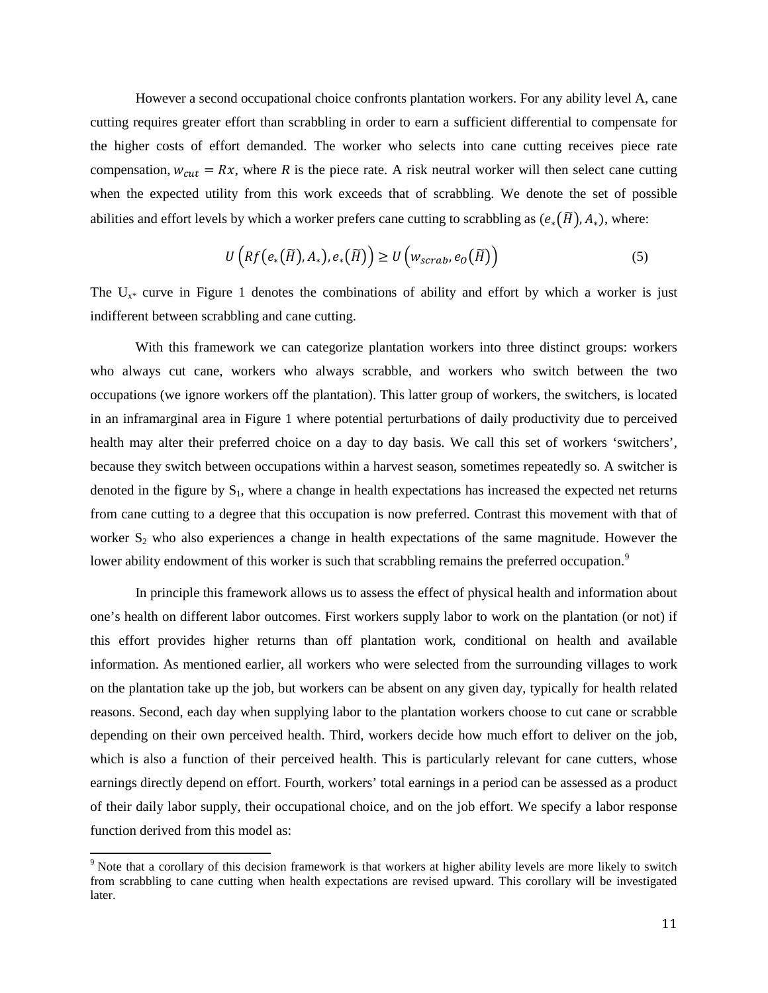However a second occupational choice confronts plantation workers. For any ability level A, cane cutting requires greater effort than scrabbling in order to earn a sufficient differential to compensate for the higher costs of effort demanded. The worker who selects into cane cutting receives piece rate compensation,  $w_{cut} = Rx$ , where *R* is the piece rate. A risk neutral worker will then select cane cutting when the expected utility from this work exceeds that of scrabbling. We denote the set of possible abilities and effort levels by which a worker prefers cane cutting to scrabbling as  $(e_*(\widetilde{H}), A_*)$ , where:

$$
U\left(Rf\left(e_*(\widetilde{H}),A_*\right),e_*(\widetilde{H})\right) \ge U\left(w_{scrab},e_0(\widetilde{H})\right) \tag{5}
$$

The  $U_{x^*}$  curve in Figure 1 denotes the combinations of ability and effort by which a worker is just indifferent between scrabbling and cane cutting.

With this framework we can categorize plantation workers into three distinct groups: workers who always cut cane, workers who always scrabble, and workers who switch between the two occupations (we ignore workers off the plantation). This latter group of workers, the switchers, is located in an inframarginal area in Figure 1 where potential perturbations of daily productivity due to perceived health may alter their preferred choice on a day to day basis. We call this set of workers 'switchers', because they switch between occupations within a harvest season, sometimes repeatedly so. A switcher is denoted in the figure by  $S_1$ , where a change in health expectations has increased the expected net returns from cane cutting to a degree that this occupation is now preferred. Contrast this movement with that of worker S<sub>2</sub> who also experiences a change in health expectations of the same magnitude. However the lower ability endowment of this worker is such that scrabbling remains the preferred occupation.<sup>[9](#page-11-0)</sup>

In principle this framework allows us to assess the effect of physical health and information about one's health on different labor outcomes. First workers supply labor to work on the plantation (or not) if this effort provides higher returns than off plantation work, conditional on health and available information. As mentioned earlier, all workers who were selected from the surrounding villages to work on the plantation take up the job, but workers can be absent on any given day, typically for health related reasons. Second, each day when supplying labor to the plantation workers choose to cut cane or scrabble depending on their own perceived health. Third, workers decide how much effort to deliver on the job, which is also a function of their perceived health. This is particularly relevant for cane cutters, whose earnings directly depend on effort. Fourth, workers' total earnings in a period can be assessed as a product of their daily labor supply, their occupational choice, and on the job effort. We specify a labor response function derived from this model as:

<span id="page-11-0"></span><sup>&</sup>lt;sup>9</sup> Note that a corollary of this decision framework is that workers at higher ability levels are more likely to switch from scrabbling to cane cutting when health expectations are revised upward. This corollary will be investigated later.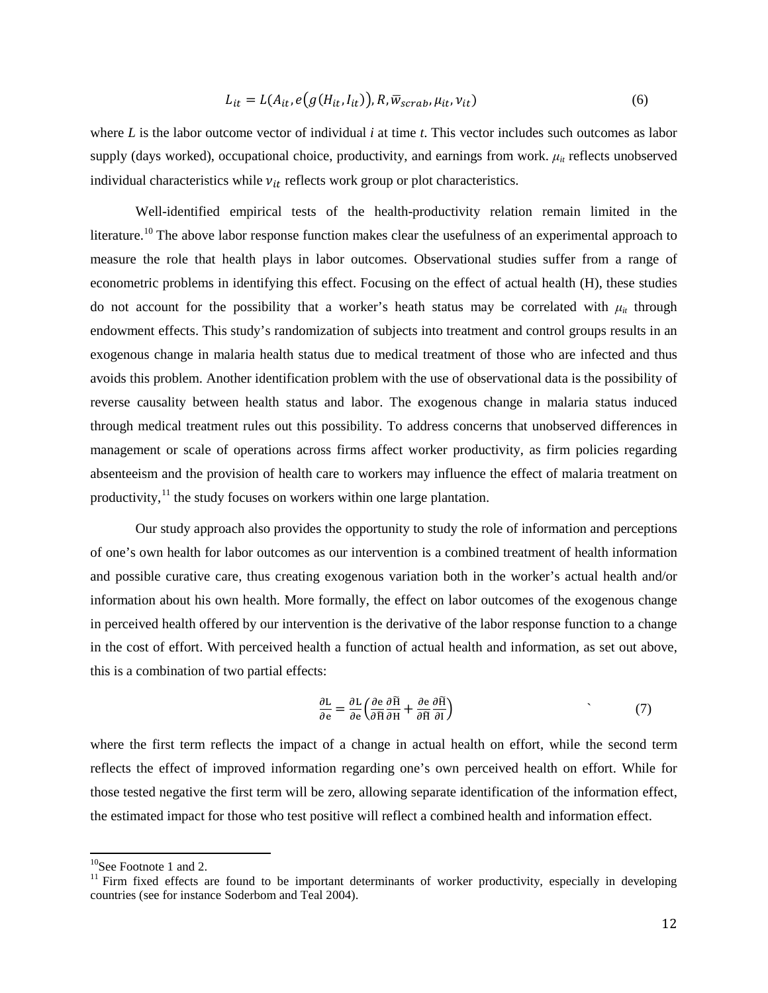$$
L_{it} = L(A_{it}, e(g(H_{it}, I_{it})), R, \overline{w}_{scrab}, \mu_{it}, \nu_{it})
$$
\n(6)

where *L* is the labor outcome vector of individual *i* at time *t*. This vector includes such outcomes as labor supply (days worked), occupational choice, productivity, and earnings from work.  $\mu_{it}$  reflects unobserved individual characteristics while  $v_{it}$  reflects work group or plot characteristics.

Well-identified empirical tests of the health-productivity relation remain limited in the literature.<sup>[10](#page-12-0)</sup> The above labor response function makes clear the usefulness of an experimental approach to measure the role that health plays in labor outcomes. Observational studies suffer from a range of econometric problems in identifying this effect. Focusing on the effect of actual health (H), these studies do not account for the possibility that a worker's heath status may be correlated with  $\mu_{it}$  through endowment effects. This study's randomization of subjects into treatment and control groups results in an exogenous change in malaria health status due to medical treatment of those who are infected and thus avoids this problem. Another identification problem with the use of observational data is the possibility of reverse causality between health status and labor. The exogenous change in malaria status induced through medical treatment rules out this possibility. To address concerns that unobserved differences in management or scale of operations across firms affect worker productivity, as firm policies regarding absenteeism and the provision of health care to workers may influence the effect of malaria treatment on productivity,<sup>[11](#page-12-1)</sup> the study focuses on workers within one large plantation.

Our study approach also provides the opportunity to study the role of information and perceptions of one's own health for labor outcomes as our intervention is a combined treatment of health information and possible curative care, thus creating exogenous variation both in the worker's actual health and/or information about his own health. More formally, the effect on labor outcomes of the exogenous change in perceived health offered by our intervention is the derivative of the labor response function to a change in the cost of effort. With perceived health a function of actual health and information, as set out above, this is a combination of two partial effects:

$$
\frac{\partial L}{\partial e} = \frac{\partial L}{\partial e} \left( \frac{\partial e}{\partial \widetilde{H}} \frac{\partial \widetilde{H}}{\partial H} + \frac{\partial e}{\partial \widetilde{H}} \frac{\partial \widetilde{H}}{\partial I} \right) \tag{7}
$$

where the first term reflects the impact of a change in actual health on effort, while the second term reflects the effect of improved information regarding one's own perceived health on effort. While for those tested negative the first term will be zero, allowing separate identification of the information effect, the estimated impact for those who test positive will reflect a combined health and information effect.

<span id="page-12-1"></span><span id="page-12-0"></span><sup>&</sup>lt;sup>10</sup>See Footnote 1 and 2.<br><sup>11</sup> Firm fixed effects are found to be important determinants of worker productivity, especially in developing countries (see for instance Soderbom and Teal 2004).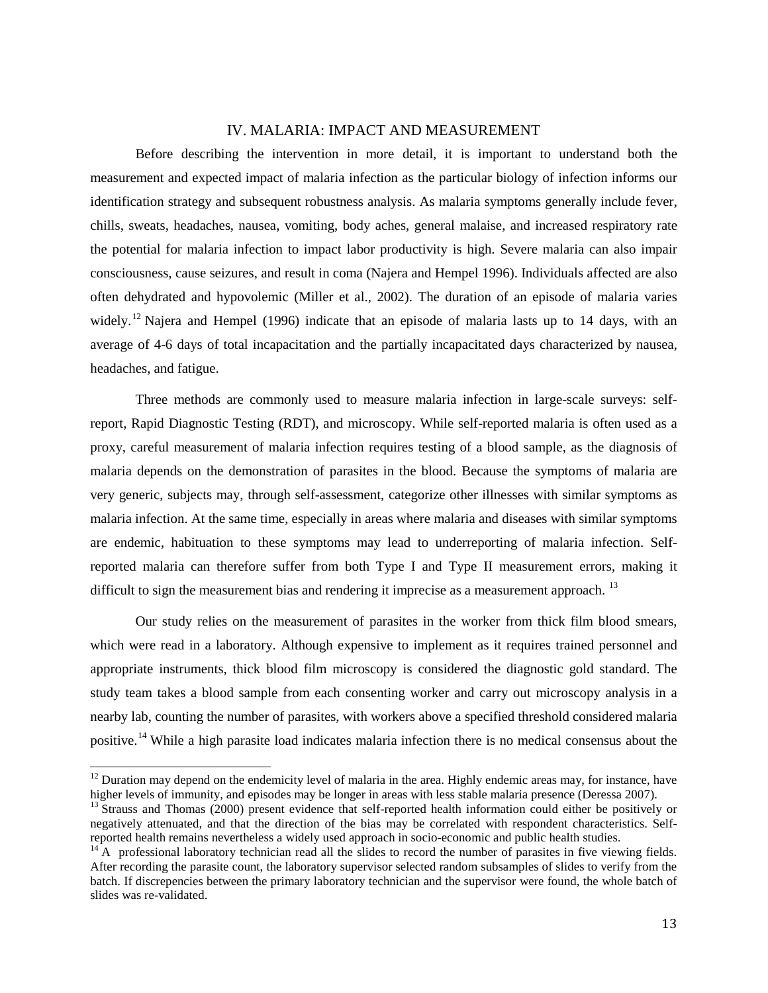#### IV. MALARIA: IMPACT AND MEASUREMENT

Before describing the intervention in more detail, it is important to understand both the measurement and expected impact of malaria infection as the particular biology of infection informs our identification strategy and subsequent robustness analysis. As malaria symptoms generally include fever, chills, sweats, headaches, nausea, vomiting, body aches, general malaise, and increased respiratory rate the potential for malaria infection to impact labor productivity is high. Severe malaria can also impair consciousness, cause seizures, and result in coma (Najera and Hempel 1996). Individuals affected are also often dehydrated and hypovolemic (Miller et al., 2002). The duration of an episode of malaria varies widely.<sup>[12](#page-13-0)</sup> Najera and Hempel (1996) indicate that an episode of malaria lasts up to 14 days, with an average of 4-6 days of total incapacitation and the partially incapacitated days characterized by nausea, headaches, and fatigue.

Three methods are commonly used to measure malaria infection in large-scale surveys: selfreport, Rapid Diagnostic Testing (RDT), and microscopy. While self-reported malaria is often used as a proxy, careful measurement of malaria infection requires testing of a blood sample, as the diagnosis of malaria depends on the demonstration of parasites in the blood. Because the symptoms of malaria are very generic, subjects may, through self-assessment, categorize other illnesses with similar symptoms as malaria infection. At the same time, especially in areas where malaria and diseases with similar symptoms are endemic, habituation to these symptoms may lead to underreporting of malaria infection. Selfreported malaria can therefore suffer from both Type I and Type II measurement errors, making it difficult to sign the measurement bias and rendering it imprecise as a measurement approach.<sup>[13](#page-13-1)</sup>

Our study relies on the measurement of parasites in the worker from thick film blood smears, which were read in a laboratory. Although expensive to implement as it requires trained personnel and appropriate instruments, thick blood film microscopy is considered the diagnostic gold standard. The study team takes a blood sample from each consenting worker and carry out microscopy analysis in a nearby lab, counting the number of parasites, with workers above a specified threshold considered malaria positive.<sup>[14](#page-13-2)</sup> While a high parasite load indicates malaria infection there is no medical consensus about the

<span id="page-13-0"></span> $12$  Duration may depend on the endemicity level of malaria in the area. Highly endemic areas may, for instance, have higher levels of immunity, and episodes may be longer in areas with less stable malaria presence (Deressa 2007).

<span id="page-13-1"></span><sup>&</sup>lt;sup>13</sup> Strauss and Thomas (2000) present evidence that self-reported health information could either be positively or negatively attenuated, and that the direction of the bias may be correlated with respondent characteristics. Self-<br>reported health remains nevertheless a widely used approach in socio-economic and public health studies.

<span id="page-13-2"></span> $14$ <sup>T4</sup> A professional laboratory technician read all the slides to record the number of parasites in five viewing fields. After recording the parasite count, the laboratory supervisor selected random subsamples of slides to verify from the batch. If discrepencies between the primary laboratory technician and the supervisor were found, the whole batch of slides was re-validated.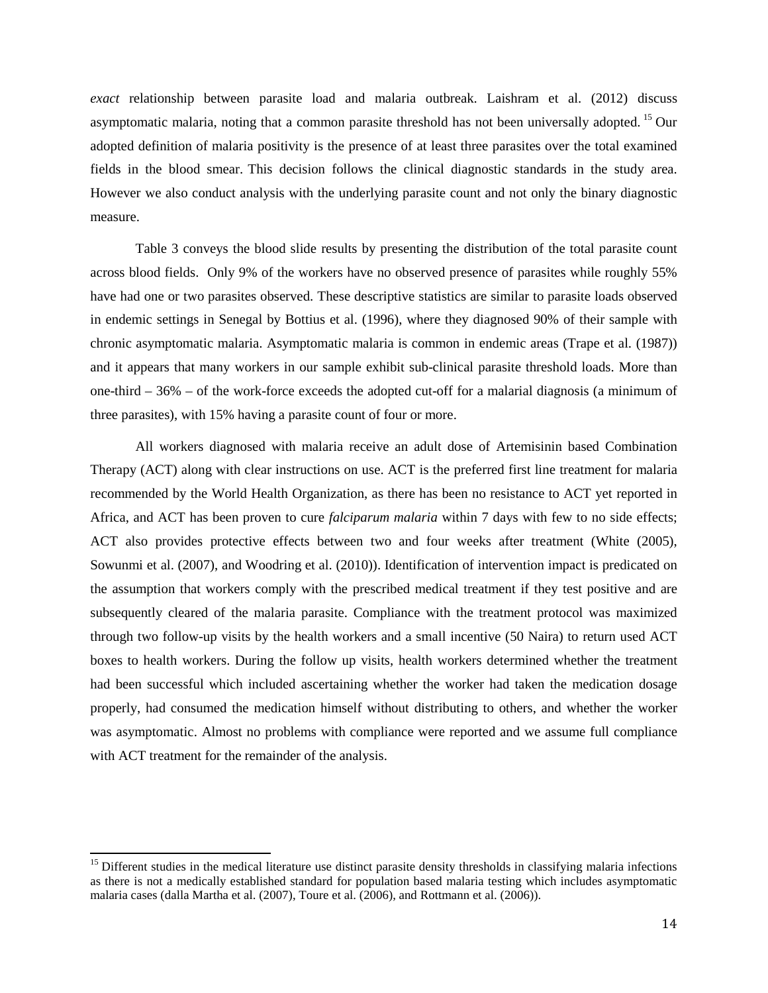*exact* relationship between parasite load and malaria outbreak. Laishram et al. (2012) discuss asymptomatic malaria, noting that a common parasite threshold has not been universally adopted. [15](#page-14-0) Our adopted definition of malaria positivity is the presence of at least three parasites over the total examined fields in the blood smear. This decision follows the clinical diagnostic standards in the study area. However we also conduct analysis with the underlying parasite count and not only the binary diagnostic measure.

Table 3 conveys the blood slide results by presenting the distribution of the total parasite count across blood fields. Only 9% of the workers have no observed presence of parasites while roughly 55% have had one or two parasites observed. These descriptive statistics are similar to parasite loads observed in endemic settings in Senegal by Bottius et al. (1996), where they diagnosed 90% of their sample with chronic asymptomatic malaria. Asymptomatic malaria is common in endemic areas (Trape et al. (1987)) and it appears that many workers in our sample exhibit sub-clinical parasite threshold loads. More than one-third – 36% – of the work-force exceeds the adopted cut-off for a malarial diagnosis (a minimum of three parasites), with 15% having a parasite count of four or more.

All workers diagnosed with malaria receive an adult dose of Artemisinin based Combination Therapy (ACT) along with clear instructions on use. ACT is the preferred first line treatment for malaria recommended by the World Health Organization, as there has been no resistance to ACT yet reported in Africa, and ACT has been proven to cure *falciparum malaria* within 7 days with few to no side effects; ACT also provides protective effects between two and four weeks after treatment (White (2005), Sowunmi et al. (2007), and Woodring et al. (2010)). Identification of intervention impact is predicated on the assumption that workers comply with the prescribed medical treatment if they test positive and are subsequently cleared of the malaria parasite. Compliance with the treatment protocol was maximized through two follow-up visits by the health workers and a small incentive (50 Naira) to return used ACT boxes to health workers. During the follow up visits, health workers determined whether the treatment had been successful which included ascertaining whether the worker had taken the medication dosage properly, had consumed the medication himself without distributing to others, and whether the worker was asymptomatic. Almost no problems with compliance were reported and we assume full compliance with ACT treatment for the remainder of the analysis.

<span id="page-14-0"></span><sup>&</sup>lt;sup>15</sup> Different studies in the medical literature use distinct parasite density thresholds in classifying malaria infections as there is not a medically established standard for population based malaria testing which includes asymptomatic malaria cases (dalla Martha et al. (2007), Toure et al. (2006), and Rottmann et al. (2006)).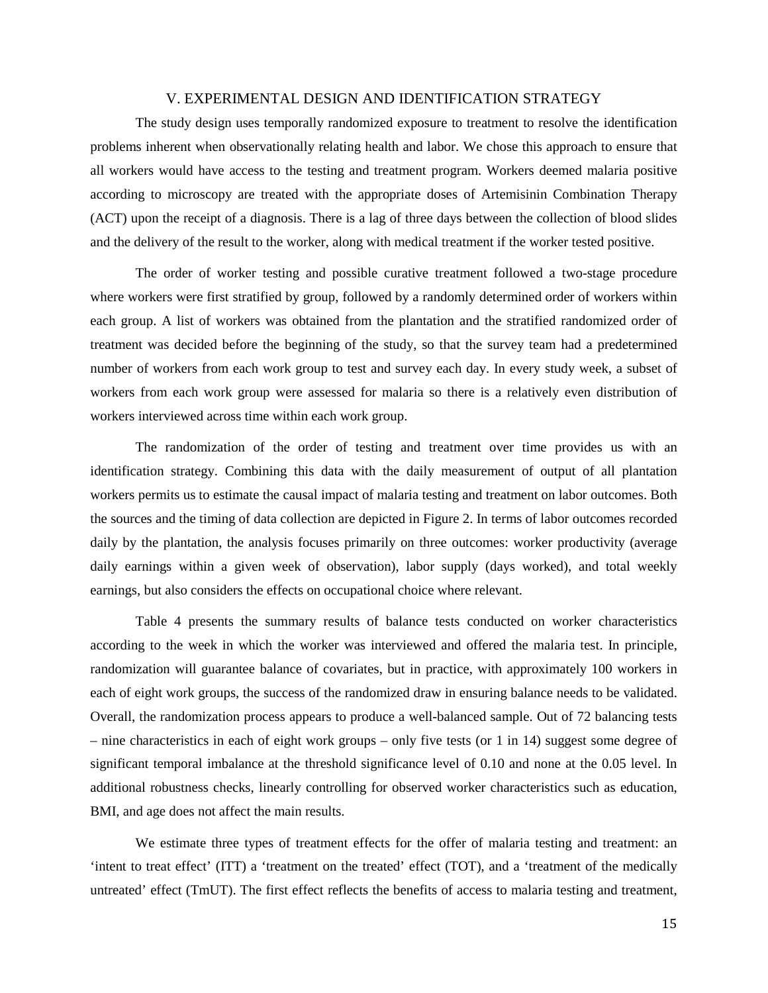#### V. EXPERIMENTAL DESIGN AND IDENTIFICATION STRATEGY

The study design uses temporally randomized exposure to treatment to resolve the identification problems inherent when observationally relating health and labor. We chose this approach to ensure that all workers would have access to the testing and treatment program. Workers deemed malaria positive according to microscopy are treated with the appropriate doses of Artemisinin Combination Therapy (ACT) upon the receipt of a diagnosis. There is a lag of three days between the collection of blood slides and the delivery of the result to the worker, along with medical treatment if the worker tested positive.

The order of worker testing and possible curative treatment followed a two-stage procedure where workers were first stratified by group, followed by a randomly determined order of workers within each group. A list of workers was obtained from the plantation and the stratified randomized order of treatment was decided before the beginning of the study, so that the survey team had a predetermined number of workers from each work group to test and survey each day. In every study week, a subset of workers from each work group were assessed for malaria so there is a relatively even distribution of workers interviewed across time within each work group.

The randomization of the order of testing and treatment over time provides us with an identification strategy. Combining this data with the daily measurement of output of all plantation workers permits us to estimate the causal impact of malaria testing and treatment on labor outcomes. Both the sources and the timing of data collection are depicted in Figure 2. In terms of labor outcomes recorded daily by the plantation, the analysis focuses primarily on three outcomes: worker productivity (average daily earnings within a given week of observation), labor supply (days worked), and total weekly earnings, but also considers the effects on occupational choice where relevant.

Table 4 presents the summary results of balance tests conducted on worker characteristics according to the week in which the worker was interviewed and offered the malaria test. In principle, randomization will guarantee balance of covariates, but in practice, with approximately 100 workers in each of eight work groups, the success of the randomized draw in ensuring balance needs to be validated. Overall, the randomization process appears to produce a well-balanced sample. Out of 72 balancing tests – nine characteristics in each of eight work groups – only five tests (or 1 in 14) suggest some degree of significant temporal imbalance at the threshold significance level of 0.10 and none at the 0.05 level. In additional robustness checks, linearly controlling for observed worker characteristics such as education, BMI, and age does not affect the main results.

We estimate three types of treatment effects for the offer of malaria testing and treatment: an 'intent to treat effect' (ITT) a 'treatment on the treated' effect (TOT), and a 'treatment of the medically untreated' effect (TmUT). The first effect reflects the benefits of access to malaria testing and treatment,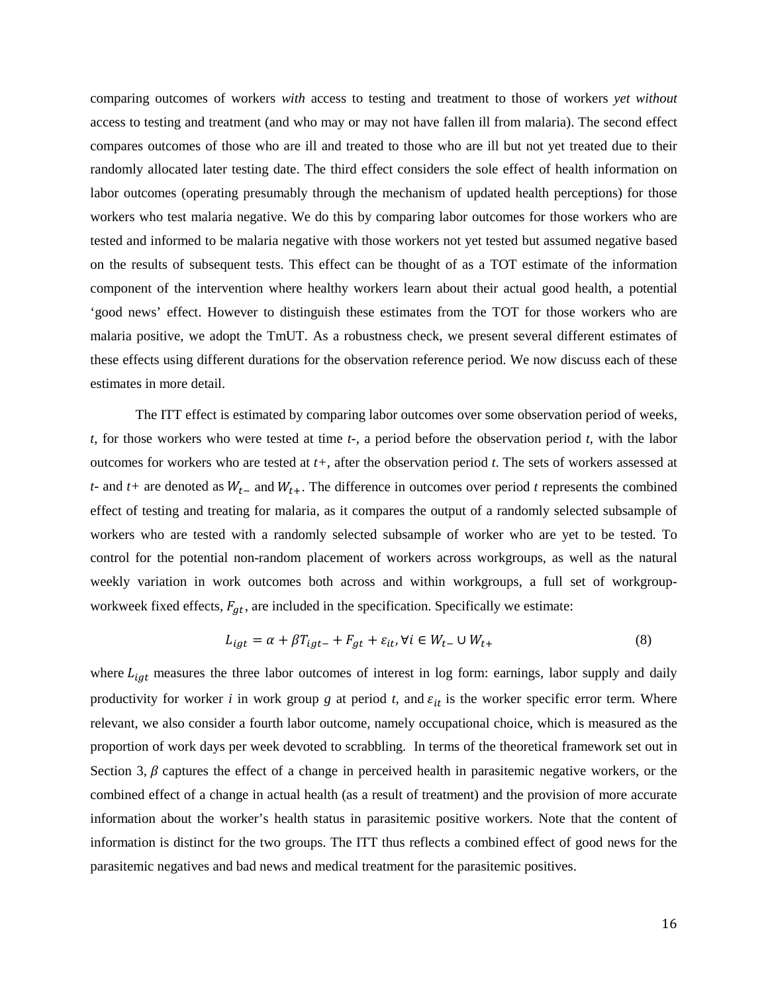comparing outcomes of workers *with* access to testing and treatment to those of workers *yet without* access to testing and treatment (and who may or may not have fallen ill from malaria). The second effect compares outcomes of those who are ill and treated to those who are ill but not yet treated due to their randomly allocated later testing date. The third effect considers the sole effect of health information on labor outcomes (operating presumably through the mechanism of updated health perceptions) for those workers who test malaria negative. We do this by comparing labor outcomes for those workers who are tested and informed to be malaria negative with those workers not yet tested but assumed negative based on the results of subsequent tests. This effect can be thought of as a TOT estimate of the information component of the intervention where healthy workers learn about their actual good health, a potential 'good news' effect. However to distinguish these estimates from the TOT for those workers who are malaria positive, we adopt the TmUT. As a robustness check, we present several different estimates of these effects using different durations for the observation reference period. We now discuss each of these estimates in more detail.

The ITT effect is estimated by comparing labor outcomes over some observation period of weeks, *t*, for those workers who were tested at time *t-*, a period before the observation period *t*, with the labor outcomes for workers who are tested at *t+*, after the observation period *t*. The sets of workers assessed at *t*- and *t*+ are denoted as  $W_{t-}$  and  $W_{t+}$ . The difference in outcomes over period *t* represents the combined effect of testing and treating for malaria, as it compares the output of a randomly selected subsample of workers who are tested with a randomly selected subsample of worker who are yet to be tested. To control for the potential non-random placement of workers across workgroups, as well as the natural weekly variation in work outcomes both across and within workgroups, a full set of workgroupworkweek fixed effects,  $F_{gt}$ , are included in the specification. Specifically we estimate:

$$
L_{igt} = \alpha + \beta T_{igt-} + F_{gt} + \varepsilon_{it}, \forall i \in W_{t-} \cup W_{t+}
$$
\n
$$
\tag{8}
$$

where  $L_{igt}$  measures the three labor outcomes of interest in log form: earnings, labor supply and daily productivity for worker *i* in work group  $g$  at period  $t$ , and  $\varepsilon_{it}$  is the worker specific error term. Where relevant, we also consider a fourth labor outcome, namely occupational choice, which is measured as the proportion of work days per week devoted to scrabbling. In terms of the theoretical framework set out in Section 3,  $\beta$  captures the effect of a change in perceived health in parasitemic negative workers, or the combined effect of a change in actual health (as a result of treatment) and the provision of more accurate information about the worker's health status in parasitemic positive workers. Note that the content of information is distinct for the two groups. The ITT thus reflects a combined effect of good news for the parasitemic negatives and bad news and medical treatment for the parasitemic positives.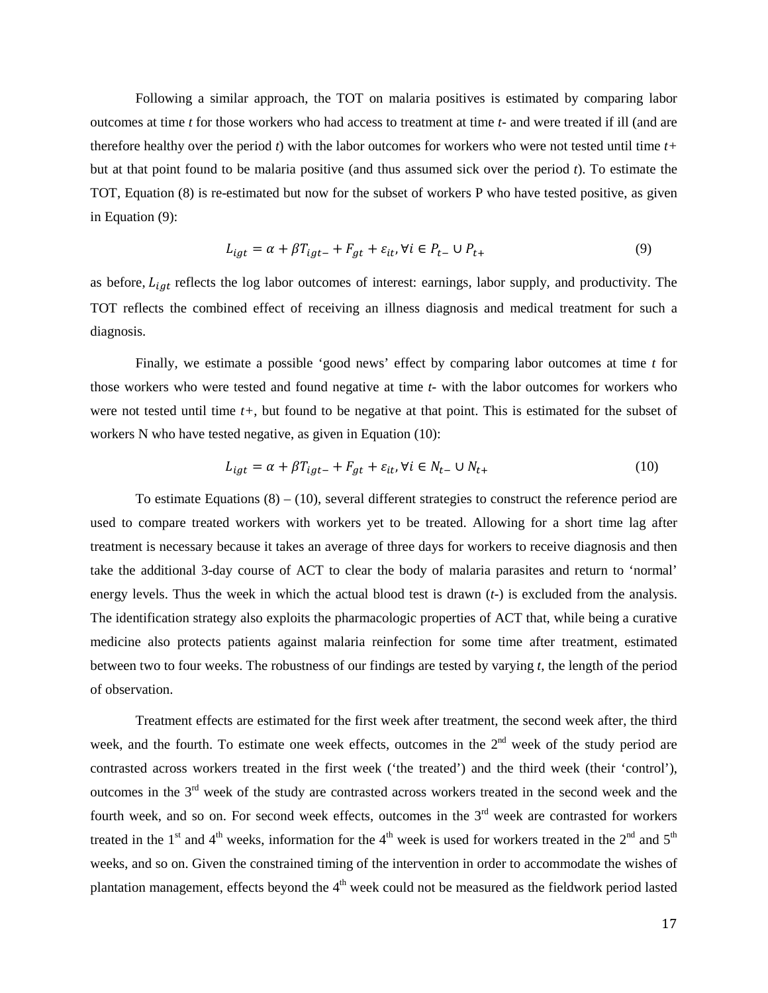Following a similar approach, the TOT on malaria positives is estimated by comparing labor outcomes at time *t* for those workers who had access to treatment at time *t-* and were treated if ill (and are therefore healthy over the period *t*) with the labor outcomes for workers who were not tested until time *t+* but at that point found to be malaria positive (and thus assumed sick over the period *t*). To estimate the TOT, Equation (8) is re-estimated but now for the subset of workers P who have tested positive, as given in Equation (9):

$$
L_{igt} = \alpha + \beta T_{igt-} + F_{gt} + \varepsilon_{it}, \forall i \in P_{t-} \cup P_{t+}
$$
\n
$$
\tag{9}
$$

as before,  $L_{int}$  reflects the log labor outcomes of interest: earnings, labor supply, and productivity. The TOT reflects the combined effect of receiving an illness diagnosis and medical treatment for such a diagnosis.

Finally, we estimate a possible 'good news' effect by comparing labor outcomes at time *t* for those workers who were tested and found negative at time *t-* with the labor outcomes for workers who were not tested until time *t+*, but found to be negative at that point. This is estimated for the subset of workers N who have tested negative, as given in Equation (10):

$$
L_{igt} = \alpha + \beta T_{igt} + F_{gt} + \varepsilon_{it}, \forall i \in N_{t-} \cup N_{t+}
$$
\n(10)

To estimate Equations  $(8) - (10)$ , several different strategies to construct the reference period are used to compare treated workers with workers yet to be treated. Allowing for a short time lag after treatment is necessary because it takes an average of three days for workers to receive diagnosis and then take the additional 3-day course of ACT to clear the body of malaria parasites and return to 'normal' energy levels. Thus the week in which the actual blood test is drawn (*t-*) is excluded from the analysis. The identification strategy also exploits the pharmacologic properties of ACT that, while being a curative medicine also protects patients against malaria reinfection for some time after treatment, estimated between two to four weeks. The robustness of our findings are tested by varying *t*, the length of the period of observation.

Treatment effects are estimated for the first week after treatment, the second week after, the third week, and the fourth. To estimate one week effects, outcomes in the 2<sup>nd</sup> week of the study period are contrasted across workers treated in the first week ('the treated') and the third week (their 'control'), outcomes in the  $3<sup>rd</sup>$  week of the study are contrasted across workers treated in the second week and the fourth week, and so on. For second week effects, outcomes in the  $3<sup>rd</sup>$  week are contrasted for workers treated in the 1<sup>st</sup> and 4<sup>th</sup> weeks, information for the 4<sup>th</sup> week is used for workers treated in the 2<sup>nd</sup> and 5<sup>th</sup> weeks, and so on. Given the constrained timing of the intervention in order to accommodate the wishes of plantation management, effects beyond the  $4<sup>th</sup>$  week could not be measured as the fieldwork period lasted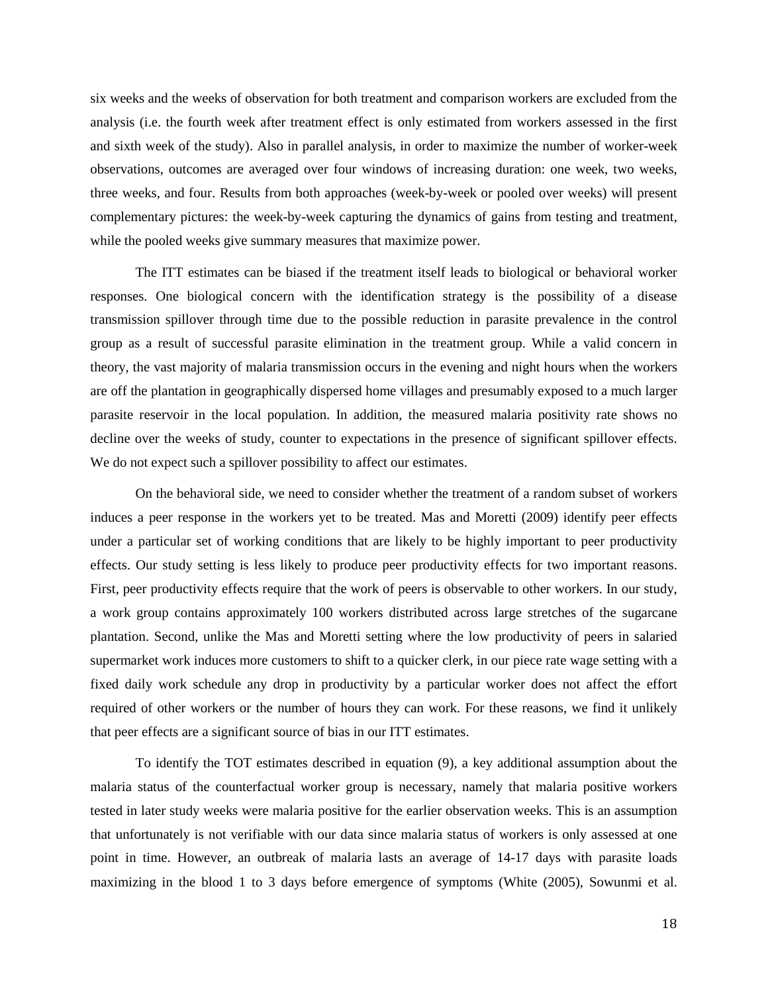six weeks and the weeks of observation for both treatment and comparison workers are excluded from the analysis (i.e. the fourth week after treatment effect is only estimated from workers assessed in the first and sixth week of the study). Also in parallel analysis, in order to maximize the number of worker-week observations, outcomes are averaged over four windows of increasing duration: one week, two weeks, three weeks, and four. Results from both approaches (week-by-week or pooled over weeks) will present complementary pictures: the week-by-week capturing the dynamics of gains from testing and treatment, while the pooled weeks give summary measures that maximize power.

The ITT estimates can be biased if the treatment itself leads to biological or behavioral worker responses. One biological concern with the identification strategy is the possibility of a disease transmission spillover through time due to the possible reduction in parasite prevalence in the control group as a result of successful parasite elimination in the treatment group. While a valid concern in theory, the vast majority of malaria transmission occurs in the evening and night hours when the workers are off the plantation in geographically dispersed home villages and presumably exposed to a much larger parasite reservoir in the local population. In addition, the measured malaria positivity rate shows no decline over the weeks of study, counter to expectations in the presence of significant spillover effects. We do not expect such a spillover possibility to affect our estimates.

On the behavioral side, we need to consider whether the treatment of a random subset of workers induces a peer response in the workers yet to be treated. Mas and Moretti (2009) identify peer effects under a particular set of working conditions that are likely to be highly important to peer productivity effects. Our study setting is less likely to produce peer productivity effects for two important reasons. First, peer productivity effects require that the work of peers is observable to other workers. In our study, a work group contains approximately 100 workers distributed across large stretches of the sugarcane plantation. Second, unlike the Mas and Moretti setting where the low productivity of peers in salaried supermarket work induces more customers to shift to a quicker clerk, in our piece rate wage setting with a fixed daily work schedule any drop in productivity by a particular worker does not affect the effort required of other workers or the number of hours they can work. For these reasons, we find it unlikely that peer effects are a significant source of bias in our ITT estimates.

To identify the TOT estimates described in equation (9), a key additional assumption about the malaria status of the counterfactual worker group is necessary, namely that malaria positive workers tested in later study weeks were malaria positive for the earlier observation weeks. This is an assumption that unfortunately is not verifiable with our data since malaria status of workers is only assessed at one point in time. However, an outbreak of malaria lasts an average of 14-17 days with parasite loads maximizing in the blood 1 to 3 days before emergence of symptoms (White (2005), Sowunmi et al.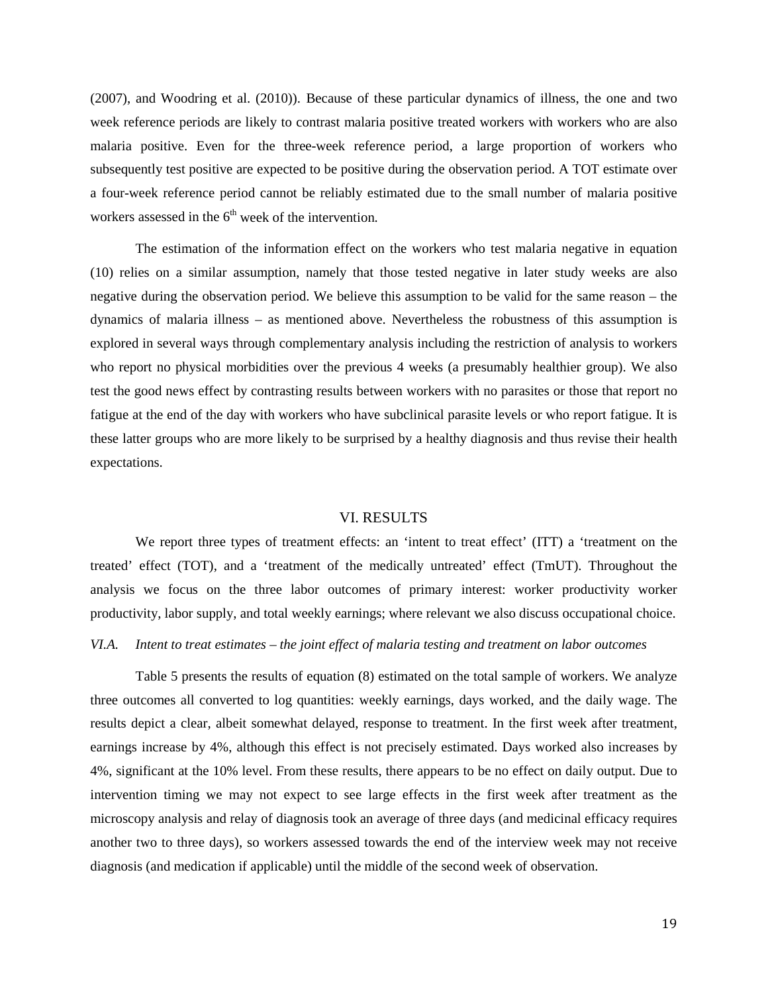(2007), and Woodring et al. (2010)). Because of these particular dynamics of illness, the one and two week reference periods are likely to contrast malaria positive treated workers with workers who are also malaria positive. Even for the three-week reference period, a large proportion of workers who subsequently test positive are expected to be positive during the observation period. A TOT estimate over a four-week reference period cannot be reliably estimated due to the small number of malaria positive workers assessed in the  $6<sup>th</sup>$  week of the intervention.

The estimation of the information effect on the workers who test malaria negative in equation (10) relies on a similar assumption, namely that those tested negative in later study weeks are also negative during the observation period. We believe this assumption to be valid for the same reason – the dynamics of malaria illness – as mentioned above. Nevertheless the robustness of this assumption is explored in several ways through complementary analysis including the restriction of analysis to workers who report no physical morbidities over the previous 4 weeks (a presumably healthier group). We also test the good news effect by contrasting results between workers with no parasites or those that report no fatigue at the end of the day with workers who have subclinical parasite levels or who report fatigue. It is these latter groups who are more likely to be surprised by a healthy diagnosis and thus revise their health expectations.

#### VI. RESULTS

We report three types of treatment effects: an 'intent to treat effect' (ITT) a 'treatment on the treated' effect (TOT), and a 'treatment of the medically untreated' effect (TmUT). Throughout the analysis we focus on the three labor outcomes of primary interest: worker productivity worker productivity, labor supply, and total weekly earnings; where relevant we also discuss occupational choice.

#### *VI.A. Intent to treat estimates – the joint effect of malaria testing and treatment on labor outcomes*

Table 5 presents the results of equation (8) estimated on the total sample of workers. We analyze three outcomes all converted to log quantities: weekly earnings, days worked, and the daily wage. The results depict a clear, albeit somewhat delayed, response to treatment. In the first week after treatment, earnings increase by 4%, although this effect is not precisely estimated. Days worked also increases by 4%, significant at the 10% level. From these results, there appears to be no effect on daily output. Due to intervention timing we may not expect to see large effects in the first week after treatment as the microscopy analysis and relay of diagnosis took an average of three days (and medicinal efficacy requires another two to three days), so workers assessed towards the end of the interview week may not receive diagnosis (and medication if applicable) until the middle of the second week of observation.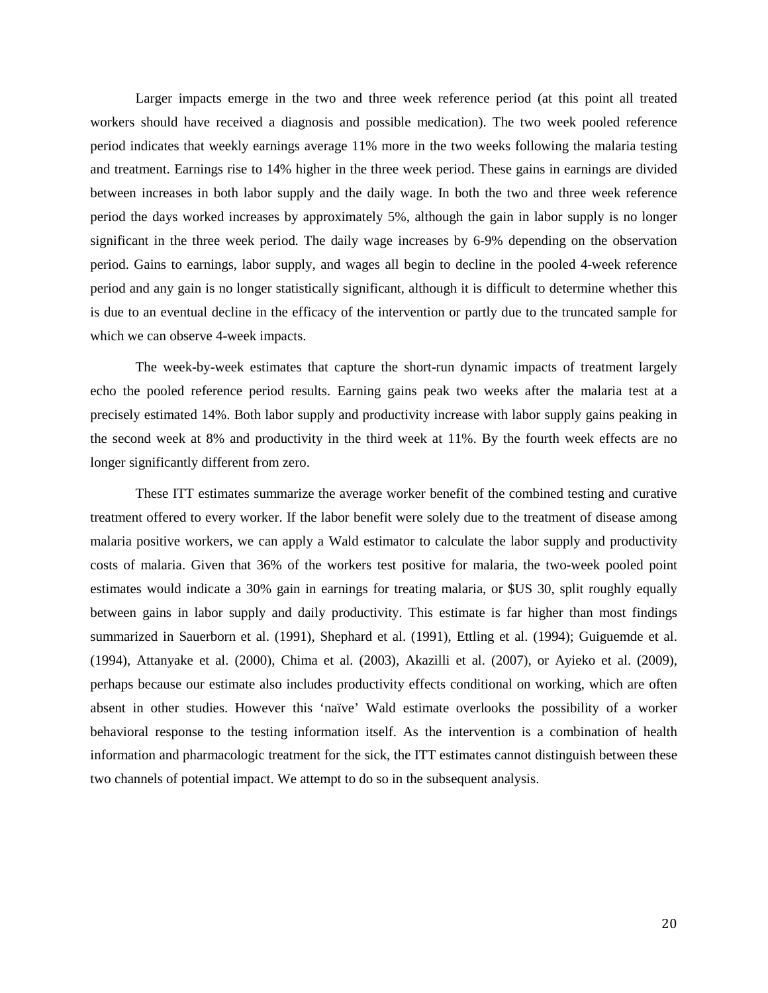Larger impacts emerge in the two and three week reference period (at this point all treated workers should have received a diagnosis and possible medication). The two week pooled reference period indicates that weekly earnings average 11% more in the two weeks following the malaria testing and treatment. Earnings rise to 14% higher in the three week period. These gains in earnings are divided between increases in both labor supply and the daily wage. In both the two and three week reference period the days worked increases by approximately 5%, although the gain in labor supply is no longer significant in the three week period. The daily wage increases by 6-9% depending on the observation period. Gains to earnings, labor supply, and wages all begin to decline in the pooled 4-week reference period and any gain is no longer statistically significant, although it is difficult to determine whether this is due to an eventual decline in the efficacy of the intervention or partly due to the truncated sample for which we can observe 4-week impacts.

The week-by-week estimates that capture the short-run dynamic impacts of treatment largely echo the pooled reference period results. Earning gains peak two weeks after the malaria test at a precisely estimated 14%. Both labor supply and productivity increase with labor supply gains peaking in the second week at 8% and productivity in the third week at 11%. By the fourth week effects are no longer significantly different from zero.

These ITT estimates summarize the average worker benefit of the combined testing and curative treatment offered to every worker. If the labor benefit were solely due to the treatment of disease among malaria positive workers, we can apply a Wald estimator to calculate the labor supply and productivity costs of malaria. Given that 36% of the workers test positive for malaria, the two-week pooled point estimates would indicate a 30% gain in earnings for treating malaria, or \$US 30, split roughly equally between gains in labor supply and daily productivity. This estimate is far higher than most findings summarized in Sauerborn et al. (1991), Shephard et al. (1991), Ettling et al. (1994); Guiguemde et al. (1994), Attanyake et al. (2000), Chima et al. (2003), Akazilli et al. (2007), or Ayieko et al. (2009), perhaps because our estimate also includes productivity effects conditional on working, which are often absent in other studies. However this 'naïve' Wald estimate overlooks the possibility of a worker behavioral response to the testing information itself. As the intervention is a combination of health information and pharmacologic treatment for the sick, the ITT estimates cannot distinguish between these two channels of potential impact. We attempt to do so in the subsequent analysis.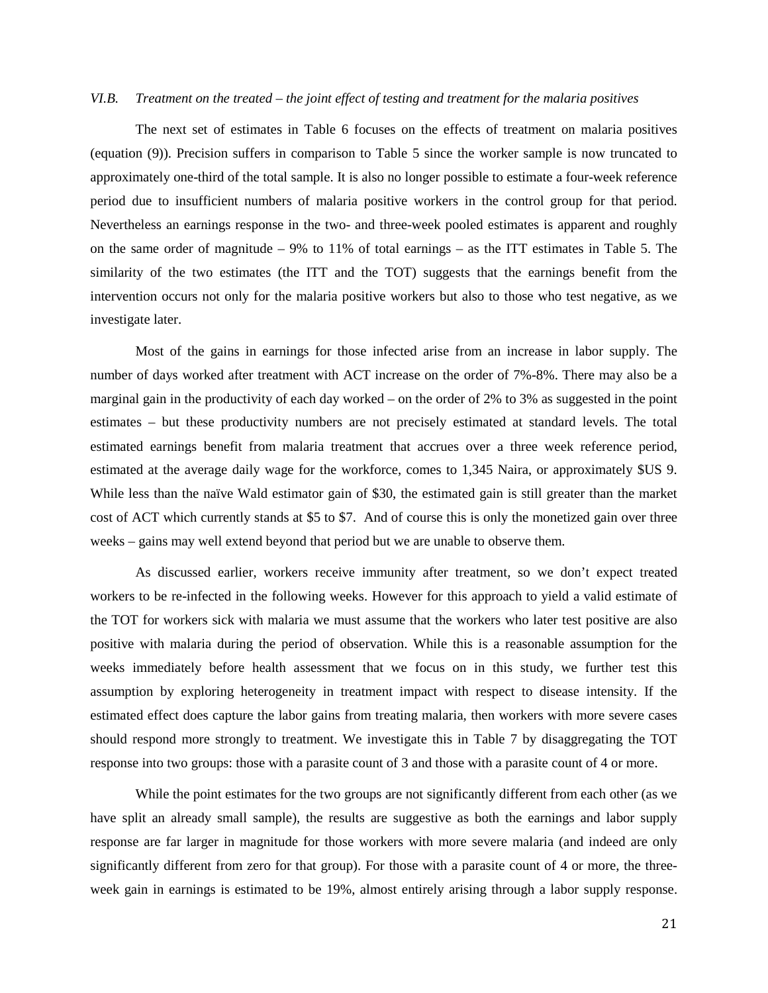#### *VI.B. Treatment on the treated – the joint effect of testing and treatment for the malaria positives*

The next set of estimates in Table 6 focuses on the effects of treatment on malaria positives (equation (9)). Precision suffers in comparison to Table 5 since the worker sample is now truncated to approximately one-third of the total sample. It is also no longer possible to estimate a four-week reference period due to insufficient numbers of malaria positive workers in the control group for that period. Nevertheless an earnings response in the two- and three-week pooled estimates is apparent and roughly on the same order of magnitude – 9% to 11% of total earnings – as the ITT estimates in Table 5. The similarity of the two estimates (the ITT and the TOT) suggests that the earnings benefit from the intervention occurs not only for the malaria positive workers but also to those who test negative, as we investigate later.

Most of the gains in earnings for those infected arise from an increase in labor supply. The number of days worked after treatment with ACT increase on the order of 7%-8%. There may also be a marginal gain in the productivity of each day worked – on the order of 2% to 3% as suggested in the point estimates – but these productivity numbers are not precisely estimated at standard levels. The total estimated earnings benefit from malaria treatment that accrues over a three week reference period, estimated at the average daily wage for the workforce, comes to 1,345 Naira, or approximately \$US 9. While less than the naïve Wald estimator gain of \$30, the estimated gain is still greater than the market cost of ACT which currently stands at \$5 to \$7. And of course this is only the monetized gain over three weeks – gains may well extend beyond that period but we are unable to observe them.

As discussed earlier, workers receive immunity after treatment, so we don't expect treated workers to be re-infected in the following weeks. However for this approach to yield a valid estimate of the TOT for workers sick with malaria we must assume that the workers who later test positive are also positive with malaria during the period of observation. While this is a reasonable assumption for the weeks immediately before health assessment that we focus on in this study, we further test this assumption by exploring heterogeneity in treatment impact with respect to disease intensity. If the estimated effect does capture the labor gains from treating malaria, then workers with more severe cases should respond more strongly to treatment. We investigate this in Table 7 by disaggregating the TOT response into two groups: those with a parasite count of 3 and those with a parasite count of 4 or more.

While the point estimates for the two groups are not significantly different from each other (as we have split an already small sample), the results are suggestive as both the earnings and labor supply response are far larger in magnitude for those workers with more severe malaria (and indeed are only significantly different from zero for that group). For those with a parasite count of 4 or more, the threeweek gain in earnings is estimated to be 19%, almost entirely arising through a labor supply response.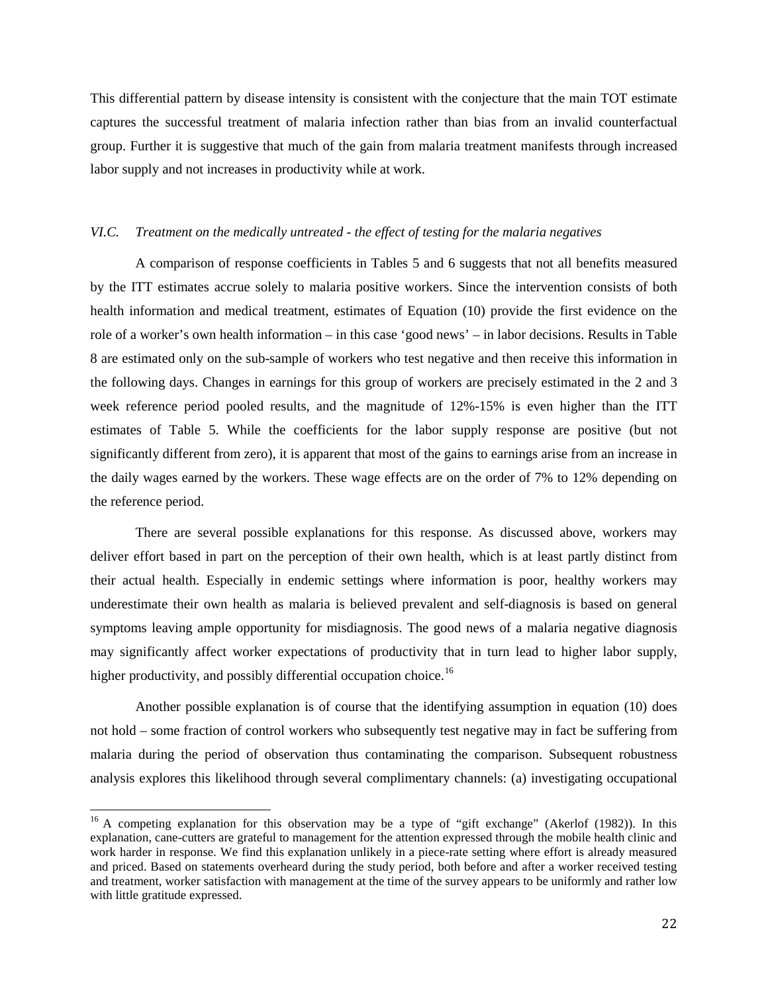This differential pattern by disease intensity is consistent with the conjecture that the main TOT estimate captures the successful treatment of malaria infection rather than bias from an invalid counterfactual group. Further it is suggestive that much of the gain from malaria treatment manifests through increased labor supply and not increases in productivity while at work.

#### *VI.C. Treatment on the medically untreated - the effect of testing for the malaria negatives*

A comparison of response coefficients in Tables 5 and 6 suggests that not all benefits measured by the ITT estimates accrue solely to malaria positive workers. Since the intervention consists of both health information and medical treatment, estimates of Equation (10) provide the first evidence on the role of a worker's own health information – in this case 'good news' – in labor decisions. Results in Table 8 are estimated only on the sub-sample of workers who test negative and then receive this information in the following days. Changes in earnings for this group of workers are precisely estimated in the 2 and 3 week reference period pooled results, and the magnitude of 12%-15% is even higher than the ITT estimates of Table 5. While the coefficients for the labor supply response are positive (but not significantly different from zero), it is apparent that most of the gains to earnings arise from an increase in the daily wages earned by the workers. These wage effects are on the order of 7% to 12% depending on the reference period.

There are several possible explanations for this response. As discussed above, workers may deliver effort based in part on the perception of their own health, which is at least partly distinct from their actual health. Especially in endemic settings where information is poor, healthy workers may underestimate their own health as malaria is believed prevalent and self-diagnosis is based on general symptoms leaving ample opportunity for misdiagnosis. The good news of a malaria negative diagnosis may significantly affect worker expectations of productivity that in turn lead to higher labor supply, higher productivity, and possibly differential occupation choice.<sup>[16](#page-22-0)</sup>

Another possible explanation is of course that the identifying assumption in equation (10) does not hold – some fraction of control workers who subsequently test negative may in fact be suffering from malaria during the period of observation thus contaminating the comparison. Subsequent robustness analysis explores this likelihood through several complimentary channels: (a) investigating occupational

<span id="page-22-0"></span><sup>&</sup>lt;sup>16</sup> A competing explanation for this observation may be a type of "gift exchange" (Akerlof (1982)). In this explanation, cane-cutters are grateful to management for the attention expressed through the mobile health clinic and work harder in response. We find this explanation unlikely in a piece-rate setting where effort is already measured and priced. Based on statements overheard during the study period, both before and after a worker received testing and treatment, worker satisfaction with management at the time of the survey appears to be uniformly and rather low with little gratitude expressed.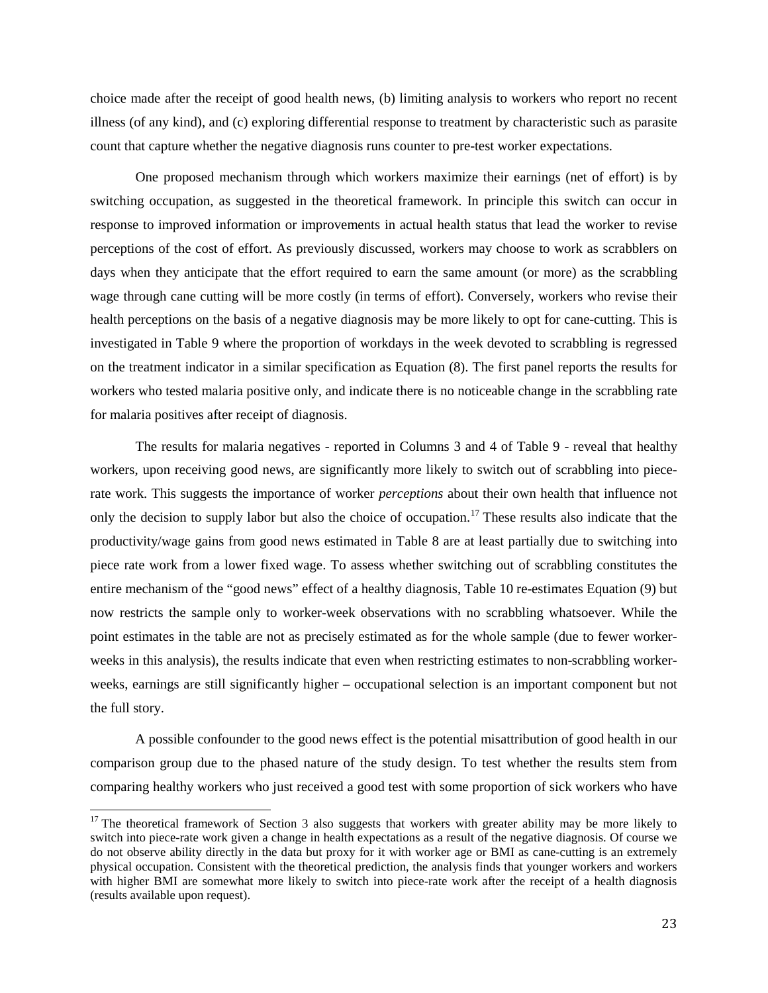choice made after the receipt of good health news, (b) limiting analysis to workers who report no recent illness (of any kind), and (c) exploring differential response to treatment by characteristic such as parasite count that capture whether the negative diagnosis runs counter to pre-test worker expectations.

One proposed mechanism through which workers maximize their earnings (net of effort) is by switching occupation, as suggested in the theoretical framework. In principle this switch can occur in response to improved information or improvements in actual health status that lead the worker to revise perceptions of the cost of effort. As previously discussed, workers may choose to work as scrabblers on days when they anticipate that the effort required to earn the same amount (or more) as the scrabbling wage through cane cutting will be more costly (in terms of effort). Conversely, workers who revise their health perceptions on the basis of a negative diagnosis may be more likely to opt for cane-cutting. This is investigated in Table 9 where the proportion of workdays in the week devoted to scrabbling is regressed on the treatment indicator in a similar specification as Equation (8). The first panel reports the results for workers who tested malaria positive only, and indicate there is no noticeable change in the scrabbling rate for malaria positives after receipt of diagnosis.

The results for malaria negatives - reported in Columns 3 and 4 of Table 9 - reveal that healthy workers, upon receiving good news, are significantly more likely to switch out of scrabbling into piecerate work. This suggests the importance of worker *perceptions* about their own health that influence not only the decision to supply labor but also the choice of occupation.<sup>[17](#page-23-0)</sup> These results also indicate that the productivity/wage gains from good news estimated in Table 8 are at least partially due to switching into piece rate work from a lower fixed wage. To assess whether switching out of scrabbling constitutes the entire mechanism of the "good news" effect of a healthy diagnosis, Table 10 re-estimates Equation (9) but now restricts the sample only to worker-week observations with no scrabbling whatsoever. While the point estimates in the table are not as precisely estimated as for the whole sample (due to fewer workerweeks in this analysis), the results indicate that even when restricting estimates to non-scrabbling workerweeks, earnings are still significantly higher – occupational selection is an important component but not the full story.

A possible confounder to the good news effect is the potential misattribution of good health in our comparison group due to the phased nature of the study design. To test whether the results stem from comparing healthy workers who just received a good test with some proportion of sick workers who have

<span id="page-23-0"></span><sup>&</sup>lt;sup>17</sup> The theoretical framework of Section 3 also suggests that workers with greater ability may be more likely to switch into piece-rate work given a change in health expectations as a result of the negative diagnosis. Of course we do not observe ability directly in the data but proxy for it with worker age or BMI as cane-cutting is an extremely physical occupation. Consistent with the theoretical prediction, the analysis finds that younger workers and workers with higher BMI are somewhat more likely to switch into piece-rate work after the receipt of a health diagnosis (results available upon request).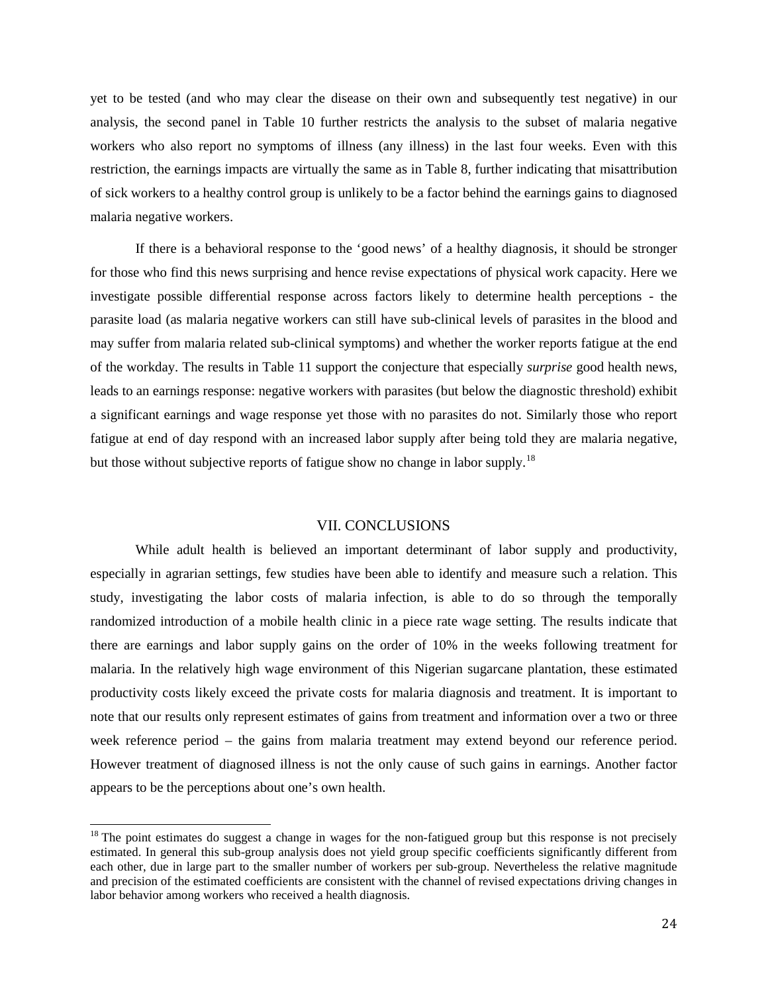yet to be tested (and who may clear the disease on their own and subsequently test negative) in our analysis, the second panel in Table 10 further restricts the analysis to the subset of malaria negative workers who also report no symptoms of illness (any illness) in the last four weeks. Even with this restriction, the earnings impacts are virtually the same as in Table 8, further indicating that misattribution of sick workers to a healthy control group is unlikely to be a factor behind the earnings gains to diagnosed malaria negative workers.

If there is a behavioral response to the 'good news' of a healthy diagnosis, it should be stronger for those who find this news surprising and hence revise expectations of physical work capacity. Here we investigate possible differential response across factors likely to determine health perceptions - the parasite load (as malaria negative workers can still have sub-clinical levels of parasites in the blood and may suffer from malaria related sub-clinical symptoms) and whether the worker reports fatigue at the end of the workday. The results in Table 11 support the conjecture that especially *surprise* good health news, leads to an earnings response: negative workers with parasites (but below the diagnostic threshold) exhibit a significant earnings and wage response yet those with no parasites do not. Similarly those who report fatigue at end of day respond with an increased labor supply after being told they are malaria negative, but those without subjective reports of fatigue show no change in labor supply.<sup>[18](#page-24-0)</sup>

#### VII. CONCLUSIONS

While adult health is believed an important determinant of labor supply and productivity, especially in agrarian settings, few studies have been able to identify and measure such a relation. This study, investigating the labor costs of malaria infection, is able to do so through the temporally randomized introduction of a mobile health clinic in a piece rate wage setting. The results indicate that there are earnings and labor supply gains on the order of 10% in the weeks following treatment for malaria. In the relatively high wage environment of this Nigerian sugarcane plantation, these estimated productivity costs likely exceed the private costs for malaria diagnosis and treatment. It is important to note that our results only represent estimates of gains from treatment and information over a two or three week reference period – the gains from malaria treatment may extend beyond our reference period. However treatment of diagnosed illness is not the only cause of such gains in earnings. Another factor appears to be the perceptions about one's own health.

<span id="page-24-0"></span> $18$  The point estimates do suggest a change in wages for the non-fatigued group but this response is not precisely estimated. In general this sub-group analysis does not yield group specific coefficients significantly different from each other, due in large part to the smaller number of workers per sub-group. Nevertheless the relative magnitude and precision of the estimated coefficients are consistent with the channel of revised expectations driving changes in labor behavior among workers who received a health diagnosis.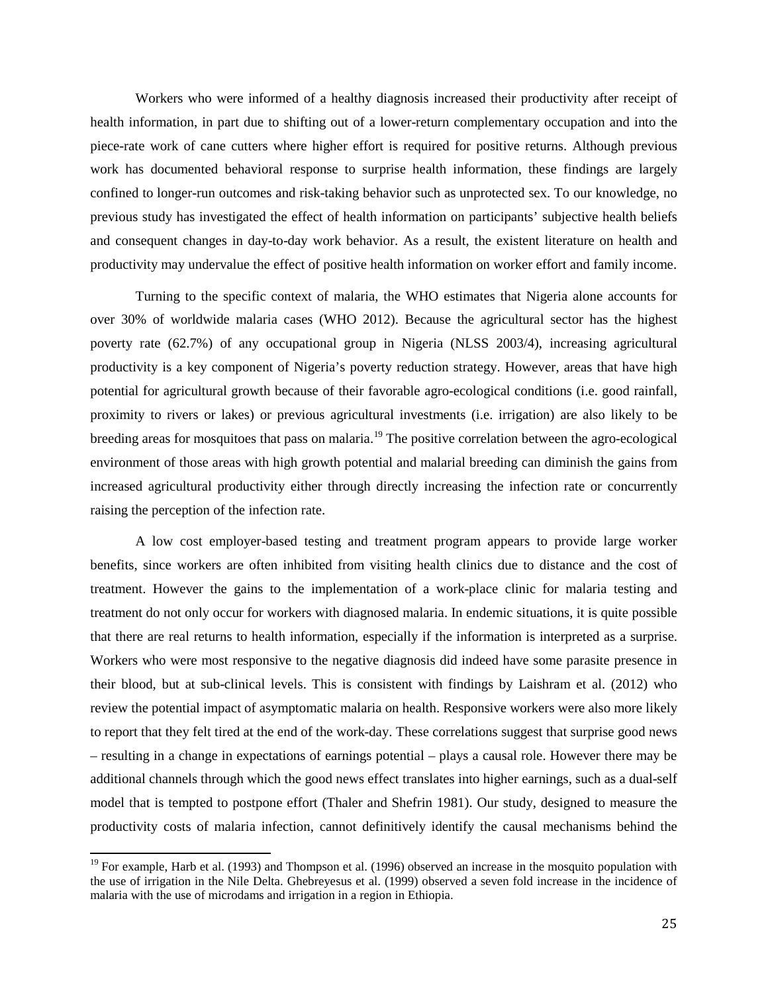Workers who were informed of a healthy diagnosis increased their productivity after receipt of health information, in part due to shifting out of a lower-return complementary occupation and into the piece-rate work of cane cutters where higher effort is required for positive returns. Although previous work has documented behavioral response to surprise health information, these findings are largely confined to longer-run outcomes and risk-taking behavior such as unprotected sex. To our knowledge, no previous study has investigated the effect of health information on participants' subjective health beliefs and consequent changes in day-to-day work behavior. As a result, the existent literature on health and productivity may undervalue the effect of positive health information on worker effort and family income.

Turning to the specific context of malaria, the WHO estimates that Nigeria alone accounts for over 30% of worldwide malaria cases (WHO 2012). Because the agricultural sector has the highest poverty rate (62.7%) of any occupational group in Nigeria (NLSS 2003/4), increasing agricultural productivity is a key component of Nigeria's poverty reduction strategy. However, areas that have high potential for agricultural growth because of their favorable agro-ecological conditions (i.e. good rainfall, proximity to rivers or lakes) or previous agricultural investments (i.e. irrigation) are also likely to be breeding areas for mosquitoes that pass on malaria.<sup>[19](#page-25-0)</sup> The positive correlation between the agro-ecological environment of those areas with high growth potential and malarial breeding can diminish the gains from increased agricultural productivity either through directly increasing the infection rate or concurrently raising the perception of the infection rate.

A low cost employer-based testing and treatment program appears to provide large worker benefits, since workers are often inhibited from visiting health clinics due to distance and the cost of treatment. However the gains to the implementation of a work-place clinic for malaria testing and treatment do not only occur for workers with diagnosed malaria. In endemic situations, it is quite possible that there are real returns to health information, especially if the information is interpreted as a surprise. Workers who were most responsive to the negative diagnosis did indeed have some parasite presence in their blood, but at sub-clinical levels. This is consistent with findings by Laishram et al. (2012) who review the potential impact of asymptomatic malaria on health. Responsive workers were also more likely to report that they felt tired at the end of the work-day. These correlations suggest that surprise good news – resulting in a change in expectations of earnings potential – plays a causal role. However there may be additional channels through which the good news effect translates into higher earnings, such as a dual-self model that is tempted to postpone effort (Thaler and Shefrin 1981). Our study, designed to measure the productivity costs of malaria infection, cannot definitively identify the causal mechanisms behind the

<span id="page-25-0"></span><sup>&</sup>lt;sup>19</sup> For example, Harb et al. (1993) and Thompson et al. (1996) observed an increase in the mosquito population with the use of irrigation in the Nile Delta. Ghebreyesus et al. (1999) observed a seven fold increase in the incidence of malaria with the use of microdams and irrigation in a region in Ethiopia.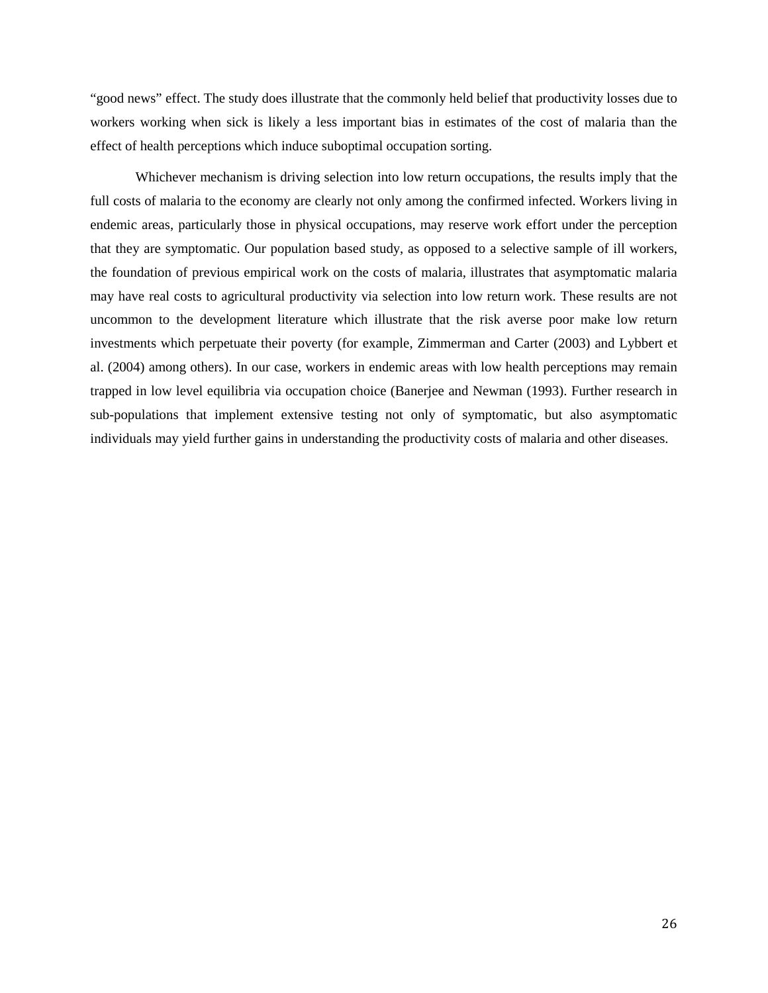"good news" effect. The study does illustrate that the commonly held belief that productivity losses due to workers working when sick is likely a less important bias in estimates of the cost of malaria than the effect of health perceptions which induce suboptimal occupation sorting.

Whichever mechanism is driving selection into low return occupations, the results imply that the full costs of malaria to the economy are clearly not only among the confirmed infected. Workers living in endemic areas, particularly those in physical occupations, may reserve work effort under the perception that they are symptomatic. Our population based study, as opposed to a selective sample of ill workers, the foundation of previous empirical work on the costs of malaria, illustrates that asymptomatic malaria may have real costs to agricultural productivity via selection into low return work. These results are not uncommon to the development literature which illustrate that the risk averse poor make low return investments which perpetuate their poverty (for example, Zimmerman and Carter (2003) and Lybbert et al. (2004) among others). In our case, workers in endemic areas with low health perceptions may remain trapped in low level equilibria via occupation choice (Banerjee and Newman (1993). Further research in sub-populations that implement extensive testing not only of symptomatic, but also asymptomatic individuals may yield further gains in understanding the productivity costs of malaria and other diseases.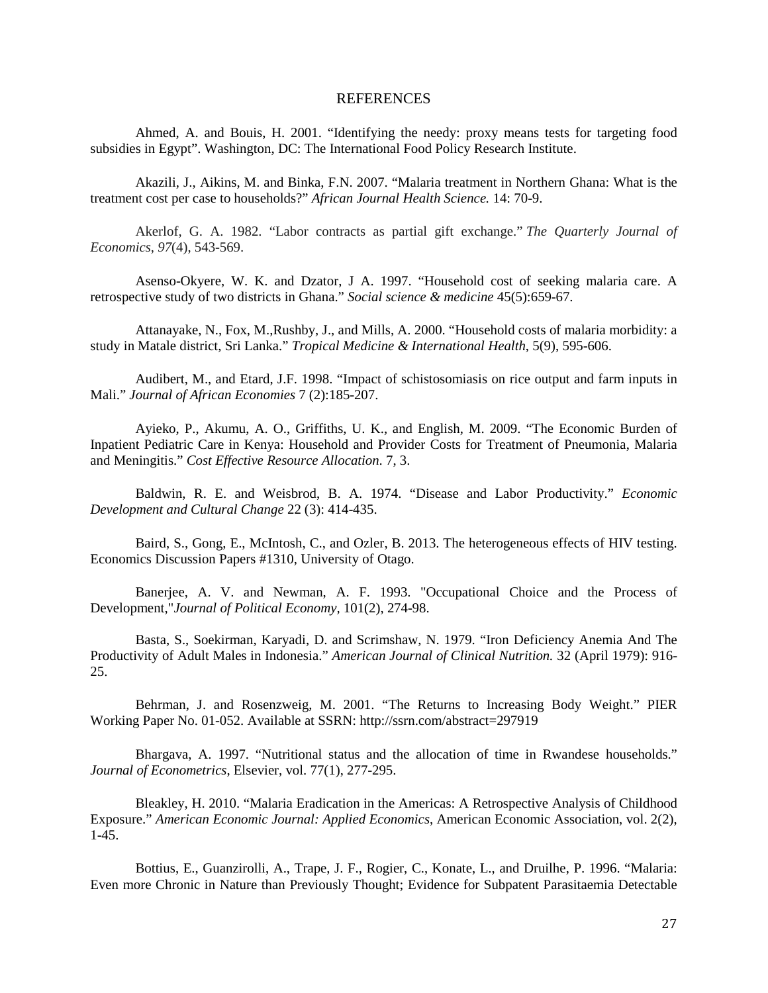#### REFERENCES

Ahmed, A. and Bouis, H. 2001. "Identifying the needy: proxy means tests for targeting food subsidies in Egypt". Washington, DC: The International Food Policy Research Institute.

Akazili, J., Aikins, M. and Binka, F.N. 2007. "Malaria treatment in Northern Ghana: What is the treatment cost per case to households?" *African Journal Health Science.* 14: 70-9.

Akerlof, G. A. 1982. "Labor contracts as partial gift exchange." *The Quarterly Journal of Economics*, *97*(4), 543-569.

Asenso-Okyere, W. K. and Dzator, J A. 1997. ["Household cost of seeking malaria care. A](http://www.biomedexperts.com/Abstract.bme/9226789/Household_cost_of_seeking_malaria_care_A_retrospective_study_of_two_districts_in_Ghana)  [retrospective study of two districts in Ghana."](http://www.biomedexperts.com/Abstract.bme/9226789/Household_cost_of_seeking_malaria_care_A_retrospective_study_of_two_districts_in_Ghana) *Social science & medicine* 45(5):659-67.

Attanayake, N., Fox, M.,Rushby, J., and Mills, A. 2000. "Household costs of malaria morbidity: a study in Matale district, Sri Lanka." *Tropical Medicine & International Health*, 5(9), 595-606.

Audibert, M., and Etard, J.F. 1998. "Impact of schistosomiasis on rice output and farm inputs in Mali." *Journal of African Economies* 7 (2):185-207.

Ayieko, P., Akumu, A. O., Griffiths, U. K., and English, M. 2009. "The Economic Burden of Inpatient Pediatric Care in Kenya: Household and Provider Costs for Treatment of Pneumonia, Malaria and Meningitis." *Cost Effective Resource Allocation*. 7, 3.

Baldwin, R. E. and Weisbrod, B. A. 1974. "Disease and Labor Productivity." *Economic Development and Cultural Change* 22 (3): 414-435.

Baird, S., Gong, E., McIntosh, C., and Ozler, B. 2013. The heterogeneous effects of HIV testing. Economics Discussion Papers #1310, University of Otago.

Banerjee, A. V. and Newman, A. F. 1993. ["Occupational Choice and the Process of](http://ideas.repec.org/a/ucp/jpolec/v101y1993i2p274-98.html)  [Development,](http://ideas.repec.org/a/ucp/jpolec/v101y1993i2p274-98.html)"*[Journal of Political Economy,](http://ideas.repec.org/s/ucp/jpolec.html)* 101(2), 274-98.

Basta, S., Soekirman, Karyadi, D. and Scrimshaw, N. 1979. "Iron Deficiency Anemia And The Productivity of Adult Males in Indonesia." *American Journal of Clinical Nutrition.* 32 (April 1979): 916- 25.

Behrman, J. and Rosenzweig, M. 2001. "The Returns to Increasing Body Weight." PIER Working Paper No. 01-052. Available at SSRN: http://ssrn.com/abstract=297919

Bhargava, A. 1997. ["Nutritional status and the allocation of time in Rwandese households.](http://ideas.repec.org/a/eee/econom/v77y1997i1p277-295.html)" *Journal of Econometrics*, Elsevier, vol. 77(1), 277-295.

Bleakley, H. 2010. ["Malaria Eradication in the Americas: A Retrospective Analysis of Childhood](http://ideas.repec.org/a/aea/aejapp/v2y2010i2p1-45.html)  [Exposure.](http://ideas.repec.org/a/aea/aejapp/v2y2010i2p1-45.html)" *[American Economic Journal: Applied Economics](http://ideas.repec.org/s/aea/aejapp.html)*, American Economic Association, vol. 2(2), 1-45.

Bottius, E., Guanzirolli, A., Trape, J. F., Rogier, C., Konate, L., and Druilhe, P. 1996. "Malaria: Even more Chronic in Nature than Previously Thought; Evidence for Subpatent Parasitaemia Detectable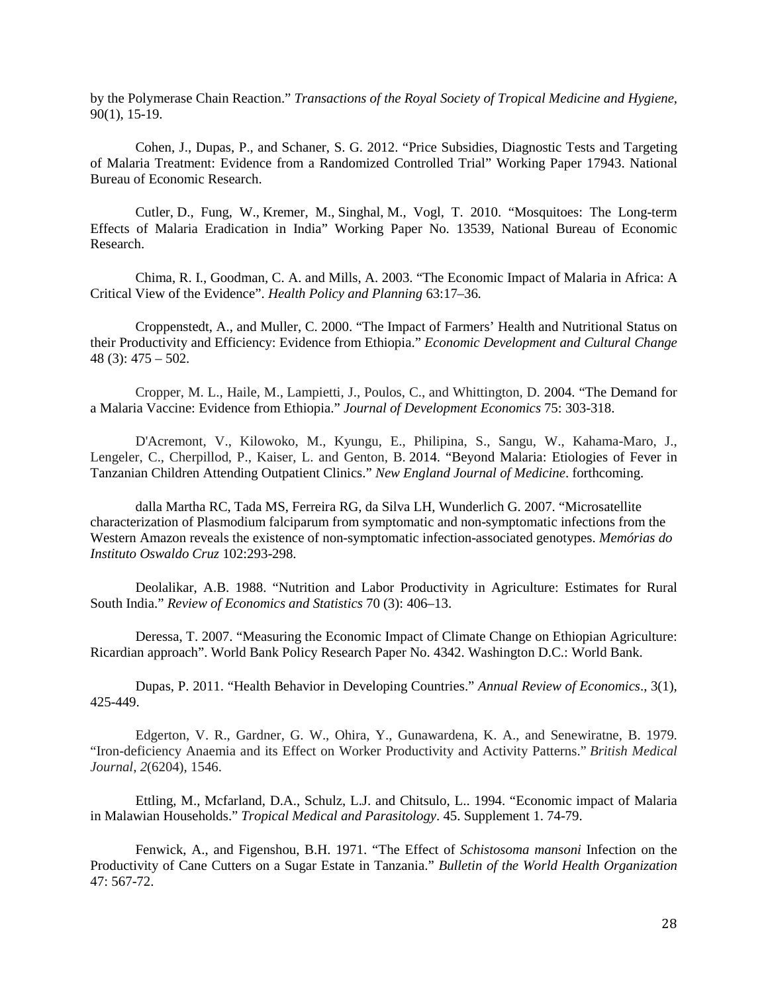by the Polymerase Chain Reaction." *Transactions of the Royal Society of Tropical Medicine and Hygiene*, 90(1), 15-19.

Cohen, J., Dupas, P., and Schaner, S. G. 2012. "Price Subsidies, Diagnostic Tests and Targeting of Malaria Treatment: Evidence from a Randomized Controlled Trial" Working Paper 17943. National Bureau of Economic Research.

Cutler, D., Fung, W., Kremer, M., Singhal, M., Vogl, T. 2010. "Mosquitoes: The Long-term Effects of Malaria Eradication in India" Working Paper No. 13539, National Bureau of Economic Research.

Chima, R. I., Goodman, C. A. and Mills, A. 2003. "The Economic Impact of Malaria in Africa: A Critical View of the Evidence". *Health Policy and Planning* 63:17–36*.*

Croppenstedt, A., and Muller, C. 2000. "The Impact of Farmers' Health and Nutritional Status on their Productivity and Efficiency: Evidence from Ethiopia." *Economic Development and Cultural Change* 48 (3): 475 – 502.

Cropper, M. L., Haile, M., Lampietti, J., Poulos, C., and Whittington, D. 2004. "The Demand for a Malaria Vaccine: Evidence from Ethiopia." *Journal of Development Economics* 75: 303-318.

D'Acremont, V., Kilowoko, M., Kyungu, E., Philipina, S., Sangu, W., Kahama-Maro, J., Lengeler, C., Cherpillod, P., Kaiser, L. and Genton, B. 2014. "Beyond Malaria: Etiologies of Fever in Tanzanian Children Attending Outpatient Clinics." *New England Journal of Medicine*. forthcoming.

dalla Martha RC, Tada MS, Ferreira RG, da Silva LH, Wunderlich G. 2007. "Microsatellite characterization of Plasmodium falciparum from symptomatic and non-symptomatic infections from the Western Amazon reveals the existence of non-symptomatic infection-associated genotypes. *Memórias do Instituto Oswaldo Cruz* 102:293-298.

Deolalikar, A.B. 1988. "Nutrition and Labor Productivity in Agriculture: Estimates for Rural South India." *Review of Economics and Statistics* 70 (3): 406–13.

Deressa, T. 2007. "Measuring the Economic Impact of Climate Change on Ethiopian Agriculture: Ricardian approach". World Bank Policy Research Paper No. 4342. Washington D.C.: World Bank.

Dupas, P. 2011. "Health Behavior in Developing Countries." *Annual Review of Economics*., 3(1), 425-449.

Edgerton, V. R., Gardner, G. W., Ohira, Y., Gunawardena, K. A., and Senewiratne, B. 1979. "Iron-deficiency Anaemia and its Effect on Worker Productivity and Activity Patterns." *British Medical Journal*, *2*(6204), 1546.

Ettling, M., Mcfarland, D.A., Schulz, L.J. and Chitsulo, L.. 1994. "Economic impact of Malaria in Malawian Households." *Tropical Medical and Parasitology*. 45. Supplement 1. 74-79.

Fenwick, A., and Figenshou, B.H. 1971. "The Effect of *Schistosoma mansoni* Infection on the Productivity of Cane Cutters on a Sugar Estate in Tanzania." *Bulletin of the World Health Organization*  47: 567-72.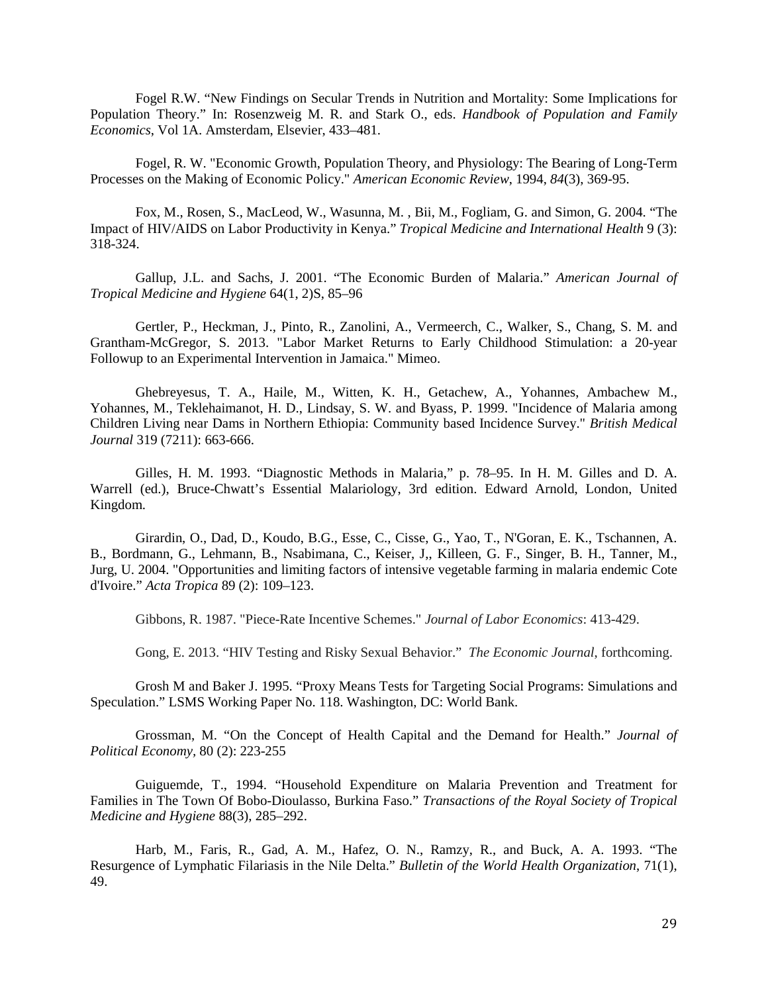Fogel R.W. "New Findings on Secular Trends in Nutrition and Mortality: Some Implications for Population Theory." In: Rosenzweig M. R. and Stark O., eds. *Handbook of Population and Family Economics*, Vol 1A. Amsterdam, Elsevier, 433–481.

Fogel, R. W. "Economic Growth, Population Theory, and Physiology: The Bearing of Long-Term Processes on the Making of Economic Policy." *American Economic Review*, 1994, *84*(3), 369-95.

Fox, M., Rosen, S., MacLeod, W., Wasunna, M. , Bii, M., Fogliam, G. and Simon, G. 2004. "The Impact of HIV/AIDS on Labor Productivity in Kenya." *Tropical Medicine and International Health* 9 (3): 318-324.

Gallup, J.L. and Sachs, J. 2001. "The Economic Burden of Malaria." *American Journal of Tropical Medicine and Hygiene* 64(1, 2)S, 85–96

Gertler, P., Heckman, J., Pinto, R., Zanolini, A., Vermeerch, C., Walker, S., Chang, S. M. and Grantham-McGregor, S. 2013. "Labor Market Returns to Early Childhood Stimulation: a 20-year Followup to an Experimental Intervention in Jamaica." Mimeo.

Ghebreyesus, T. A., Haile, M., Witten, K. H., Getachew, A., Yohannes, Ambachew M., Yohannes, M., Teklehaimanot, H. D., Lindsay, S. W. and Byass, P. 1999. "Incidence of Malaria among Children Living near Dams in Northern Ethiopia: Community based Incidence Survey." *British Medical Journal* 319 (7211): 663-666.

Gilles, H. M. 1993. "Diagnostic Methods in Malaria," p. 78–95. In H. M. Gilles and D. A. Warrell (ed.), Bruce-Chwatt's Essential Malariology, 3rd edition. Edward Arnold, London, United Kingdom.

Girardin, O., Dad, D., Koudo, B.G., Esse, C., Cisse, G., Yao, T., N'Goran, E. K., Tschannen, A. B., Bordmann, G., Lehmann, B., Nsabimana, C., Keiser, J,, Killeen, G. F., Singer, B. H., Tanner, M., Jurg, U. 2004. "Opportunities and limiting factors of intensive vegetable farming in malaria endemic Cote d'Ivoire." *Acta Tropica* 89 (2): 109–123.

Gibbons, R. 1987. "Piece-Rate Incentive Schemes." *Journal of Labor Economics*: 413-429.

Gong, E. 2013. "HIV Testing and Risky Sexual Behavior." *The Economic Journal*, forthcoming.

Grosh M and Baker J. 1995. "Proxy Means Tests for Targeting Social Programs: Simulations and Speculation." LSMS Working Paper No. 118. Washington, DC: World Bank.

Grossman, M. "On the Concept of Health Capital and the Demand for Health." *Journal of Political Economy,* 80 (2): 223-255

Guiguemde, T., 1994. "Household Expenditure on Malaria Prevention and Treatment for Families in The Town Of Bobo-Dioulasso, Burkina Faso." *Transactions of the Royal Society of Tropical Medicine and Hygiene* 88(3), 285–292.

Harb, M., Faris, R., Gad, A. M., Hafez, O. N., Ramzy, R., and Buck, A. A. 1993. "The Resurgence of Lymphatic Filariasis in the Nile Delta." *Bulletin of the World Health Organization*, 71(1), 49.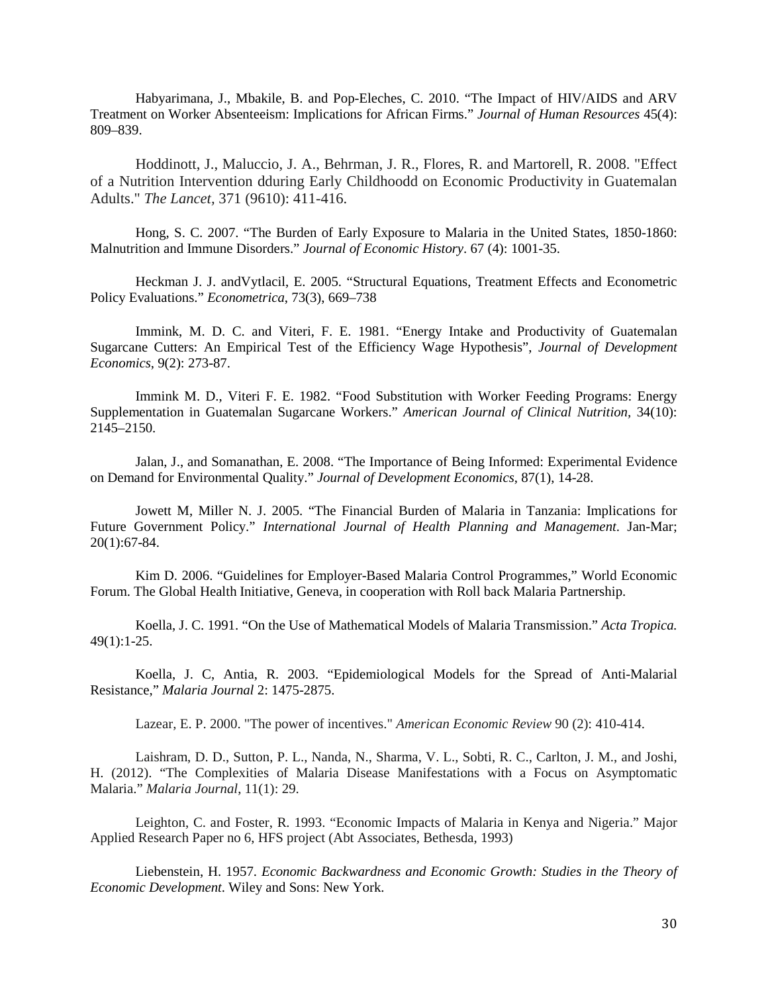Habyarimana, J., Mbakile, B. and Pop-Eleches, C. 2010. "The Impact of HIV/AIDS and ARV Treatment on Worker Absenteeism: Implications for African Firms." *Journal of Human Resources* 45(4): 809–839.

Hoddinott, J., Maluccio, J. A., Behrman, J. R., Flores, R. and Martorell, R. 2008. "Effect of a Nutrition Intervention dduring Early Childhoodd on Economic Productivity in Guatemalan Adults." *The Lancet,* 371 (9610): 411-416.

Hong, S. C. 2007. "The Burden of Early Exposure to Malaria in the United States, 1850-1860: Malnutrition and Immune Disorders." *Journal of Economic History*. 67 (4): 1001-35.

Heckman J. J. andVytlacil, E. 2005. "Structural Equations, Treatment Effects and Econometric Policy Evaluations." *Econometrica*, 73(3), 669–738

Immink, M. D. C. and Viteri, F. E. 1981. "Energy Intake and Productivity of Guatemalan Sugarcane Cutters: An Empirical Test of the Efficiency Wage Hypothesis", *Journal of Development Economics*, 9(2): 273-87.

Immink M. D., Viteri F. E. 1982. "Food Substitution with Worker Feeding Programs: Energy Supplementation in Guatemalan Sugarcane Workers." *American Journal of Clinical Nutrition,* 34(10): 2145–2150.

Jalan, J., and Somanathan, E. 2008. "The Importance of Being Informed: Experimental Evidence on Demand for Environmental Quality." *Journal of Development Economics*, 87(1), 14-28.

Jowett M, Miller N. J. 2005. "The Financial Burden of Malaria in Tanzania: Implications for Future Government Policy." *International Journal of Health Planning and Management*. Jan-Mar; 20(1):67-84.

Kim D. 2006. "Guidelines for Employer-Based Malaria Control Programmes," World Economic Forum. The Global Health Initiative, Geneva, in cooperation with Roll back Malaria Partnership.

Koella, J. C. 1991. "On the Use of Mathematical Models of Malaria Transmission." *Acta Tropica.* 49(1):1-25.

Koella, J. C, Antia, R. 2003. "Epidemiological Models for the Spread of Anti-Malarial Resistance," *Malaria Journal* 2: 1475-2875.

Lazear, E. P. 2000. "The power of incentives." *American Economic Review* 90 (2): 410-414.

Laishram, D. D., Sutton, P. L., Nanda, N., Sharma, V. L., Sobti, R. C., Carlton, J. M., and Joshi, H. (2012). "The Complexities of Malaria Disease Manifestations with a Focus on Asymptomatic Malaria." *Malaria Journal*, 11(1): 29.

Leighton, C. and Foster, R. 1993. "Economic Impacts of Malaria in Kenya and Nigeria." Major Applied Research Paper no 6, HFS project (Abt Associates, Bethesda, 1993)

Liebenstein, H. 1957. *Economic Backwardness and Economic Growth: Studies in the Theory of Economic Development*. Wiley and Sons: New York.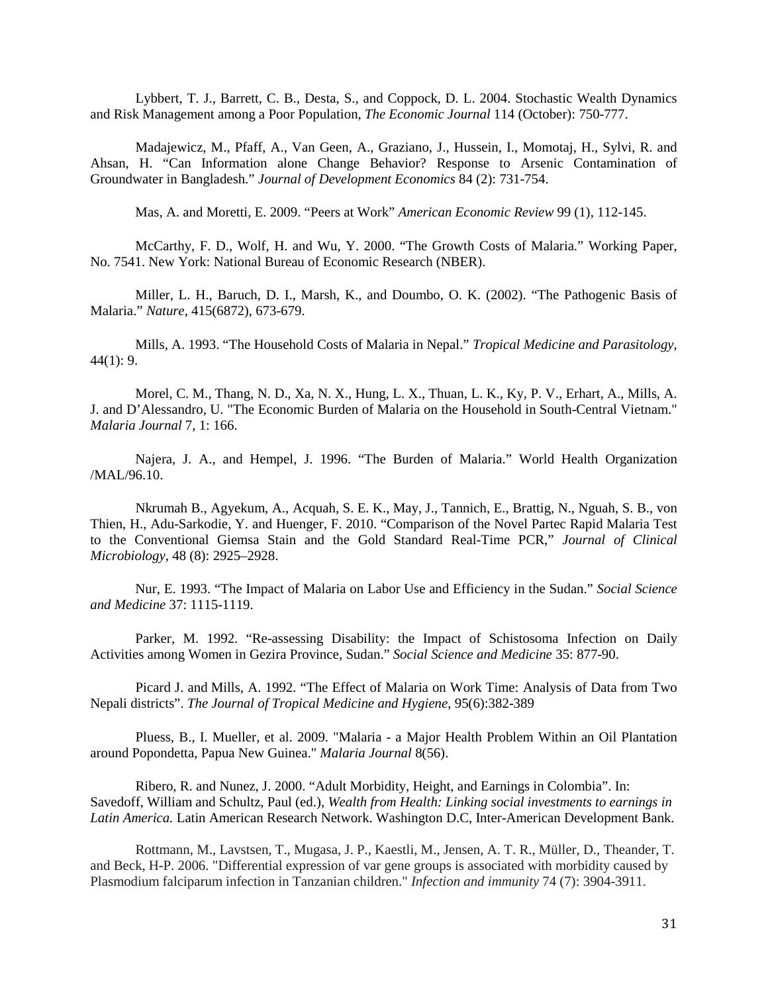Lybbert, T. J., Barrett, C. B., Desta, S., and Coppock, D. L. 2004. Stochastic Wealth Dynamics and Risk Management among a Poor Population, *The Economic Journal* 114 (October): 750-777.

Madajewicz, M., Pfaff, A., Van Geen, A., Graziano, J., Hussein, I., Momotaj, H., Sylvi, R. and Ahsan, H. "Can Information alone Change Behavior? Response to Arsenic Contamination of Groundwater in Bangladesh." *Journal of Development Economics* 84 (2): 731-754.

Mas, A. and Moretti, E. 2009. "Peers at Work" *American Economic Review* 99 (1), 112-145.

McCarthy, F. D., Wolf, H. and Wu, Y. 2000. "The Growth Costs of Malaria*.*" Working Paper, No. 7541. New York: National Bureau of Economic Research (NBER).

Miller, L. H., Baruch, D. I., Marsh, K., and Doumbo, O. K. (2002). "The Pathogenic Basis of Malaria." *Nature*, 415(6872), 673-679.

Mills, A. 1993. "The Household Costs of Malaria in Nepal." *Tropical Medicine and Parasitology*,  $44(1): 9.$ 

Morel, C. M., Thang, N. D., Xa, N. X., Hung, L. X., Thuan, L. K., Ky, P. V., Erhart, A., Mills, A. J. and D'Alessandro, U. "The Economic Burden of Malaria on the Household in South-Central Vietnam." *Malaria Journal* 7, 1: 166.

Najera, J. A., and Hempel, J. 1996. "The Burden of Malaria." World Health Organization /MAL/96.10.

Nkrumah B., Agyekum, A., Acquah, S. E. K., May, J., Tannich, E., Brattig, N., Nguah, S. B., von Thien, H., Adu-Sarkodie, Y. and Huenger, F. 2010. "Comparison of the Novel Partec Rapid Malaria Test to the Conventional Giemsa Stain and the Gold Standard Real-Time PCR," *Journal of Clinical Microbiology*, 48 (8): 2925–2928.

Nur, E. 1993. "The Impact of Malaria on Labor Use and Efficiency in the Sudan." *Social Science and Medicine* 37: 1115-1119.

Parker, M. 1992. "Re-assessing Disability: the Impact of Schistosoma Infection on Daily Activities among Women in Gezira Province, Sudan." *Social Science and Medicine* 35: 877-90.

Picard J. and Mills, A. 1992. "The Effect of Malaria on Work Time: Analysis of Data from Two Nepali districts". *The Journal of Tropical Medicine and Hygiene*, 95(6):382-389

Pluess, B., I. Mueller, et al. 2009. "Malaria - a Major Health Problem Within an Oil Plantation around Popondetta, Papua New Guinea." *Malaria Journal* 8(56).

Ribero, R. and Nunez, J. 2000. "Adult Morbidity, Height, and Earnings in Colombia". In: Savedoff, William and Schultz, Paul (ed.), *Wealth from Health: Linking social investments to earnings in Latin America.* Latin American Research Network. Washington D.C, Inter-American Development Bank.

Rottmann, M., Lavstsen, T., Mugasa, J. P., Kaestli, M., Jensen, A. T. R., Müller, D., Theander, T. and Beck, H-P. 2006. "Differential expression of var gene groups is associated with morbidity caused by Plasmodium falciparum infection in Tanzanian children." *Infection and immunity* 74 (7): 3904-3911.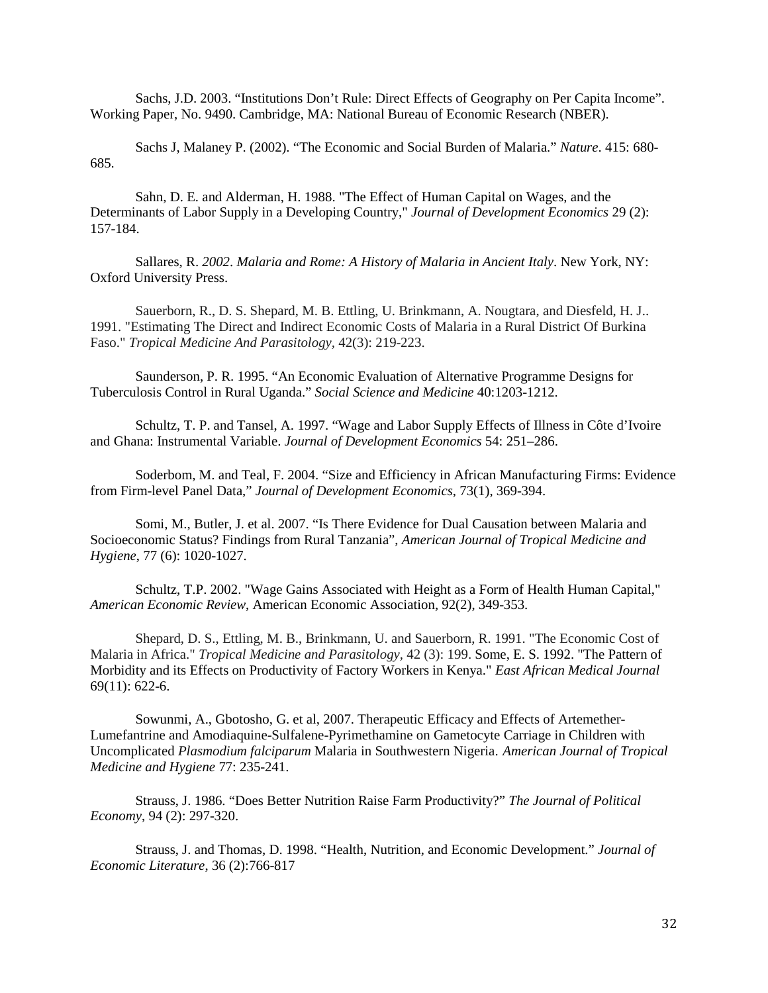Sachs, J.D. 2003. "Institutions Don't Rule: Direct Effects of Geography on Per Capita Income". Working Paper, No. 9490. Cambridge, MA: National Bureau of Economic Research (NBER).

Sachs J, Malaney P. (2002). "The Economic and Social Burden of Malaria." *Nature*. 415: 680- 685.

Sahn, D. E. and Alderman, H. 1988. "The Effect of Human Capital on Wages, and the Determinants of Labor Supply in a Developing Country," *Journal of Development Economics* 29 (2): 157-184.

Sallares, R. *2002*. *Malaria and Rome: A History of Malaria in Ancient Italy*. New York, NY: Oxford University Press.

Sauerborn, R., D. S. Shepard, M. B. Ettling, U. Brinkmann, A. Nougtara, and Diesfeld, H. J.. 1991. "Estimating The Direct and Indirect Economic Costs of Malaria in a Rural District Of Burkina Faso." *Tropical Medicine And Parasitology,* 42(3): 219-223.

Saunderson, P. R. 1995. "An Economic Evaluation of Alternative Programme Designs for Tuberculosis Control in Rural Uganda." *Social Science and Medicine* 40:1203-1212.

Schultz, T. P. and Tansel, A. 1997. "Wage and Labor Supply Effects of Illness in Côte d'Ivoire and Ghana: Instrumental Variable. *Journal of Development Economics* 54: 251–286.

Soderbom, M. and Teal, F. 2004. ["Size and Efficiency in African Manufacturing Firms: Evidence](http://ideas.repec.org/a/eee/deveco/v73y2004i1p369-394.html)  [from Firm-level Panel Data,](http://ideas.repec.org/a/eee/deveco/v73y2004i1p369-394.html)" *[Journal of Development Economics](http://ideas.repec.org/s/eee/deveco.html)*, 73(1), 369-394.

[Somi,](http://www.ajtmh.org/search?author1=Masha+F.+Somi&sortspec=date&submit=Submit) M., Butler, J. et al. 2007. "Is There Evidence for Dual Causation between Malaria and Socioeconomic Status? Findings from Rural Tanzani[a",](http://www.ajtmh.org/content/77/6/1020.short#fn-1) *American Journal of Tropical Medicine and Hygiene*, 77 (6): 1020-1027.

Schultz, T.P. 2002. "Wage Gains Associated with Height as a Form of Health Human Capital," *American Economic Review*, American Economic Association, 92(2), 349-353.

Shepard, D. S., Ettling, M. B., Brinkmann, U. and Sauerborn, R. 1991. "The Economic Cost of Malaria in Africa." *Tropical Medicine and Parasitology,* 42 (3): 199. Some, E. S. 1992. "The Pattern of Morbidity and its Effects on Productivity of Factory Workers in Kenya." *East African Medical Journal*  69(11): 622-6.

Sowunmi, A., Gbotosho, G. et al, 2007. Therapeutic Efficacy and Effects of Artemether-Lumefantrine and Amodiaquine-Sulfalene-Pyrimethamine on Gametocyte Carriage in Children with Uncomplicated *Plasmodium falciparum* Malaria in Southwestern Nigeria. *American Journal of Tropical Medicine and Hygiene* 77: 235-241.

Strauss, J. 1986. ["Does Better Nutrition Raise Farm Productivity?"](http://www.jstor.org/stable/1837406) *[The Journal of Political](http://www.jstor.org/action/showPublication?journalCode=jpoliecon)  [Economy](http://www.jstor.org/action/showPublication?journalCode=jpoliecon)*, 94 (2): 297-320.

Strauss, J. and Thomas, D. 1998. "Health, Nutrition, and Economic Development." *Journal of Economic Literature*, 36 (2):766-817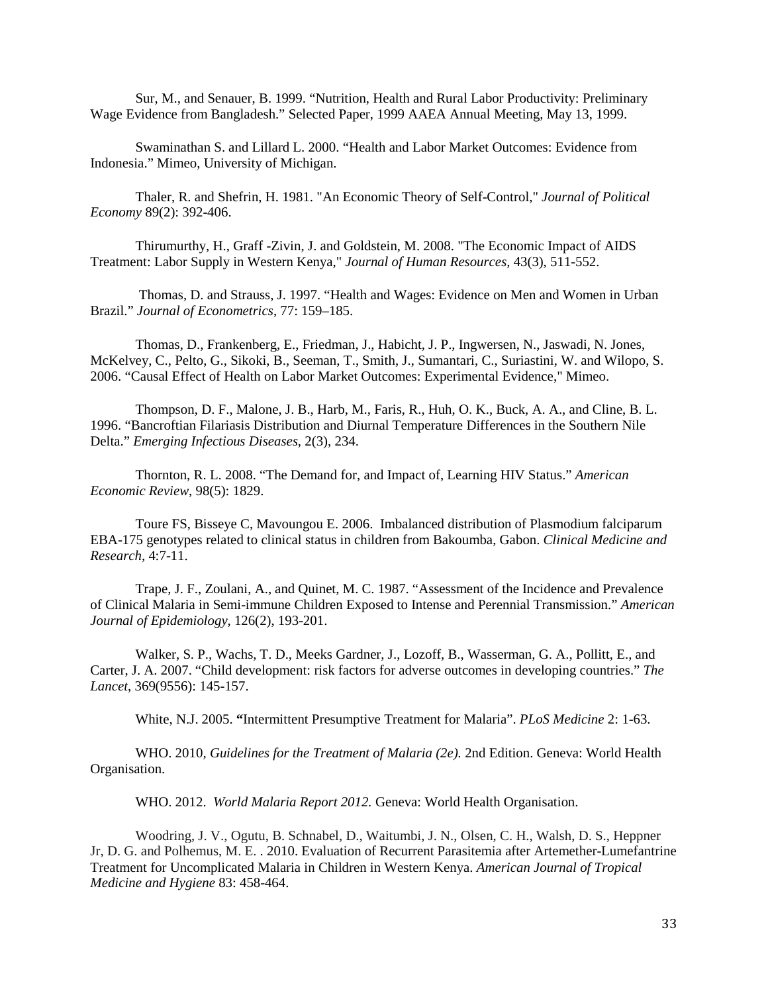Sur, M., and Senauer, B. 1999. "Nutrition, Health and Rural Labor Productivity: Preliminary Wage Evidence from Bangladesh." Selected Paper, 1999 AAEA Annual Meeting, May 13, 1999.

Swaminathan S. and Lillard L. 2000. "Health and Labor Market Outcomes: Evidence from Indonesia." Mimeo, University of Michigan.

Thaler, R. and Shefrin, H. 1981. "An Economic Theory of Self-Control," *Journal of Political Economy* 89(2): 392-406.

Thirumurthy, H., Graff -Zivin, J. and Goldstein, M. 2008. "The Economic Impact of AIDS Treatment: Labor Supply in Western Kenya," *Journal of Human Resources,* 43(3), 511-552.

Thomas, D. and Strauss, J. 1997. "Health and Wages: Evidence on Men and Women in Urban Brazil." *Journal of Econometrics*, 77: 159–185.

Thomas, D., Frankenberg, E., Friedman, J., Habicht, J. P., Ingwersen, N., Jaswadi, N. Jones, McKelvey, C., Pelto, G., Sikoki, B., Seeman, T., Smith, J., Sumantari, C., Suriastini, W. and Wilopo, S. 2006. "Causal Effect of Health on Labor Market Outcomes: Experimental Evidence," Mimeo.

Thompson, D. F., Malone, J. B., Harb, M., Faris, R., Huh, O. K., Buck, A. A., and Cline, B. L. 1996. "Bancroftian Filariasis Distribution and Diurnal Temperature Differences in the Southern Nile Delta." *Emerging Infectious Diseases*, 2(3), 234.

Thornton, R. L. 2008. "The Demand for, and Impact of, Learning HIV Status." *American Economic Review*, 98(5): 1829.

Toure FS, Bisseye C, Mavoungou E. 2006. Imbalanced distribution of Plasmodium falciparum EBA-175 genotypes related to clinical status in children from Bakoumba, Gabon. *Clinical Medicine and Research,* 4:7-11.

Trape, J. F., Zoulani, A., and Quinet, M. C. 1987. "Assessment of the Incidence and Prevalence of Clinical Malaria in Semi-immune Children Exposed to Intense and Perennial Transmission." *American Journal of Epidemiology*, 126(2), 193-201.

Walker, S. P., Wachs, T. D., Meeks Gardner, J., Lozoff, B., Wasserman, G. A., Pollitt, E., and Carter, J. A. 2007. "Child development: risk factors for adverse outcomes in developing countries." *The Lancet*, 369(9556): 145-157.

White, N.J. 2005. **"**Intermittent Presumptive Treatment for Malaria". *PLoS Medicine* 2: 1-63.

WHO. 2010*, Guidelines for the Treatment of Malaria (2e).* 2nd Edition. Geneva: World Health Organisation.

WHO. 2012. *World Malaria Report 2012.* Geneva: World Health Organisation.

Woodring, J. V., Ogutu, B. Schnabel, D., Waitumbi, J. N., Olsen, C. H., Walsh, D. S., Heppner Jr, D. G. and Polhemus, M. E. . 2010. Evaluation of Recurrent Parasitemia after Artemether-Lumefantrine Treatment for Uncomplicated Malaria in Children in Western Kenya. *American Journal of Tropical Medicine and Hygiene* 83: 458-464.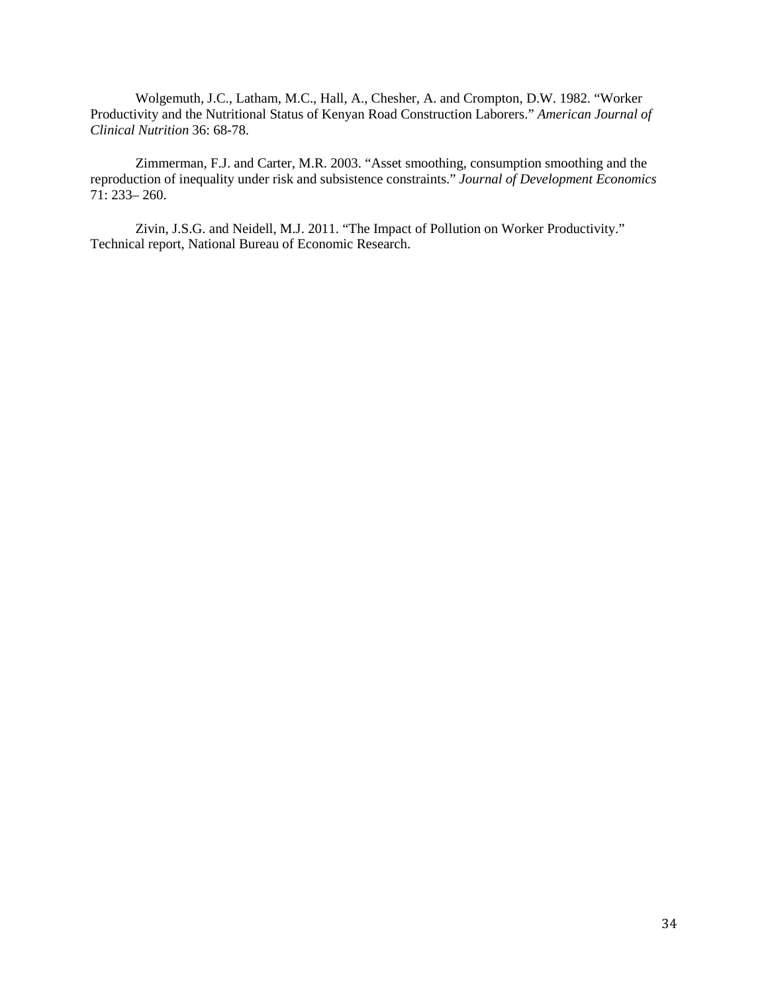Wolgemuth, J.C., Latham, M.C., Hall, A., Chesher, A. and Crompton, D.W. 1982. "Worker Productivity and the Nutritional Status of Kenyan Road Construction Laborers." *American Journal of Clinical Nutrition* 36: 68-78.

Zimmerman, F.J. and Carter, M.R. 2003. "Asset smoothing, consumption smoothing and the reproduction of inequality under risk and subsistence constraints." *Journal of Development Economics* 71: 233– 260.

Zivin, J.S.G. and Neidell, M.J. 2011. "The Impact of Pollution on Worker Productivity." Technical report, National Bureau of Economic Research.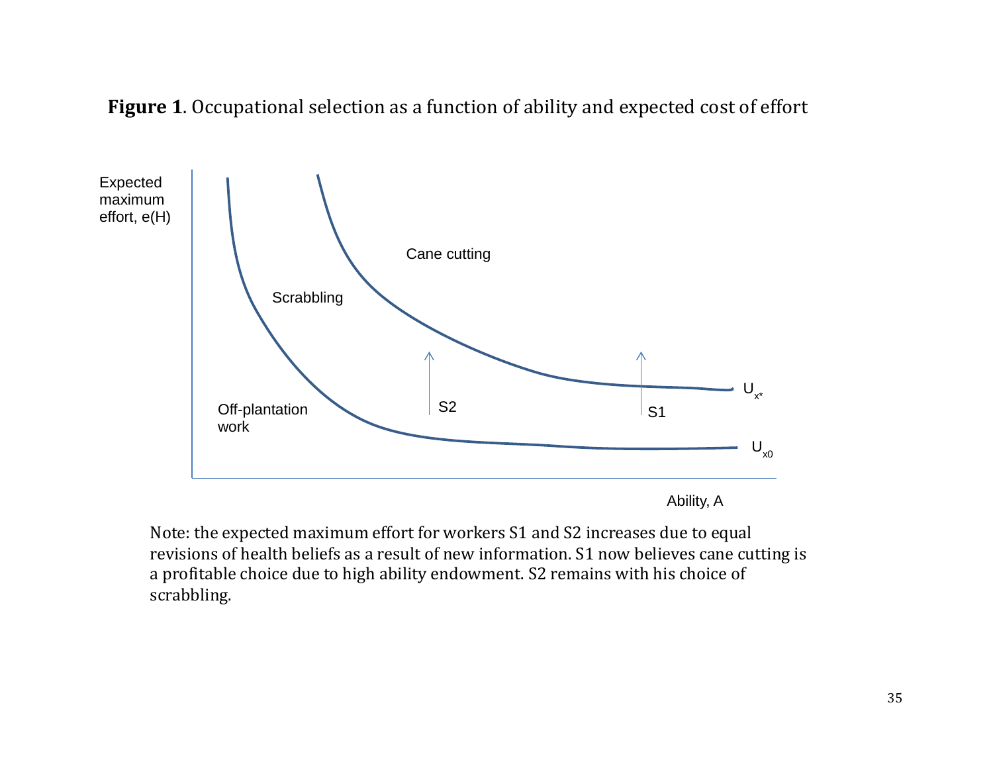



Note: the expected maximum effort for workers S1 and S2 increases due to equal revisions of health beliefs as a result of new information. S1 now believes cane cutting is a profitable choice due to high ability endowment. S2 remains with his choice of scrabbling.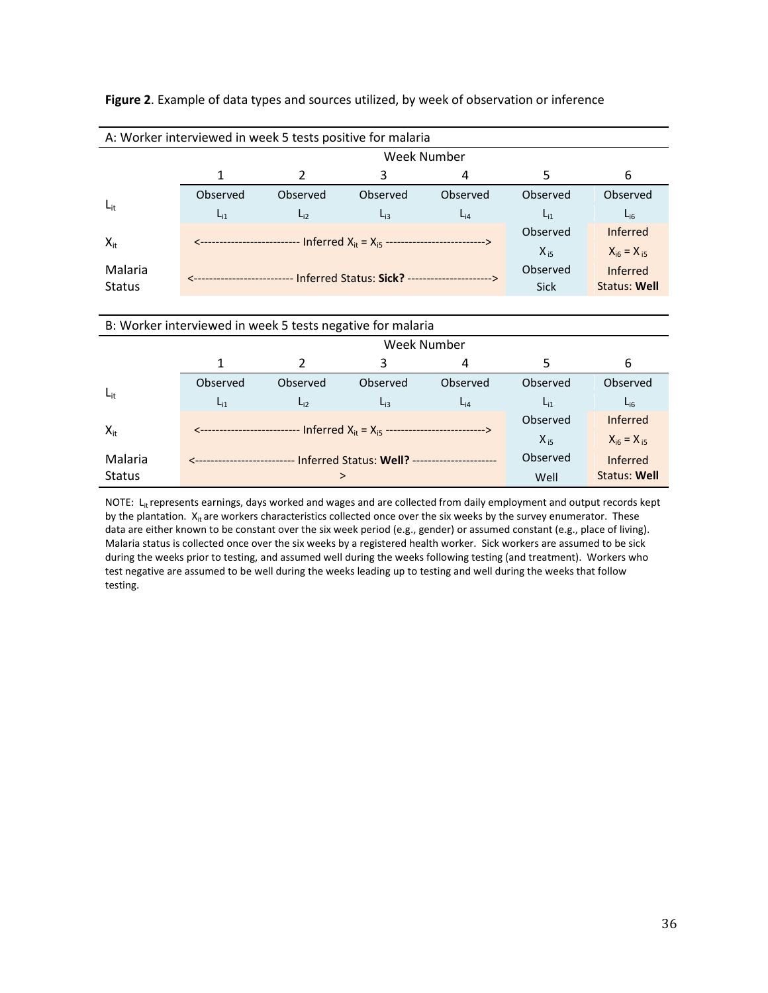| A: Worker interviewed in week 5 tests positive for malaria |                    |          |                                                |             |                     |                   |  |  |  |  |
|------------------------------------------------------------|--------------------|----------|------------------------------------------------|-------------|---------------------|-------------------|--|--|--|--|
|                                                            | <b>Week Number</b> |          |                                                |             |                     |                   |  |  |  |  |
|                                                            |                    | 2        | 3                                              | 4           | 5                   | 6                 |  |  |  |  |
|                                                            | Observed           | Observed | Observed                                       | Observed    | Observed            | Observed          |  |  |  |  |
| $L_{it}$                                                   | $L_{11}$           | $L_{i2}$ | $L_{i3}$                                       | $L_{i4}$    | $L_{i1}$            | $L_{i6}$          |  |  |  |  |
|                                                            |                    |          |                                                |             | Observed            | <b>Inferred</b>   |  |  |  |  |
| $X_{it}$                                                   |                    |          | Inferred $X_{it} = X_{i5}$ --                  |             | $X_{15}$            | $X_{i6} = X_{i5}$ |  |  |  |  |
| Malaria                                                    |                    |          | Inferred Status: Sick? ----------------------> | Observed    | <b>Inferred</b>     |                   |  |  |  |  |
| <b>Status</b>                                              |                    |          |                                                | <b>Sick</b> | <b>Status: Well</b> |                   |  |  |  |  |

#### **Figure 2**. Example of data types and sources utilized, by week of observation or inference

| B: Worker interviewed in week 5 tests negative for malaria |                       |                                          |                                                                           |          |                     |                 |  |  |  |
|------------------------------------------------------------|-----------------------|------------------------------------------|---------------------------------------------------------------------------|----------|---------------------|-----------------|--|--|--|
|                                                            | <b>Week Number</b>    |                                          |                                                                           |          |                     |                 |  |  |  |
|                                                            |                       | 2                                        | 3                                                                         | 4        | 5                   | 6               |  |  |  |
|                                                            | Observed              | Observed                                 | Observed                                                                  | Observed | Observed            | Observed        |  |  |  |
| $L_{it}$                                                   | $L_{i1}$              | $L_{i2}$                                 | $L_{i3}$                                                                  | $L_{i4}$ | $L_{i1}$            | $L_{i6}$        |  |  |  |
| $X_{it}$                                                   |                       |                                          |                                                                           |          | Observed            | <b>Inferred</b> |  |  |  |
|                                                            | <-------------------- |                                          | - Inferred X <sub>it</sub> = X <sub>i5</sub> ---------------------------> | $X_{i5}$ | $X_{16} = X_{15}$   |                 |  |  |  |
| Malaria                                                    |                       | - Inferred Status: Well? --------------- |                                                                           | Observed | <b>Inferred</b>     |                 |  |  |  |
| <b>Status</b>                                              |                       | ↘                                        |                                                                           | Well     | <b>Status: Well</b> |                 |  |  |  |

NOTE: L<sub>it</sub> represents earnings, days worked and wages and are collected from daily employment and output records kept by the plantation.  $X_{it}$  are workers characteristics collected once over the six weeks by the survey enumerator. These data are either known to be constant over the six week period (e.g., gender) or assumed constant (e.g., place of living). Malaria status is collected once over the six weeks by a registered health worker. Sick workers are assumed to be sick during the weeks prior to testing, and assumed well during the weeks following testing (and treatment). Workers who test negative are assumed to be well during the weeks leading up to testing and well during the weeks that follow testing.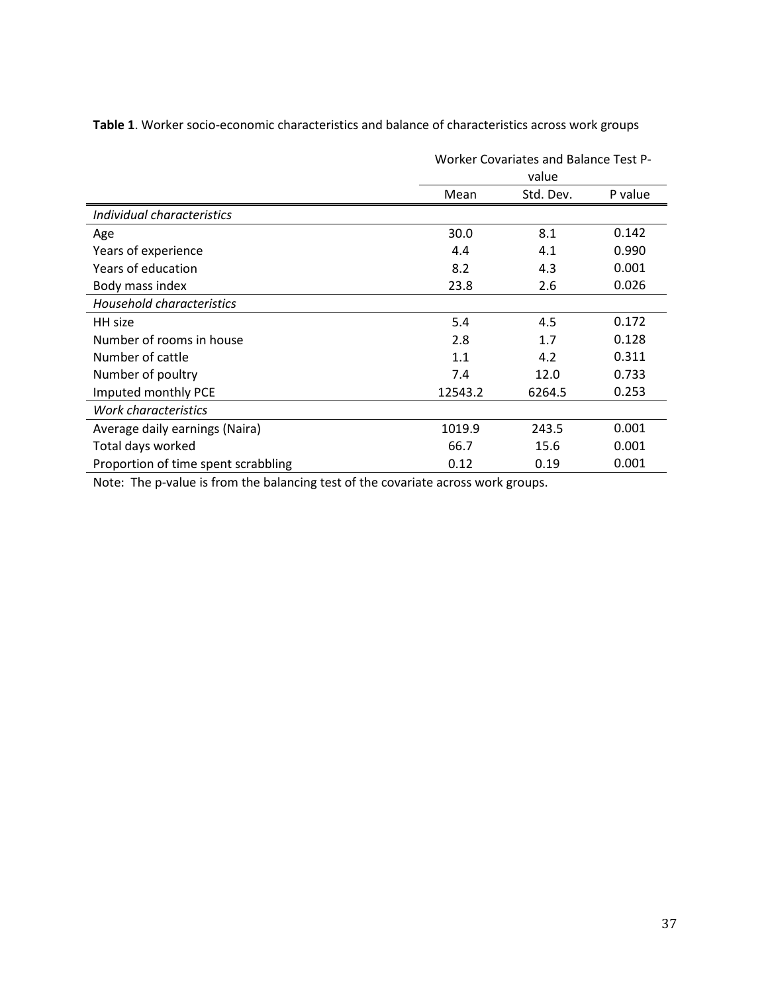**Table 1**. Worker socio-economic characteristics and balance of characteristics across work groups

|                                     |         | Worker Covariates and Balance Test P-<br>value |         |
|-------------------------------------|---------|------------------------------------------------|---------|
|                                     | Mean    | Std. Dev.                                      | P value |
| Individual characteristics          |         |                                                |         |
| Age                                 | 30.0    | 8.1                                            | 0.142   |
| Years of experience                 | 4.4     | 4.1                                            | 0.990   |
| Years of education                  | 8.2     | 4.3                                            | 0.001   |
| Body mass index                     | 23.8    | 2.6                                            | 0.026   |
| Household characteristics           |         |                                                |         |
| HH size                             | 5.4     | 4.5                                            | 0.172   |
| Number of rooms in house            | 2.8     | 1.7                                            | 0.128   |
| Number of cattle                    | 1.1     | 4.2                                            | 0.311   |
| Number of poultry                   | 7.4     | 12.0                                           | 0.733   |
| Imputed monthly PCE                 | 12543.2 | 6264.5                                         | 0.253   |
| Work characteristics                |         |                                                |         |
| Average daily earnings (Naira)      | 1019.9  | 243.5                                          | 0.001   |
| Total days worked                   | 66.7    | 15.6                                           | 0.001   |
| Proportion of time spent scrabbling | 0.12    | 0.19                                           | 0.001   |

Note: The p-value is from the balancing test of the covariate across work groups.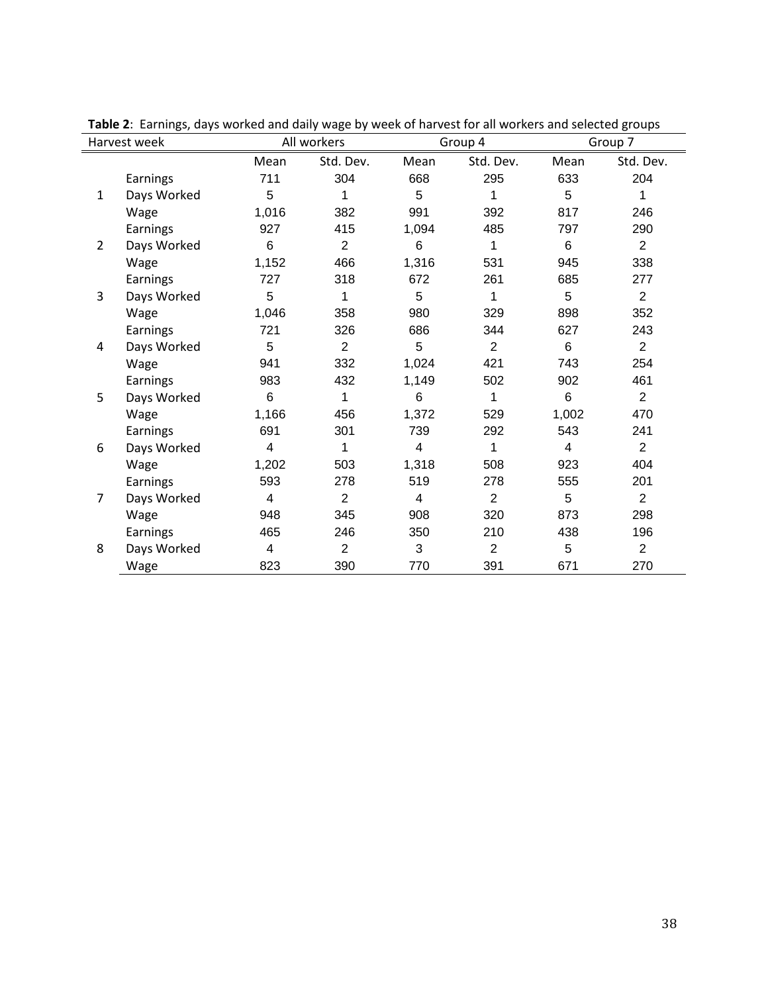|                | Harvest week |       | All workers    |       | Group 4        | Group 7 |                |
|----------------|--------------|-------|----------------|-------|----------------|---------|----------------|
|                |              | Mean  | Std. Dev.      | Mean  | Std. Dev.      | Mean    | Std. Dev.      |
|                | Earnings     | 711   | 304            | 668   | 295            | 633     | 204            |
| 1              | Days Worked  | 5     | 1              | 5     | 1              | 5       | 1              |
|                | Wage         | 1,016 | 382            | 991   | 392            | 817     | 246            |
|                | Earnings     | 927   | 415            | 1,094 | 485            | 797     | 290            |
| $\overline{2}$ | Days Worked  | 6     | 2              | 6     | 1              | 6       | $\overline{2}$ |
|                | Wage         | 1,152 | 466            | 1,316 | 531            | 945     | 338            |
|                | Earnings     | 727   | 318            | 672   | 261            | 685     | 277            |
| 3              | Days Worked  | 5     | 1              | 5     | 1              | 5       | $\overline{2}$ |
|                | Wage         | 1,046 | 358            | 980   | 329            | 898     | 352            |
|                | Earnings     | 721   | 326            | 686   | 344            | 627     | 243            |
| 4              | Days Worked  | 5     | $\overline{2}$ | 5     | $\overline{2}$ | 6       | $\overline{2}$ |
|                | Wage         | 941   | 332            | 1,024 | 421            | 743     | 254            |
|                | Earnings     | 983   | 432            | 1,149 | 502            | 902     | 461            |
| 5              | Days Worked  | 6     | 1              | 6     | 1              | 6       | $\overline{2}$ |
|                | Wage         | 1,166 | 456            | 1,372 | 529            | 1,002   | 470            |
|                | Earnings     | 691   | 301            | 739   | 292            | 543     | 241            |
| 6              | Days Worked  | 4     | 1              | 4     | 1              | 4       | $\overline{2}$ |
|                | Wage         | 1,202 | 503            | 1,318 | 508            | 923     | 404            |
|                | Earnings     | 593   | 278            | 519   | 278            | 555     | 201            |
| 7              | Days Worked  | 4     | $\overline{2}$ | 4     | $\overline{2}$ | 5       | $\overline{2}$ |
|                | Wage         | 948   | 345            | 908   | 320            | 873     | 298            |
|                | Earnings     | 465   | 246            | 350   | 210            | 438     | 196            |
| 8              | Days Worked  | 4     | $\overline{2}$ | 3     | $\overline{2}$ | 5       | $\overline{2}$ |
|                | Wage         | 823   | 390            | 770   | 391            | 671     | 270            |

**Table 2**: Earnings, days worked and daily wage by week of harvest for all workers and selected groups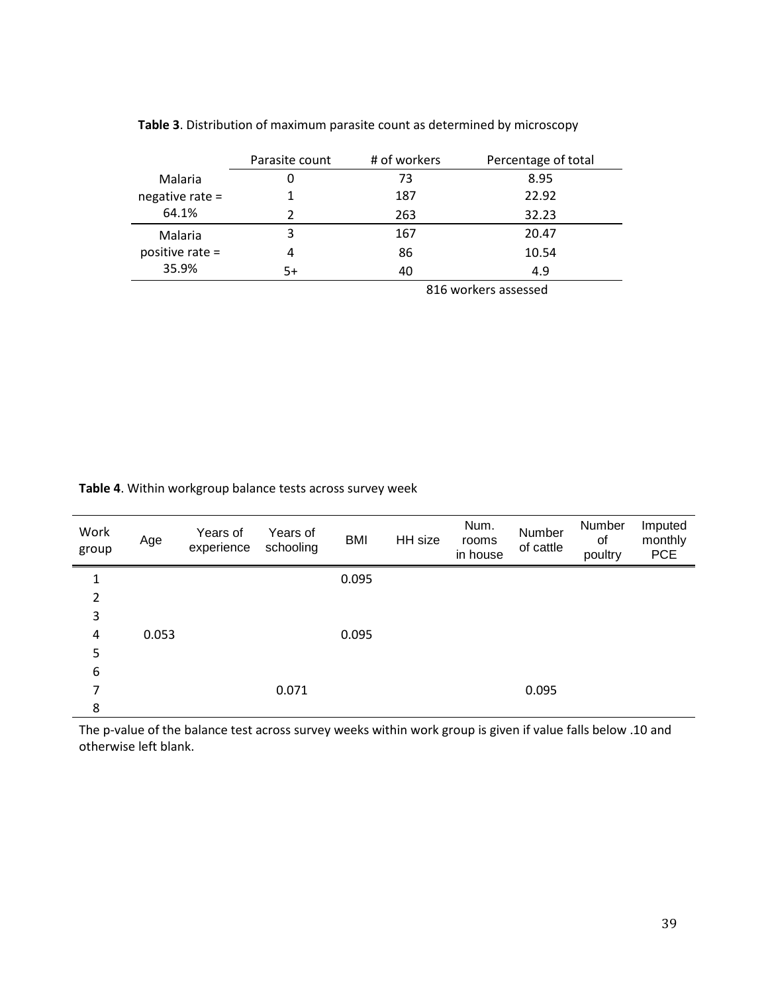|                   | Parasite count | # of workers | Percentage of total |
|-------------------|----------------|--------------|---------------------|
| Malaria           |                | 73           | 8.95                |
| negative rate $=$ |                | 187          | 22.92               |
| 64.1%             |                | 263          | 32.23               |
| Malaria           | 3              | 167          | 20.47               |
| positive rate $=$ | 4              | 86           | 10.54               |
| 35.9%             | 5+             | 40           | 4.9                 |

### **Table 3**. Distribution of maximum parasite count as determined by microscopy

816 workers assessed

#### **Table 4**. Within workgroup balance tests across survey week

| Work<br>group | Age   | Years of<br>experience | Years of<br>schooling | <b>BMI</b> | HH size | Num.<br>rooms<br>in house | Number<br>of cattle | Number<br>of<br>poultry | Imputed<br>monthly<br><b>PCE</b> |
|---------------|-------|------------------------|-----------------------|------------|---------|---------------------------|---------------------|-------------------------|----------------------------------|
| 1             |       |                        |                       | 0.095      |         |                           |                     |                         |                                  |
| 2             |       |                        |                       |            |         |                           |                     |                         |                                  |
| 3             |       |                        |                       |            |         |                           |                     |                         |                                  |
| 4             | 0.053 |                        |                       | 0.095      |         |                           |                     |                         |                                  |
| 5             |       |                        |                       |            |         |                           |                     |                         |                                  |
| 6             |       |                        |                       |            |         |                           |                     |                         |                                  |
| 7             |       |                        | 0.071                 |            |         |                           | 0.095               |                         |                                  |
| 8             |       |                        |                       |            |         |                           |                     |                         |                                  |

The p-value of the balance test across survey weeks within work group is given if value falls below .10 and otherwise left blank.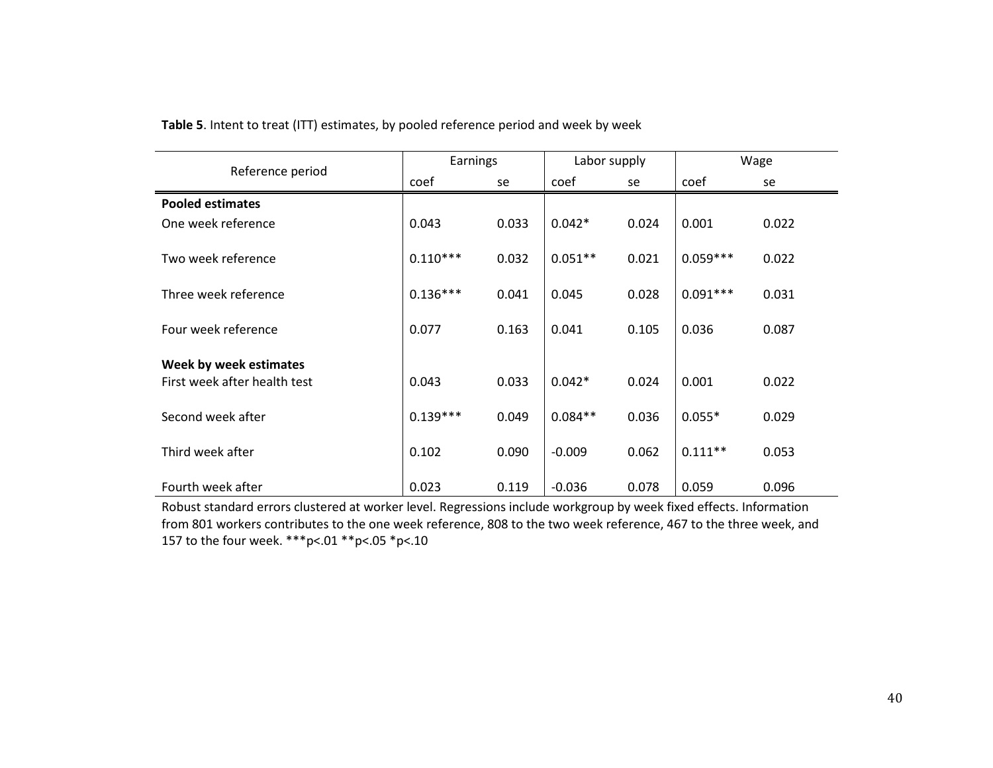|                              | Earnings   |       | Labor supply |       | Wage       |       |
|------------------------------|------------|-------|--------------|-------|------------|-------|
| Reference period             | coef       | se    | coef         | se    | coef       | se    |
| <b>Pooled estimates</b>      |            |       |              |       |            |       |
| One week reference           | 0.043      | 0.033 | $0.042*$     | 0.024 | 0.001      | 0.022 |
| Two week reference           | $0.110***$ | 0.032 | $0.051**$    | 0.021 | $0.059***$ | 0.022 |
| Three week reference         | $0.136***$ | 0.041 | 0.045        | 0.028 | $0.091***$ | 0.031 |
| Four week reference          | 0.077      | 0.163 | 0.041        | 0.105 | 0.036      | 0.087 |
| Week by week estimates       |            |       |              |       |            |       |
| First week after health test | 0.043      | 0.033 | $0.042*$     | 0.024 | 0.001      | 0.022 |
| Second week after            | $0.139***$ | 0.049 | $0.084**$    | 0.036 | $0.055*$   | 0.029 |
| Third week after             | 0.102      | 0.090 | $-0.009$     | 0.062 | $0.111**$  | 0.053 |
| Fourth week after            | 0.023      | 0.119 | $-0.036$     | 0.078 | 0.059      | 0.096 |

**Table 5**. Intent to treat (ITT) estimates, by pooled reference period and week by week

Robust standard errors clustered at worker level. Regressions include workgroup by week fixed effects. Information from 801 workers contributes to the one week reference, 808 to the two week reference, 467 to the three week, and 157 to the four week. \*\*\*p<.01 \*\*p<.05 \*p<.10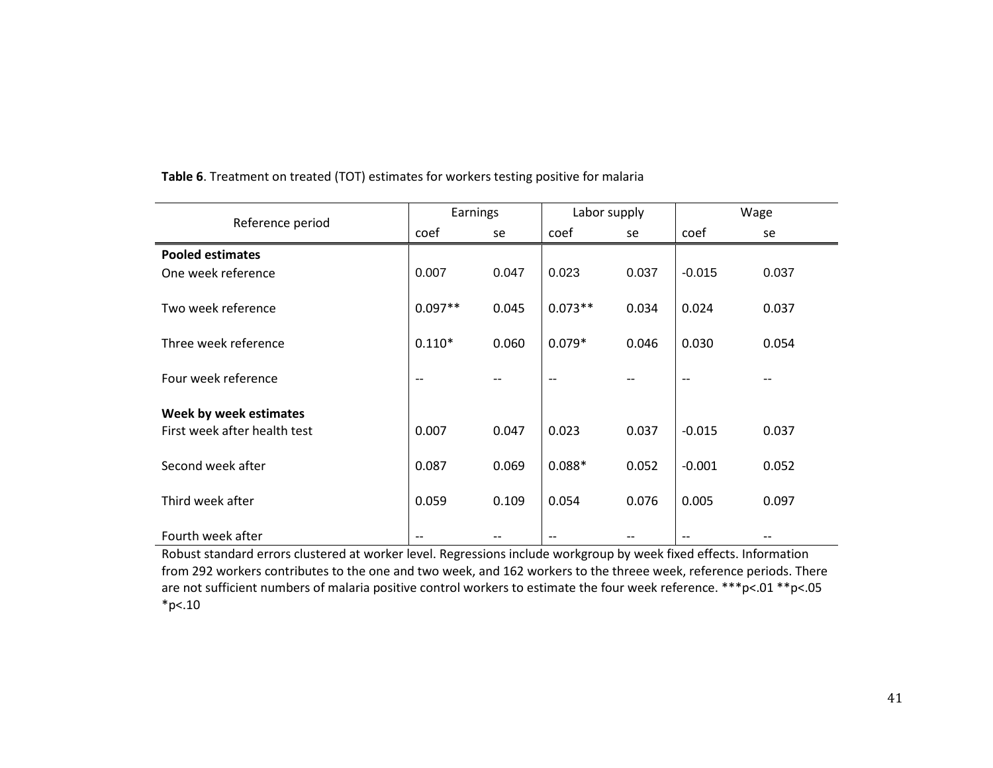|                              | Earnings  |       | Labor supply |       | Wage     |       |
|------------------------------|-----------|-------|--------------|-------|----------|-------|
| Reference period             | coef      | se    | coef         | se    | coef     | se    |
| <b>Pooled estimates</b>      |           |       |              |       |          |       |
| One week reference           | 0.007     | 0.047 | 0.023        | 0.037 | $-0.015$ | 0.037 |
| Two week reference           | $0.097**$ | 0.045 | $0.073**$    | 0.034 | 0.024    | 0.037 |
| Three week reference         | $0.110*$  | 0.060 | $0.079*$     | 0.046 | 0.030    | 0.054 |
| Four week reference          | $-$       |       | $-$          |       | $-$      |       |
| Week by week estimates       |           |       |              |       |          |       |
| First week after health test | 0.007     | 0.047 | 0.023        | 0.037 | $-0.015$ | 0.037 |
| Second week after            | 0.087     | 0.069 | $0.088*$     | 0.052 | $-0.001$ | 0.052 |
| Third week after             | 0.059     | 0.109 | 0.054        | 0.076 | 0.005    | 0.097 |
| Fourth week after            |           |       |              |       |          |       |

**Table 6**. Treatment on treated (TOT) estimates for workers testing positive for malaria

Robust standard errors clustered at worker level. Regressions include workgroup by week fixed effects. Information from 292 workers contributes to the one and two week, and 162 workers to the threee week, reference periods. There are not sufficient numbers of malaria positive control workers to estimate the four week reference. \*\*\*p<.01 \*\*p<.05  $*p<.10$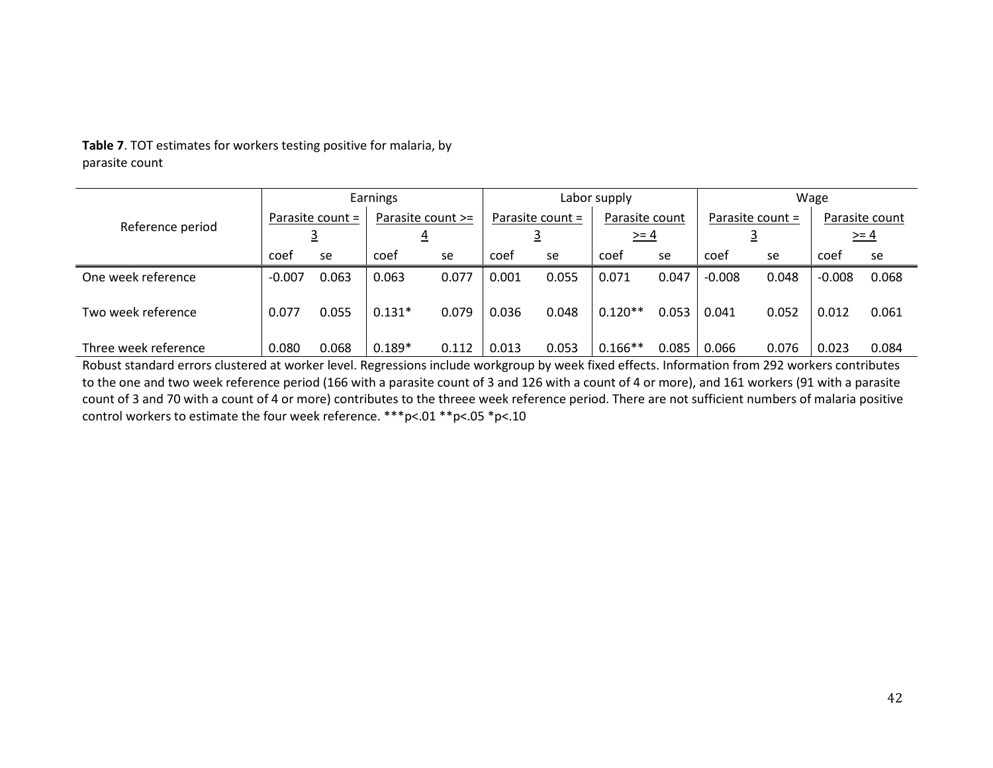|                      | Earnings           |       |                               | Labor supply |                    |       |                          | Wage  |                  |       |                          |       |
|----------------------|--------------------|-------|-------------------------------|--------------|--------------------|-------|--------------------------|-------|------------------|-------|--------------------------|-------|
| Reference period     | Parasite count $=$ |       | Parasite count >=<br><u>4</u> |              | Parasite count $=$ |       | Parasite count<br>$>= 4$ |       | Parasite count = |       | Parasite count<br>$>= 4$ |       |
|                      | coef               | se    | coef                          | se           | coef               | se    | coef                     | se    | coef             | se    | coef                     | se    |
| One week reference   | $-0.007$           | 0.063 | 0.063                         | 0.077        | 0.001              | 0.055 | 0.071                    | 0.047 | $-0.008$         | 0.048 | $-0.008$                 | 0.068 |
| Two week reference   | 0.077              | 0.055 | $0.131*$                      | 0.079        | 0.036              | 0.048 | $0.120**$                | 0.053 | 0.041            | 0.052 | 0.012                    | 0.061 |
| Three week reference | 0.080              | 0.068 | $0.189*$                      | 0.112        | 0.013              | 0.053 | $0.166**$                | 0.085 | 0.066            | 0.076 | 0.023                    | 0.084 |

**Table 7**. TOT estimates for workers testing positive for malaria, by parasite count

Robust standard errors clustered at worker level. Regressions include workgroup by week fixed effects. Information from 292 workers contributes to the one and two week reference period (166 with a parasite count of 3 and 126 with a count of 4 or more), and 161 workers (91 with a parasite count of 3 and 70 with a count of 4 or more) contributes to the threee week reference period. There are not sufficient numbers of malaria positive control workers to estimate the four week reference. \*\*\*p<.01 \*\*p<.05 \*p<.10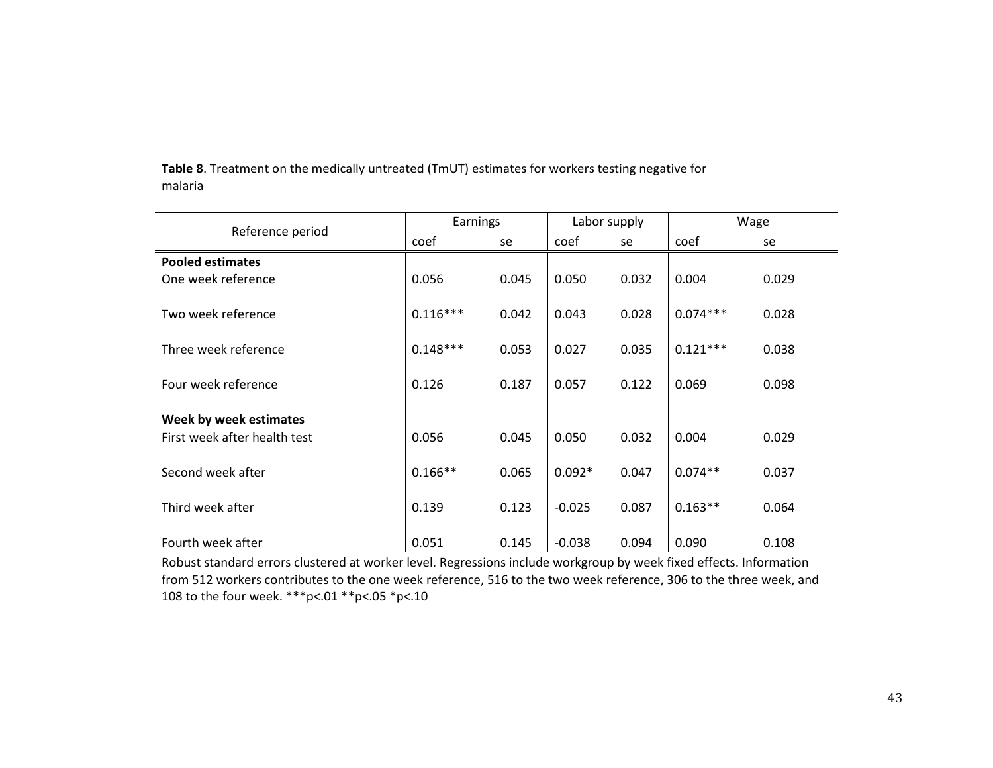| Reference period             | Earnings   |       | Labor supply |       | Wage       |       |
|------------------------------|------------|-------|--------------|-------|------------|-------|
|                              | coef       | se    | coef         | se    | coef       | se    |
| <b>Pooled estimates</b>      |            |       |              |       |            |       |
| One week reference           | 0.056      | 0.045 | 0.050        | 0.032 | 0.004      | 0.029 |
|                              |            |       |              |       |            |       |
| Two week reference           | $0.116***$ | 0.042 | 0.043        | 0.028 | $0.074***$ | 0.028 |
| Three week reference         | $0.148***$ | 0.053 | 0.027        | 0.035 | $0.121***$ | 0.038 |
| Four week reference          | 0.126      | 0.187 | 0.057        | 0.122 | 0.069      | 0.098 |
| Week by week estimates       |            |       |              |       |            |       |
| First week after health test | 0.056      | 0.045 | 0.050        | 0.032 | 0.004      | 0.029 |
| Second week after            | $0.166**$  | 0.065 | $0.092*$     | 0.047 | $0.074**$  | 0.037 |
| Third week after             | 0.139      | 0.123 | $-0.025$     | 0.087 | $0.163**$  | 0.064 |
| Fourth week after            | 0.051      | 0.145 | $-0.038$     | 0.094 | 0.090      | 0.108 |

**Table 8**. Treatment on the medically untreated (TmUT) estimates for workers testing negative for malaria

Robust standard errors clustered at worker level. Regressions include workgroup by week fixed effects. Information from 512 workers contributes to the one week reference, 516 to the two week reference, 306 to the three week, and 108 to the four week. \*\*\*p<.01 \*\*p<.05 \*p<.10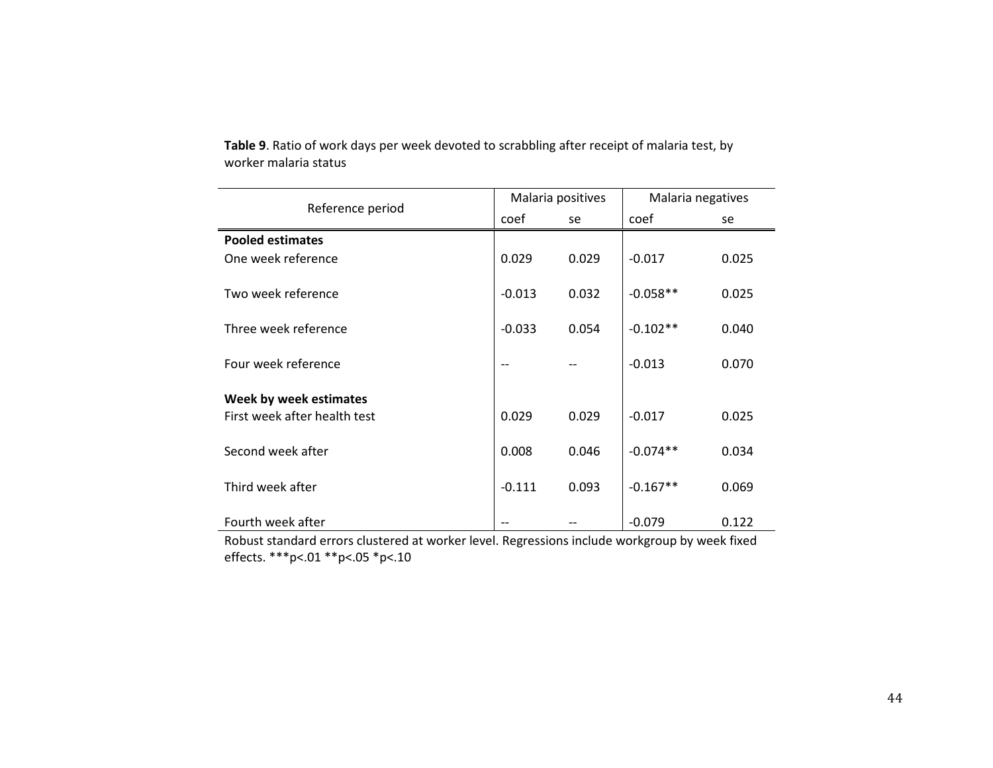|                              | Malaria positives |       | Malaria negatives |       |
|------------------------------|-------------------|-------|-------------------|-------|
| Reference period             | coef              | se    | coef              | se    |
| <b>Pooled estimates</b>      |                   |       |                   |       |
| One week reference           | 0.029             | 0.029 | $-0.017$          | 0.025 |
|                              |                   |       |                   |       |
| Two week reference           | $-0.013$          | 0.032 | $-0.058**$        | 0.025 |
|                              |                   |       |                   |       |
| Three week reference         | $-0.033$          | 0.054 | $-0.102**$        | 0.040 |
| Four week reference          | $-$               |       | $-0.013$          | 0.070 |
|                              |                   |       |                   |       |
| Week by week estimates       |                   |       |                   |       |
| First week after health test | 0.029             | 0.029 | $-0.017$          | 0.025 |
|                              |                   |       |                   |       |
| Second week after            | 0.008             | 0.046 | $-0.074**$        | 0.034 |
| Third week after             | $-0.111$          | 0.093 | $-0.167**$        | 0.069 |
|                              |                   |       |                   |       |
| Fourth week after            |                   |       | $-0.079$          | 0.122 |

**Table 9**. Ratio of work days per week devoted to scrabbling after receipt of malaria test, by worker malaria status

Robust standard errors clustered at worker level. Regressions include workgroup by week fixed effects. \*\*\*p<.01 \*\*p<.05 \*p<.10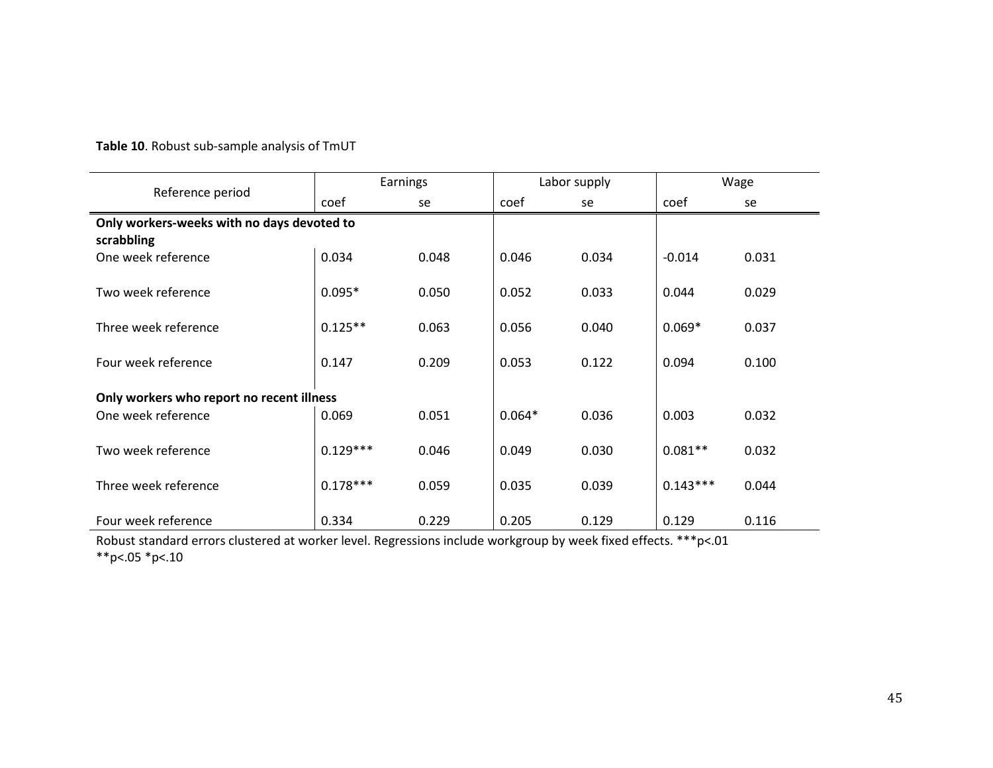|                                            | Earnings   |       |          | Labor supply | Wage       |       |
|--------------------------------------------|------------|-------|----------|--------------|------------|-------|
| Reference period                           | coef       | se    | coef     | se           | coef       | se    |
| Only workers-weeks with no days devoted to |            |       |          |              |            |       |
| scrabbling                                 |            |       |          |              |            |       |
| One week reference                         | 0.034      | 0.048 | 0.046    | 0.034        | $-0.014$   | 0.031 |
| Two week reference                         | $0.095*$   | 0.050 | 0.052    | 0.033        | 0.044      | 0.029 |
| Three week reference                       | $0.125**$  | 0.063 | 0.056    | 0.040        | $0.069*$   | 0.037 |
| Four week reference                        | 0.147      | 0.209 | 0.053    | 0.122        | 0.094      | 0.100 |
| Only workers who report no recent illness  |            |       |          |              |            |       |
| One week reference                         | 0.069      | 0.051 | $0.064*$ | 0.036        | 0.003      | 0.032 |
| Two week reference                         | $0.129***$ | 0.046 | 0.049    | 0.030        | $0.081**$  | 0.032 |
| Three week reference                       | $0.178***$ | 0.059 | 0.035    | 0.039        | $0.143***$ | 0.044 |
| Four week reference                        | 0.334      | 0.229 | 0.205    | 0.129        | 0.129      | 0.116 |

Robust standard errors clustered at worker level. Regressions include workgroup by week fixed effects. \*\*\*p<.01 \*\*p<.05 \*p<.10